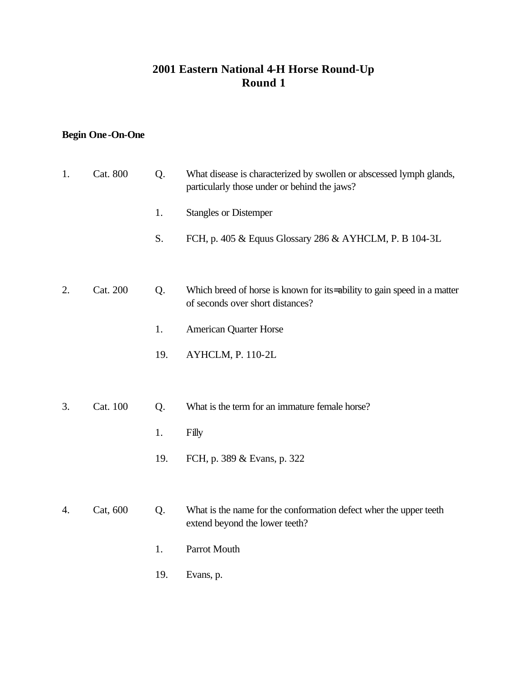### **2001 Eastern National 4-H Horse Round-Up Round 1**

## **Begin One-On-One**

| 1. | Cat. 800 | Q.  | What disease is characterized by swollen or abscessed lymph glands,<br>particularly those under or behind the jaws? |
|----|----------|-----|---------------------------------------------------------------------------------------------------------------------|
|    |          | 1.  | <b>Stangles or Distemper</b>                                                                                        |
|    |          | S.  | FCH, p. 405 & Equus Glossary 286 & AYHCLM, P. B 104-3L                                                              |
|    |          |     |                                                                                                                     |
| 2. | Cat. 200 | Q.  | Which breed of horse is known for its ability to gain speed in a matter<br>of seconds over short distances?         |
|    |          | 1.  | <b>American Quarter Horse</b>                                                                                       |
|    |          | 19. | AYHCLM, P. 110-2L                                                                                                   |
|    |          |     |                                                                                                                     |
| 3. | Cat. 100 | Q.  | What is the term for an immature female horse?                                                                      |
|    |          | 1.  | Filly                                                                                                               |
|    |          | 19. | FCH, p. 389 & Evans, p. 322                                                                                         |
|    |          |     |                                                                                                                     |
| 4. | Cat, 600 | Q.  | What is the name for the conformation defect wher the upper teeth<br>extend beyond the lower teeth?                 |
|    |          | 1.  | Parrot Mouth                                                                                                        |
|    |          | 19. | Evans, p.                                                                                                           |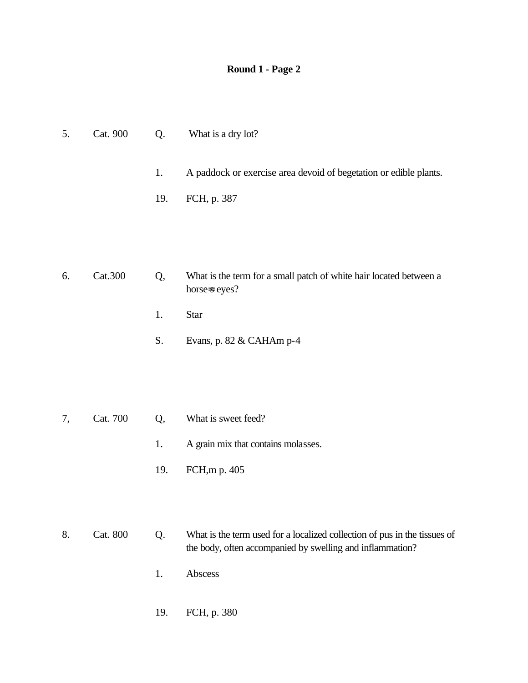| 5. | Cat. 900 | Q.  | What is a dry lot?                                                                                                                     |
|----|----------|-----|----------------------------------------------------------------------------------------------------------------------------------------|
|    |          | 1.  | A paddock or exercise area devoid of begetation or edible plants.                                                                      |
|    |          | 19. | FCH, p. 387                                                                                                                            |
|    |          |     |                                                                                                                                        |
|    |          |     |                                                                                                                                        |
| 6. | Cat.300  | Q,  | What is the term for a small patch of white hair located between a<br>horse=s eyes?                                                    |
|    |          | 1.  | <b>Star</b>                                                                                                                            |
|    |          | S.  | Evans, p. 82 & CAHAm p-4                                                                                                               |
|    |          |     |                                                                                                                                        |
|    |          |     |                                                                                                                                        |
| 7, | Cat. 700 | Q,  | What is sweet feed?                                                                                                                    |
|    |          | 1.  | A grain mix that contains molasses.                                                                                                    |
|    |          | 19. | FCH, mp. 405                                                                                                                           |
|    |          |     |                                                                                                                                        |
| 8. | Cat. 800 | Q.  | What is the term used for a localized collection of pus in the tissues of<br>the body, often accompanied by swelling and inflammation? |

- 1. Abscess
- 19. FCH, p. 380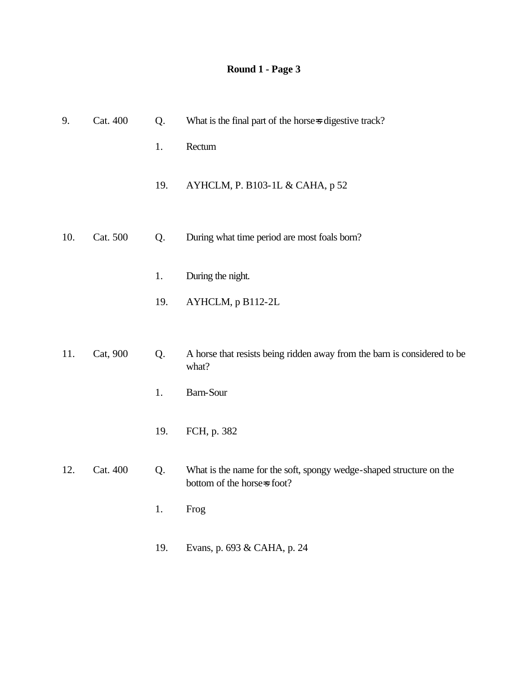| 9.  | Cat. 400 | Q.  | What is the final part of the horse-s digestive track?                                             |
|-----|----------|-----|----------------------------------------------------------------------------------------------------|
|     |          | 1.  | Rectum                                                                                             |
|     |          | 19. | AYHCLM, P. B103-1L & CAHA, p 52                                                                    |
| 10. | Cat. 500 | Q.  | During what time period are most foals born?                                                       |
|     |          | 1.  | During the night.                                                                                  |
|     |          | 19. | AYHCLM, p B112-2L                                                                                  |
|     |          |     |                                                                                                    |
| 11. | Cat, 900 | Q.  | A horse that resists being ridden away from the barn is considered to be<br>what?                  |
|     |          | 1.  | Barn-Sour                                                                                          |
|     |          | 19. | FCH, p. 382                                                                                        |
| 12. | Cat. 400 | Q.  | What is the name for the soft, spongy wedge-shaped structure on the<br>bottom of the horse=s foot? |
|     |          | 1.  | Frog                                                                                               |
|     |          | 19. | Evans, p. 693 & CAHA, p. 24                                                                        |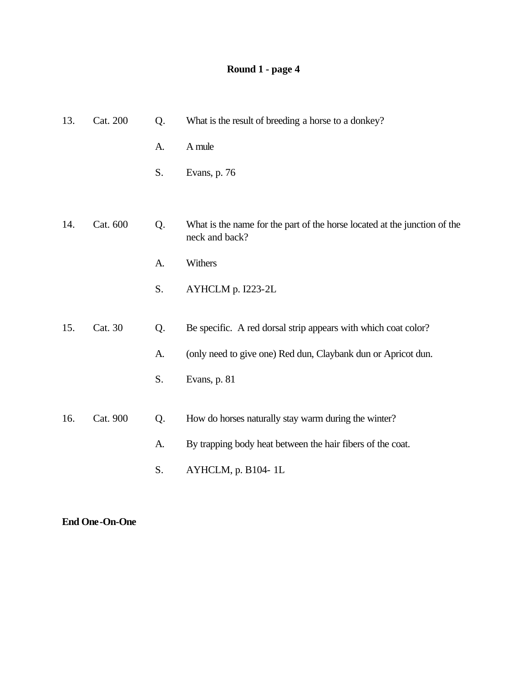## **Round 1 - page 4**

| 13. | Cat. 200 | Q. | What is the result of breeding a horse to a donkey?                                         |
|-----|----------|----|---------------------------------------------------------------------------------------------|
|     |          | A. | A mule                                                                                      |
|     |          | S. | Evans, p. 76                                                                                |
|     |          |    |                                                                                             |
| 14. | Cat. 600 | Q. | What is the name for the part of the horse located at the junction of the<br>neck and back? |
|     |          | A. | Withers                                                                                     |
|     |          | S. | AYHCLM p. I223-2L                                                                           |
|     |          |    |                                                                                             |
| 15. | Cat. 30  | Q. | Be specific. A red dorsal strip appears with which coat color?                              |
|     |          | A. | (only need to give one) Red dun, Claybank dun or Apricot dun.                               |
|     |          | S. | Evans, p. 81                                                                                |
|     |          |    |                                                                                             |
| 16. | Cat. 900 | Q. | How do horses naturally stay warm during the winter?                                        |
|     |          | A. | By trapping body heat between the hair fibers of the coat.                                  |
|     |          | S. | AYHCLM, p. B104-1L                                                                          |

#### **End One-On-One**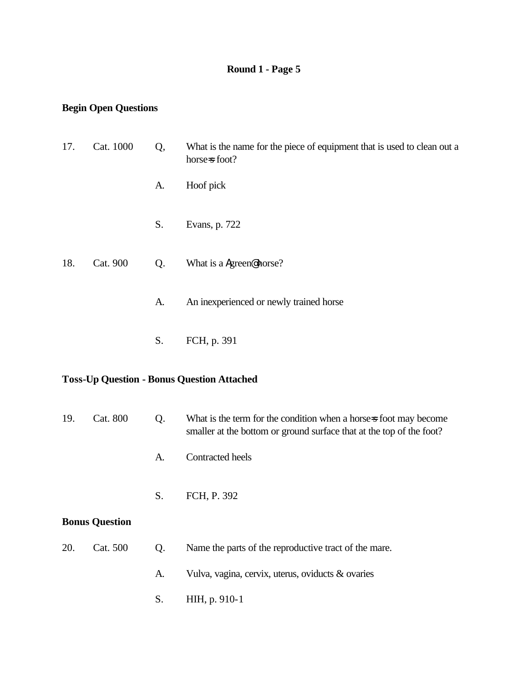## **Begin Open Questions**

| 17.                                               | Cat. 1000             | Q, | What is the name for the piece of equipment that is used to clean out a<br>horse=s foot?                                                  |
|---------------------------------------------------|-----------------------|----|-------------------------------------------------------------------------------------------------------------------------------------------|
|                                                   |                       | A. | Hoof pick                                                                                                                                 |
|                                                   |                       | S. | Evans, p. 722                                                                                                                             |
| 18.                                               | Cat. 900              | Q. | What is a Agreen@horse?                                                                                                                   |
|                                                   |                       | A. | An inexperienced or newly trained horse                                                                                                   |
|                                                   |                       | S. | FCH, p. 391                                                                                                                               |
| <b>Toss-Up Question - Bonus Question Attached</b> |                       |    |                                                                                                                                           |
| 19.                                               | <b>Cat. 800</b>       | Q. | What is the term for the condition when a horse-s foot may become<br>smaller at the bottom or ground surface that at the top of the foot? |
|                                                   |                       | A. | Contracted heels                                                                                                                          |
|                                                   |                       | S. | FCH, P. 392                                                                                                                               |
|                                                   | <b>Bonus Question</b> |    |                                                                                                                                           |
| 20.                                               | Cat. 500              | Q. | Name the parts of the reproductive tract of the mare.                                                                                     |
|                                                   |                       | A. | Vulva, vagina, cervix, uterus, oviducts & ovaries                                                                                         |
|                                                   |                       | S. | HIH, p. 910-1                                                                                                                             |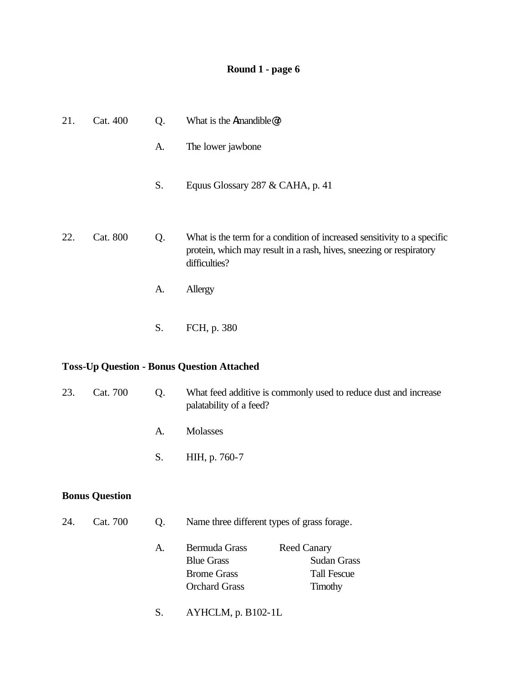# **Round 1 - page 6**

| 21. | Cat. 400                                          | Q. | What is the Amandible@?                                                                                                                                         |  |
|-----|---------------------------------------------------|----|-----------------------------------------------------------------------------------------------------------------------------------------------------------------|--|
|     |                                                   | A. | The lower jawbone                                                                                                                                               |  |
|     |                                                   | S. | Equus Glossary 287 & CAHA, p. 41                                                                                                                                |  |
| 22. | Cat. 800                                          | Q. | What is the term for a condition of increased sensitivity to a specific<br>protein, which may result in a rash, hives, sneezing or respiratory<br>difficulties? |  |
|     |                                                   | A. | Allergy                                                                                                                                                         |  |
|     |                                                   | S. | FCH, p. 380                                                                                                                                                     |  |
|     | <b>Toss-Up Question - Bonus Question Attached</b> |    |                                                                                                                                                                 |  |
| 23. | Cat. 700                                          | Q. | What feed additive is commonly used to reduce dust and increase<br>palatability of a feed?                                                                      |  |
|     |                                                   | A. | <b>Molasses</b>                                                                                                                                                 |  |
|     |                                                   | S. | HIH, p. 760-7                                                                                                                                                   |  |
|     | <b>Bonus Question</b>                             |    |                                                                                                                                                                 |  |
| 24. | Cat. 700                                          | Q. | Name three different types of grass forage.                                                                                                                     |  |

| Bermuda Grass        | <b>Reed Canary</b> |
|----------------------|--------------------|
| <b>Blue Grass</b>    | <b>Sudan Grass</b> |
| <b>Brome Grass</b>   | <b>Tall Fescue</b> |
| <b>Orchard Grass</b> | Timothy            |
|                      |                    |

S. AYHCLM, p. B102-1L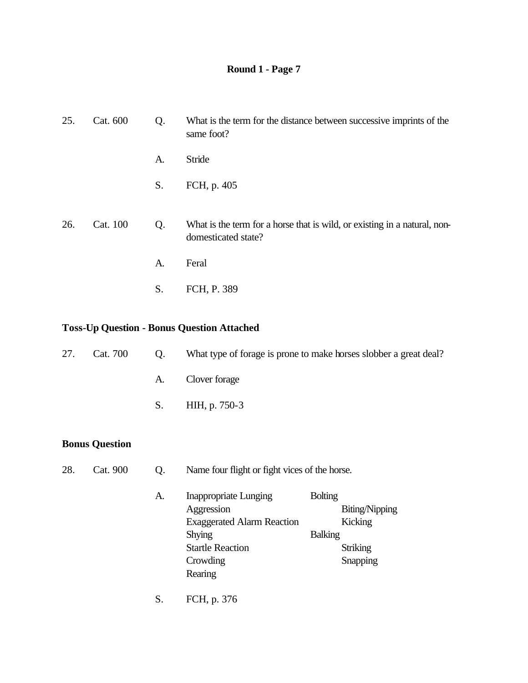| 25. | Cat. 600 | Q. | What is the term for the distance between successive imprints of the<br>same foot?               |
|-----|----------|----|--------------------------------------------------------------------------------------------------|
|     |          | A. | Stride                                                                                           |
|     |          | S. | FCH, p. 405                                                                                      |
| 26. | Cat. 100 | Q. | What is the term for a horse that is wild, or existing in a natural, non-<br>domesticated state? |
|     |          | A. | Feral                                                                                            |
|     |          | S. | FCH, P. 389                                                                                      |

#### **Toss-Up Question - Bonus Question Attached**

| 27. | Cat. 700 | Q. | What type of forage is prone to make horses slobber a great deal? |
|-----|----------|----|-------------------------------------------------------------------|
|     |          |    | A. Clover forage                                                  |
|     |          |    | S. HIH, p. 750-3                                                  |
|     |          |    |                                                                   |

#### **Bonus Question**

- 28. Cat. 900 Q. Name four flight or fight vices of the horse.
	- A. Inappropriate Lunging Bolting Aggression Biting/Nipping Exaggerated Alarm Reaction Kicking Shying Balking Startle Reaction Striking Crowding Snapping Snapping Rearing
	- S. FCH, p. 376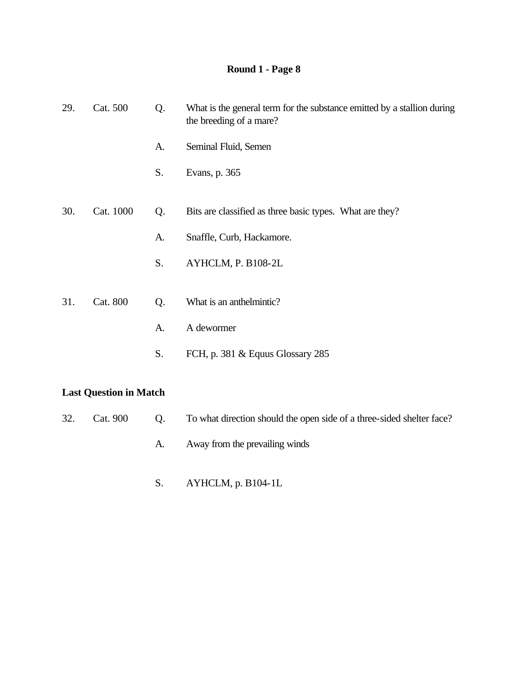| 29. | Cat. 500  | Q. | What is the general term for the substance emitted by a stallion during<br>the breeding of a mare? |
|-----|-----------|----|----------------------------------------------------------------------------------------------------|
|     |           | A. | Seminal Fluid, Semen                                                                               |
|     |           | S. | Evans, p. 365                                                                                      |
|     |           |    |                                                                                                    |
| 30. | Cat. 1000 | Q. | Bits are classified as three basic types. What are they?                                           |
|     |           | A. | Snaffle, Curb, Hackamore.                                                                          |
|     |           | S. | AYHCLM, P. B108-2L                                                                                 |
|     |           |    |                                                                                                    |
| 31. | Cat. 800  | Q. | What is an anthelmintic?                                                                           |
|     |           | A. | A dewormer                                                                                         |
|     |           | S. | FCH, p. 381 & Equus Glossary 285                                                                   |
|     |           |    |                                                                                                    |
|     |           |    |                                                                                                    |

## **Last Question in Match**

| 32. Cat. 900 | Q. To what direction should the open side of a three-sided shelter face? |
|--------------|--------------------------------------------------------------------------|
|              | Away from the prevailing winds                                           |

S. AYHCLM, p. B104-1L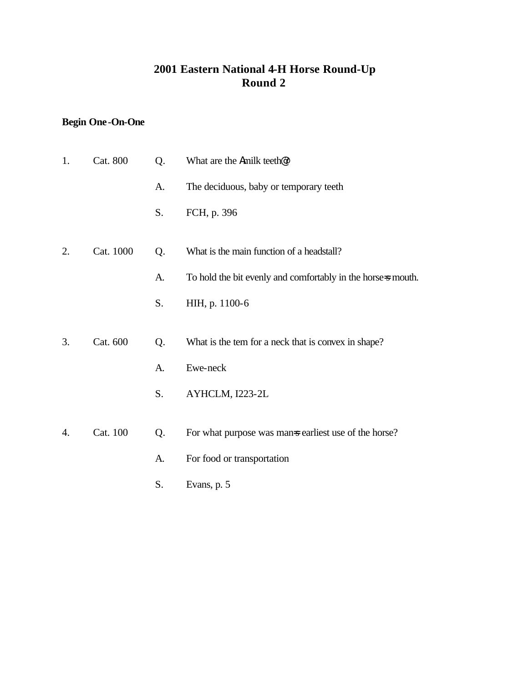## **2001 Eastern National 4-H Horse Round-Up Round 2**

# **Begin One-On-One**

| 1. | Cat. 800  | Q. | What are the Amilk teeth <sup>@?</sup>                       |
|----|-----------|----|--------------------------------------------------------------|
|    |           | A. | The deciduous, baby or temporary teeth                       |
|    |           | S. | FCH, p. 396                                                  |
| 2. | Cat. 1000 | Q. | What is the main function of a headstall?                    |
|    |           | A. | To hold the bit evenly and comfortably in the horse-s mouth. |
|    |           | S. | HIH, p. 1100-6                                               |
|    |           |    |                                                              |
| 3. | Cat. 600  | Q. | What is the tem for a neck that is convex in shape?          |
|    |           | A. | Ewe-neck                                                     |
|    |           | S. | AYHCLM, I223-2L                                              |
|    |           |    |                                                              |
| 4. | Cat. 100  | Q. | For what purpose was man is earliest use of the horse?       |
|    |           | A. | For food or transportation                                   |
|    |           | S. | Evans, p. 5                                                  |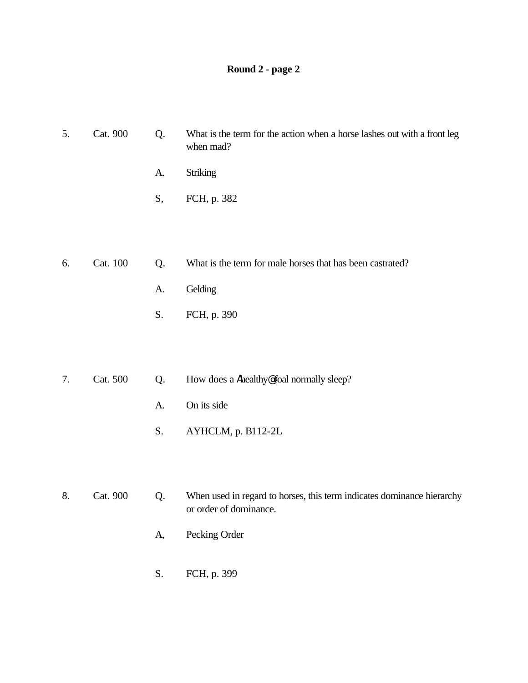# **Round 2 - page 2**

| 5. | Cat. 900 | Q. | What is the term for the action when a horse lashes out with a front leg<br>when mad? |
|----|----------|----|---------------------------------------------------------------------------------------|
|    |          | A. | Striking                                                                              |
|    |          | S, | FCH, p. 382                                                                           |
|    |          |    |                                                                                       |
|    |          |    |                                                                                       |
| 6. | Cat. 100 | Q. | What is the term for male horses that has been castrated?                             |
|    |          | A. | Gelding                                                                               |
|    |          | S. | FCH, p. 390                                                                           |
|    |          |    |                                                                                       |
|    |          |    |                                                                                       |
| 7. | Cat. 500 | Q. | How does a Ahealthy@foal normally sleep?                                              |
|    |          | A. | On its side                                                                           |
|    |          | S. | AYHCLM, p. B112-2L                                                                    |
|    |          |    |                                                                                       |
|    |          |    |                                                                                       |
|    |          |    |                                                                                       |

8. Cat. 900 Q. When used in regard to horses, this term indicates dominance hierarchy or order of dominance.

- A, Pecking Order
- S. FCH, p. 399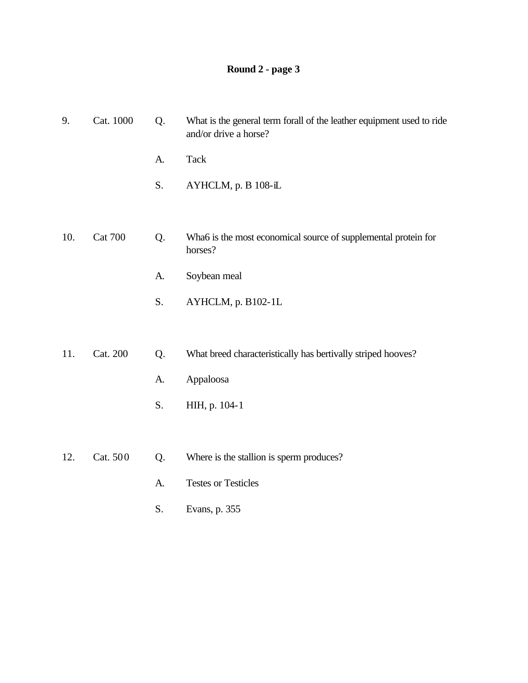# **Round 2 - page 3**

| 9.  | Cat. 1000      | Q. | What is the general term forall of the leather equipment used to ride<br>and/or drive a horse? |
|-----|----------------|----|------------------------------------------------------------------------------------------------|
|     |                | A. | <b>Tack</b>                                                                                    |
|     |                | S. | AYHCLM, p. B 108-iL                                                                            |
|     |                |    |                                                                                                |
| 10. | <b>Cat 700</b> | Q. | Wha6 is the most economical source of supplemental protein for<br>horses?                      |
|     |                | A. | Soybean meal                                                                                   |
|     |                | S. | AYHCLM, p. B102-1L                                                                             |
|     |                |    |                                                                                                |
| 11. | Cat. 200       | Q. | What breed characteristically has bertivally striped hooves?                                   |
|     |                | A. | Appaloosa                                                                                      |
|     |                | S. | HIH, p. 104-1                                                                                  |
|     |                |    |                                                                                                |
| 12. | Cat. 500       | Q. | Where is the stallion is sperm produces?                                                       |
|     |                | A. | <b>Testes or Testicles</b>                                                                     |

S. Evans, p. 355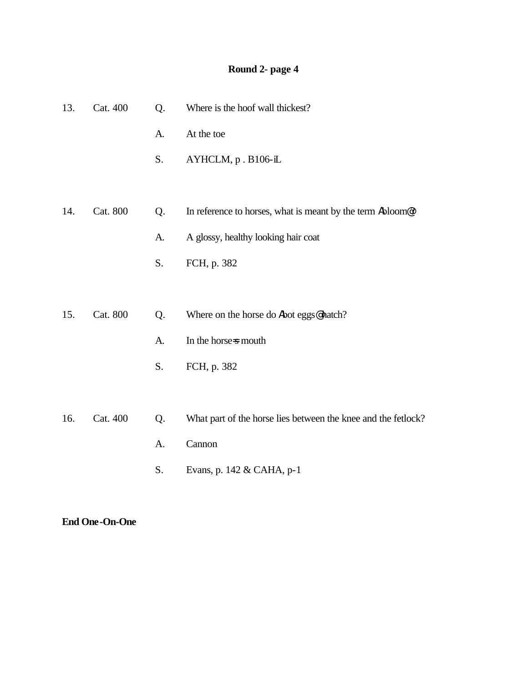# **Round 2- page 4**

| 13. | Cat. 400 | Q. | Where is the hoof wall thickest?                                        |
|-----|----------|----|-------------------------------------------------------------------------|
|     |          | A. | At the toe                                                              |
|     |          | S. | AYHCLM, p. B106-iL                                                      |
|     |          |    |                                                                         |
| 14. | Cat. 800 | Q. | In reference to horses, what is meant by the term Abloom <sup>@</sup> ? |
|     |          | A. | A glossy, healthy looking hair coat                                     |
|     |          | S. | FCH, p. 382                                                             |
|     |          |    |                                                                         |
| 15. | Cat. 800 | Q. | Where on the horse do Abot eggs@hatch?                                  |
|     |          | A. | In the horse-s mouth                                                    |
|     |          | S. | FCH, p. 382                                                             |
|     |          |    |                                                                         |
| 16. | Cat. 400 | Q. | What part of the horse lies between the knee and the fetlock?           |
|     |          | A. | Cannon                                                                  |
|     |          | S. | Evans, p. 142 & CAHA, p-1                                               |

**End One-On-One**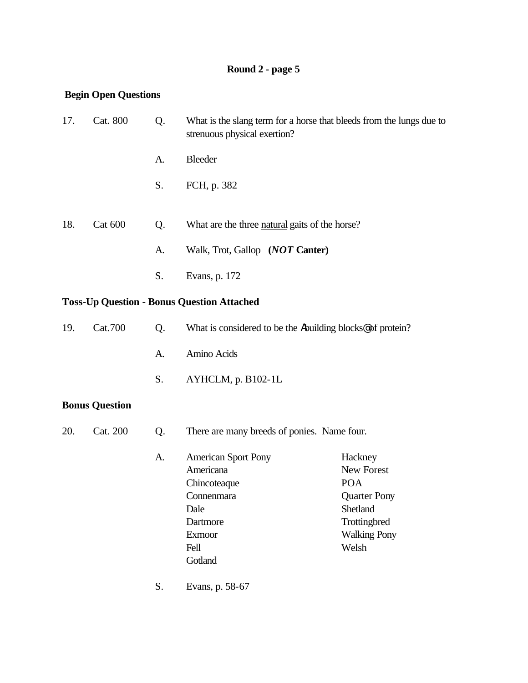# **Round 2 - page 5**

### **Begin Open Questions**

| 17.      | Cat. 800       | Q. | What is the slang term for a horse that bleeds from the lungs due to<br>strenuous physical exertion? |
|----------|----------------|----|------------------------------------------------------------------------------------------------------|
|          |                | A. | Bleeder                                                                                              |
|          |                | S. | FCH, p. 382                                                                                          |
| 18.      | <b>Cat 600</b> | Q. | What are the three natural gaits of the horse?                                                       |
|          |                | A. | Walk, Trot, Gallop (NOT Canter)                                                                      |
|          |                | S. | Evans, p. 172                                                                                        |
|          |                |    | <b>Toss-Up Question - Bonus Question Attached</b>                                                    |
| $1 \cap$ | $C_{24}$ 700   |    | $\Omega$ . What is considered to be the limitation blacks af muteur $\Omega$                         |

| 19. Cat. 700 | $($ ). | What is considered to be the Abuilding blocks <sup>®</sup> of protein? |
|--------------|--------|------------------------------------------------------------------------|
|              | A.     | Amino Acids                                                            |
|              |        | S. $AYHCLM$ , p. B102-1L                                               |

## **Bonus Question**

| 20. | Cat. 200 | Q. | There are many breeds of ponies. Name four. |                     |  |
|-----|----------|----|---------------------------------------------|---------------------|--|
|     |          | A. | <b>American Sport Pony</b>                  | Hackney             |  |
|     |          |    | Americana                                   | New Forest          |  |
|     |          |    | Chincoteaque                                | <b>POA</b>          |  |
|     |          |    | Connenmara                                  | <b>Quarter Pony</b> |  |
|     |          |    | Dale                                        | <b>Shetland</b>     |  |
|     |          |    | Dartmore                                    | Trottingbred        |  |
|     |          |    | <b>Exmoor</b>                               | <b>Walking Pony</b> |  |
|     |          |    | Fell                                        | Welsh               |  |
|     |          |    | Gotland                                     |                     |  |
|     |          | S. | Evans, p. 58-67                             |                     |  |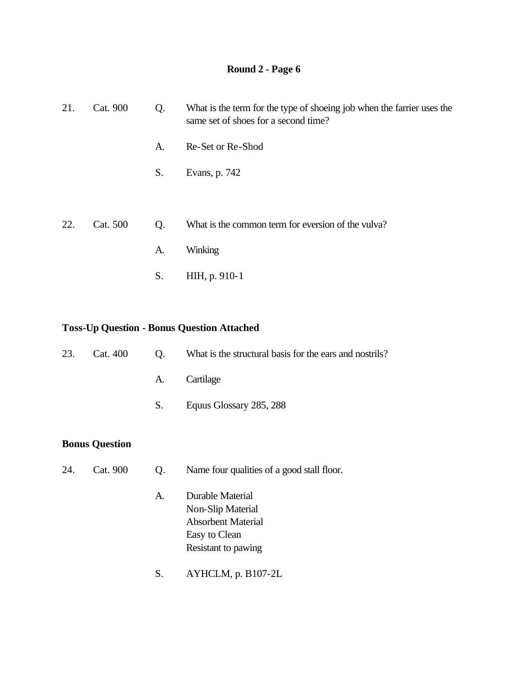| 21. | Cat. 900 | Q. | What is the term for the type of shoeing job when the farrier uses the<br>same set of shoes for a second time? |
|-----|----------|----|----------------------------------------------------------------------------------------------------------------|
|     |          | A. | Re-Set or Re-Shod                                                                                              |
|     |          | S. | Evans, p. 742                                                                                                  |
|     |          |    |                                                                                                                |
| 22. | Cat. 500 | Q. | What is the common term for eversion of the vulva?                                                             |
|     |          | A. | Winking                                                                                                        |
|     |          | S. | HIH, p. 910-1                                                                                                  |

### **Toss-Up Question - Bonus Question Attached**

| 23. | Cat. 400              | Q.             | What is the structural basis for the ears and nostrils?                             |
|-----|-----------------------|----------------|-------------------------------------------------------------------------------------|
|     |                       | A.             | Cartilage                                                                           |
|     |                       | S.             | Equus Glossary 285, 288                                                             |
|     | <b>Bonus Question</b> |                |                                                                                     |
| 24. | Cat. 900              | Q <sub>1</sub> | Name four qualities of a good stall floor.                                          |
|     |                       | A.             | Durable Material<br>Non-Slip Material<br><b>Absorbent Material</b><br>Easy to Clean |

S. AYHCLM, p. B107-2L

Resistant to pawing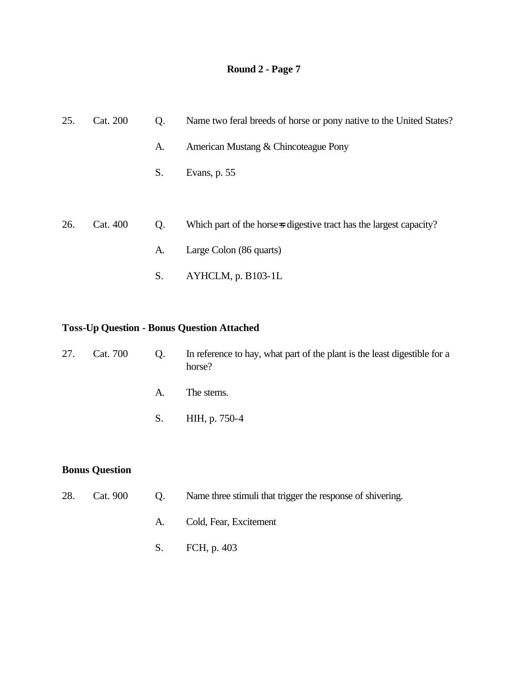| 25. | Cat. 200 | Q. | Name two feral breeds of horse or pony native to the United States?  |
|-----|----------|----|----------------------------------------------------------------------|
|     |          | A. | American Mustang & Chincoteague Pony                                 |
|     |          | S. | Evans, p. 55                                                         |
|     |          |    |                                                                      |
| 26. | Cat. 400 | Q. | Which part of the horse is digestive tract has the largest capacity? |
|     |          | A. | Large Colon (86 quarts)                                              |
|     |          | S. | AYHCLM, p. B103-1L                                                   |

### **Toss-Up Question - Bonus Question Attached**

| 27. | Cat. 700 | Q. | In reference to hay, what part of the plant is the least digestible for a<br>horse? |
|-----|----------|----|-------------------------------------------------------------------------------------|
|     |          | A. | The stems.                                                                          |
|     |          | S. | HIH, p. 750-4                                                                       |
|     |          |    |                                                                                     |

### **Bonus Question**

| 28. | Cat. 900 | $\bullet$ Q. | Name three stimuli that trigger the response of shivering. |
|-----|----------|--------------|------------------------------------------------------------|
|     |          | A.           | Cold, Fear, Excitement                                     |
|     |          |              | S. FCH, p. 403                                             |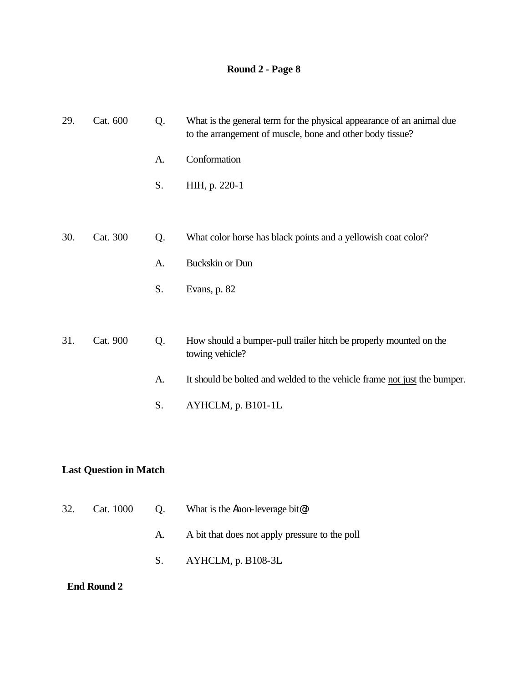| 29. | Cat. 600 | Q. | What is the general term for the physical appearance of an animal due<br>to the arrangement of muscle, bone and other body tissue? |
|-----|----------|----|------------------------------------------------------------------------------------------------------------------------------------|
|     |          | A. | Conformation                                                                                                                       |
|     |          | S. | HIH, p. 220-1                                                                                                                      |
|     |          |    |                                                                                                                                    |
| 30. | Cat. 300 | Q. | What color horse has black points and a yellowish coat color?                                                                      |
|     |          | A. | <b>Buckskin or Dun</b>                                                                                                             |
|     |          | S. | Evans, p. 82                                                                                                                       |
|     |          |    |                                                                                                                                    |
| 31. | Cat. 900 | Q. | How should a bumper-pull trailer hitch be properly mounted on the<br>towing vehicle?                                               |
|     |          | A. | It should be bolted and welded to the vehicle frame not just the bumper.                                                           |
|     |          | S. | AYHCLM, p. B101-1L                                                                                                                 |
|     |          |    |                                                                                                                                    |

### **Last Question in Match**

| 32. Cat. 1000 | Q. What is the <b>A</b> non-leverage bit $\mathcal{Q}$ ? |
|---------------|----------------------------------------------------------|
|               | A. A bit that does not apply pressure to the poll        |
|               | S. $AYHCLM$ , p. B108-3L                                 |

### **End Round 2**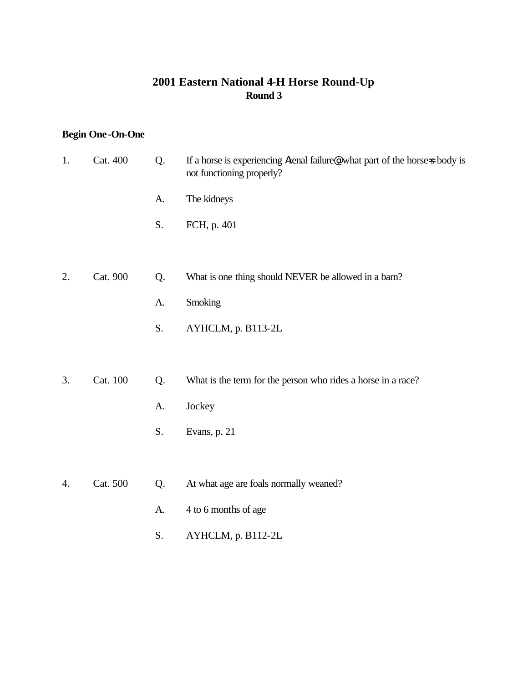#### **2001 Eastern National 4-H Horse Round-Up Round 3**

### **Begin One-On-One**

| 1. | Cat. 400 | Q. | If a horse is experiencing Arenal failure , what part of the horse-s body is<br>not functioning properly? |
|----|----------|----|-----------------------------------------------------------------------------------------------------------|
|    |          | A. | The kidneys                                                                                               |
|    |          | S. | FCH, p. 401                                                                                               |
|    |          |    |                                                                                                           |
| 2. | Cat. 900 | Q. | What is one thing should NEVER be allowed in a barn?                                                      |
|    |          | A. | Smoking                                                                                                   |
|    |          | S. | AYHCLM, p. B113-2L                                                                                        |
|    |          |    |                                                                                                           |
| 3. | Cat. 100 | Q. | What is the term for the person who rides a horse in a race?                                              |
|    |          | A. | Jockey                                                                                                    |
|    |          | S. | Evans, p. 21                                                                                              |
|    |          |    |                                                                                                           |
| 4. | Cat. 500 | Q. | At what age are foals normally weaned?                                                                    |
|    |          | A. | 4 to 6 months of age                                                                                      |

S. AYHCLM, p. B112-2L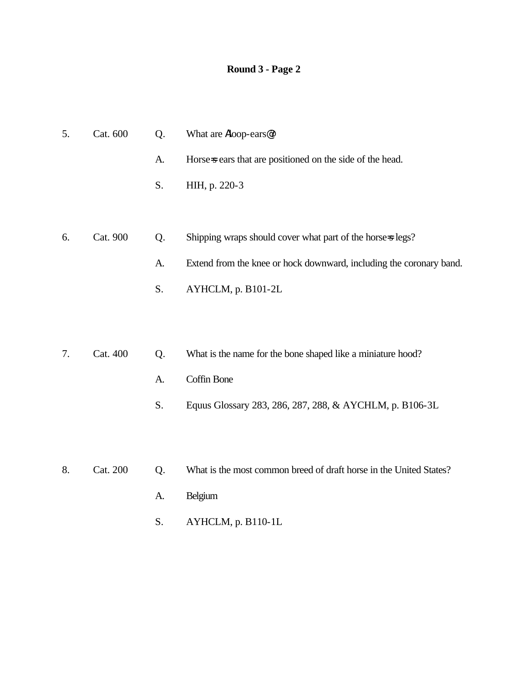| 5. | Cat. 600 | Q. | What are Aloop-ears@?                                               |
|----|----------|----|---------------------------------------------------------------------|
|    |          | A. | Horse-s ears that are positioned on the side of the head.           |
|    |          | S. | HIH, p. 220-3                                                       |
|    |          |    |                                                                     |
| 6. | Cat. 900 | Q. | Shipping wraps should cover what part of the horse-s legs?          |
|    |          | A. | Extend from the knee or hock downward, including the coronary band. |
|    |          | S. | AYHCLM, p. B101-2L                                                  |
|    |          |    |                                                                     |

- 7. Cat. 400 Q. What is the name for the bone shaped like a miniature hood?
	- A. Coffin Bone
	- S. Equus Glossary 283, 286, 287, 288, & AYCHLM, p. B106-3L
- 8. Cat. 200 Q. What is the most common breed of draft horse in the United States?
	- A. Belgium
	- S. AYHCLM, p. B110-1L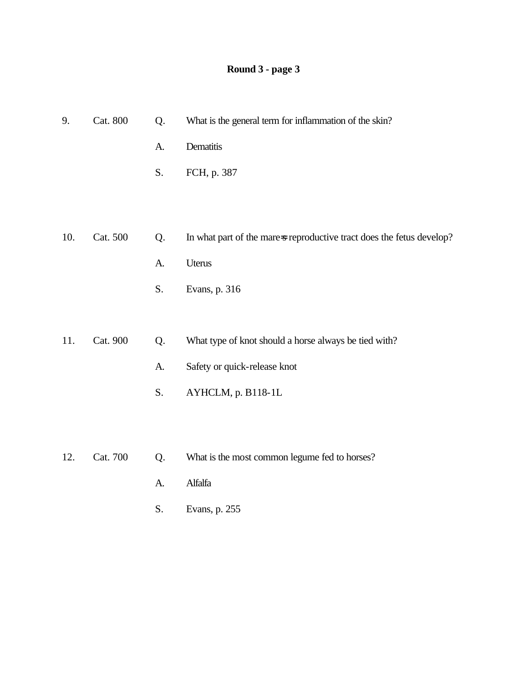# **Round 3 - page 3**

| 9.  | Cat. 800 | Q. | What is the general term for inflammation of the skin?                |
|-----|----------|----|-----------------------------------------------------------------------|
|     |          | A. | Dematitis                                                             |
|     |          | S. | FCH, p. 387                                                           |
|     |          |    |                                                                       |
|     |          |    |                                                                       |
| 10. | Cat. 500 | Q. | In what part of the mare-s reproductive tract does the fetus develop? |
|     |          | A. | Uterus                                                                |
|     |          | S. | Evans, p. 316                                                         |
|     |          |    |                                                                       |
| 11. | Cat. 900 | Q. | What type of knot should a horse always be tied with?                 |
|     |          | A. | Safety or quick-release knot                                          |
|     |          | S. | AYHCLM, p. B118-1L                                                    |
|     |          |    |                                                                       |
|     |          |    |                                                                       |
| 12. | Cat. 700 | Q. | What is the most common legume fed to horses?                         |
|     |          | A. | Alfalfa                                                               |
|     |          | S. | Evans, p. 255                                                         |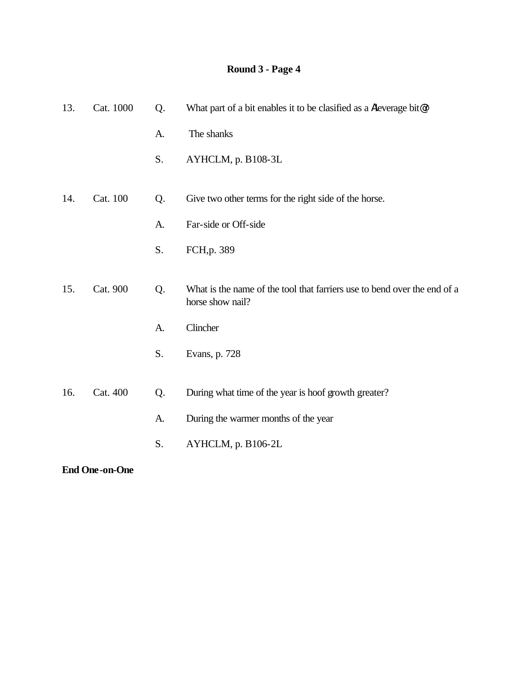| 13. | Cat. 1000 | Q. | What part of a bit enables it to be clasified as a Aleverage bit@?                           |
|-----|-----------|----|----------------------------------------------------------------------------------------------|
|     |           | A. | The shanks                                                                                   |
|     |           | S. | AYHCLM, p. B108-3L                                                                           |
| 14. | Cat. 100  | Q. | Give two other terms for the right side of the horse.                                        |
|     |           | A. | Far-side or Off-side                                                                         |
|     |           | S. | FCH, p. 389                                                                                  |
| 15. | Cat. 900  | Q. | What is the name of the tool that farriers use to bend over the end of a<br>horse show nail? |
|     |           | A. | Clincher                                                                                     |
|     |           | S. | Evans, p. 728                                                                                |
| 16. | Cat. 400  | Q. | During what time of the year is hoof growth greater?                                         |
|     |           | A. | During the warmer months of the year                                                         |
|     |           | S. | AYHCLM, p. B106-2L                                                                           |
|     |           |    |                                                                                              |

**End One-on-One**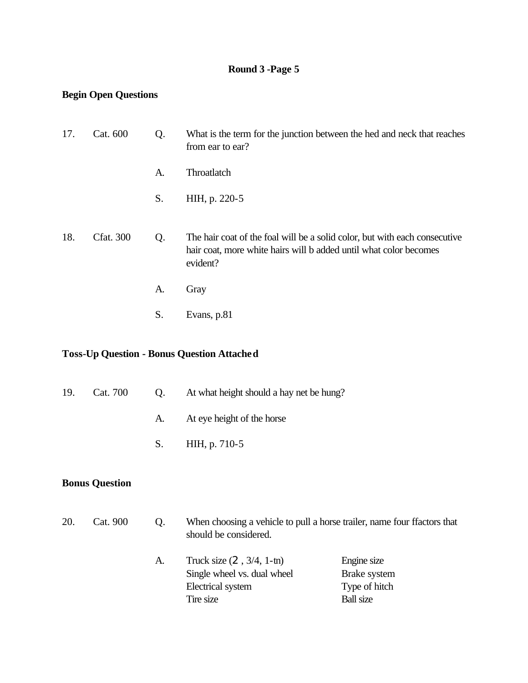## **Round 3 -Page 5**

### **Begin Open Questions**

| 17. | Cat. 600         | Q. | What is the term for the junction between the hed and neck that reaches<br>from ear to ear?                                                                 |
|-----|------------------|----|-------------------------------------------------------------------------------------------------------------------------------------------------------------|
|     |                  | A. | Throatlatch                                                                                                                                                 |
|     |                  | S. | HIH, p. 220-5                                                                                                                                               |
| 18. | <b>Cfat.</b> 300 | Q. | The hair coat of the foal will be a solid color, but with each consecutive<br>hair coat, more white hairs will b added until what color becomes<br>evident? |
|     |                  | A. | Gray                                                                                                                                                        |
|     |                  | S. | Evans, p.81                                                                                                                                                 |

# **Toss-Up Question - Bonus Question Attached**

| 19.<br>Cat. 700 |                       | Q. | At what height should a hay net be hung?                                                          |
|-----------------|-----------------------|----|---------------------------------------------------------------------------------------------------|
|                 |                       | A. | At eye height of the horse                                                                        |
|                 |                       | S. | HIH, p. 710-5                                                                                     |
|                 | <b>Bonus Question</b> |    |                                                                                                   |
| 20.             | Cat. 900              | Q. | When choosing a vehicle to pull a horse trailer, name four ffactors that<br>should be considered. |

| А. | Truck size $(2, 3/4, 1 \text{-} \text{tn})$ | Engine size      |
|----|---------------------------------------------|------------------|
|    | Single wheel vs. dual wheel                 | Brake system     |
|    | Electrical system                           | Type of hitch    |
|    | Tire size                                   | <b>Ball</b> size |
|    |                                             |                  |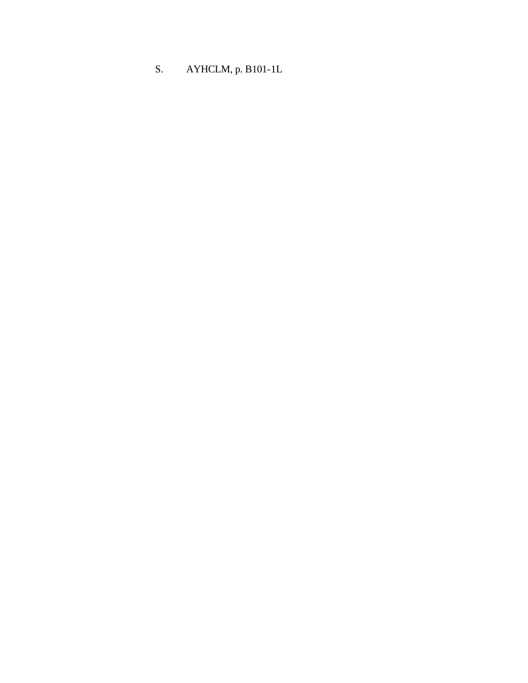# S. AYHCLM, p. B101-1L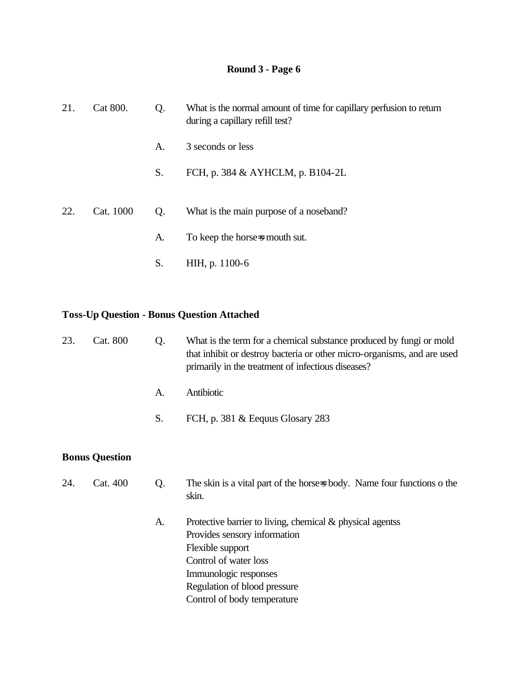| 21. | Cat 800.<br>Q.<br>during a capillary refill test? |                | What is the normal amount of time for capillary perfusion to return |
|-----|---------------------------------------------------|----------------|---------------------------------------------------------------------|
|     |                                                   | A.             | 3 seconds or less                                                   |
|     |                                                   | S.             | FCH, p. 384 & AYHCLM, p. B104-2L                                    |
|     |                                                   |                |                                                                     |
| 22. | Cat. 1000                                         | Q <sub>r</sub> | What is the main purpose of a noseband?                             |
|     |                                                   | A.             | To keep the horse-s mouth sut.                                      |
|     |                                                   | S.             | HIH, p. 1100-6                                                      |

# **Toss-Up Question - Bonus Question Attached**

| 23. | Cat. 800              | Q. | What is the term for a chemical substance produced by fungi or mold<br>that inhibit or destroy bacteria or other micro-organisms, and are used<br>primarily in the treatment of infectious diseases? |
|-----|-----------------------|----|------------------------------------------------------------------------------------------------------------------------------------------------------------------------------------------------------|
|     |                       | A. | Antibiotic                                                                                                                                                                                           |
|     |                       | S. | FCH, p. 381 & Eequus Glosary 283                                                                                                                                                                     |
|     | <b>Bonus Question</b> |    |                                                                                                                                                                                                      |
| 24. | Cat. 400              | Q. | The skin is a vital part of the horse-s body. Name four functions o the<br>skin.                                                                                                                     |
|     |                       | A. | Protective barrier to living, chemical $\&$ physical agentss<br>Provides sensory information<br>Flexible support<br>Control of water loss<br>Immunologic responses<br>Regulation of blood pressure   |

Control of body temperature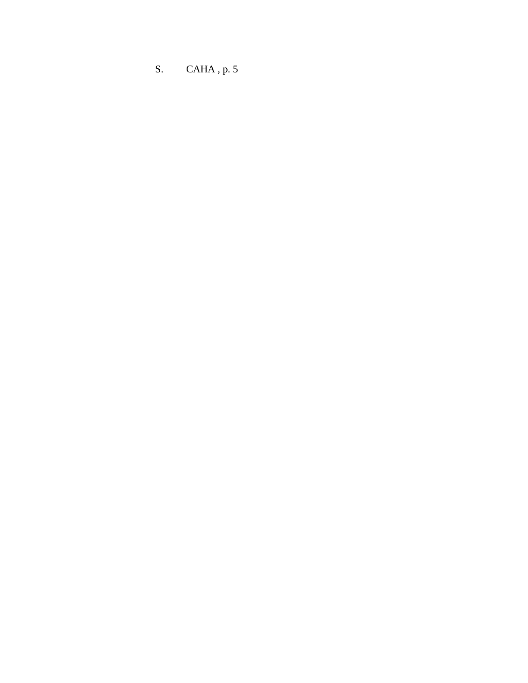S. CAHA , p. 5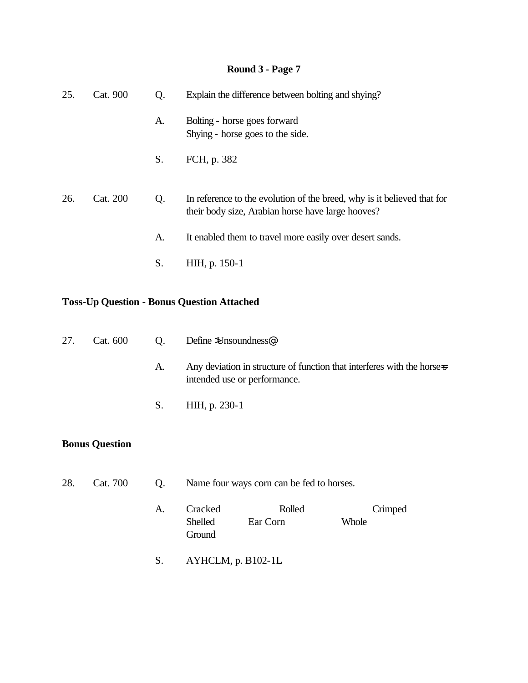| 25. | Cat. 900 | Q. | Explain the difference between bolting and shying?                                                                           |
|-----|----------|----|------------------------------------------------------------------------------------------------------------------------------|
|     |          | A. | Bolting - horse goes forward<br>Shying - horse goes to the side.                                                             |
|     |          | S. | FCH, p. 382                                                                                                                  |
| 26. | Cat. 200 | Q. | In reference to the evolution of the breed, why is it believed that for<br>their body size, Arabian horse have large hooves? |
|     |          | A. | It enabled them to travel more easily over desert sands.                                                                     |
|     |          | S. | HIH, p. 150-1                                                                                                                |

### **Toss-Up Question - Bonus Question Attached**

| 27. |    | Cat. 600 Q. Define >Unsoundness.                                                                        |
|-----|----|---------------------------------------------------------------------------------------------------------|
|     | A. | Any deviation in structure of function that interferes with the horse-s<br>intended use or performance. |
|     |    | S. HIH, p. 230-1                                                                                        |

### **Bonus Question**

- 28. Cat. 700 Q. Name four ways corn can be fed to horses.
	- A. Cracked Rolled Crimped Shelled Ear Corn Whole **Ground**
	- S. AYHCLM, p. B102-1L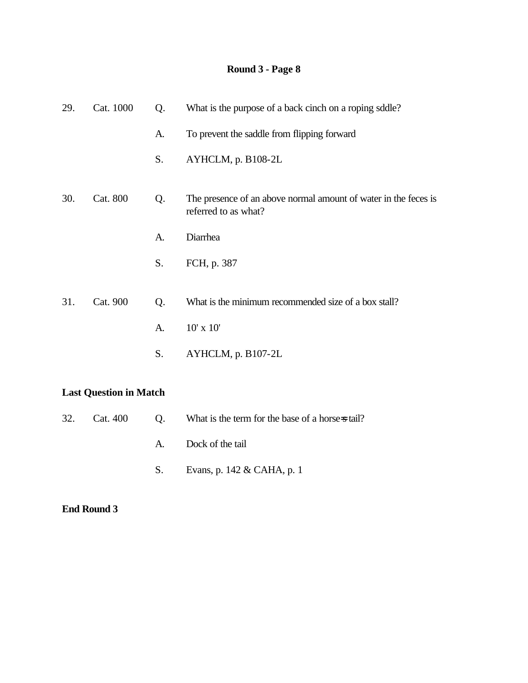| 29. | Cat. 1000 | Q. | What is the purpose of a back cinch on a roping sddle?                                  |
|-----|-----------|----|-----------------------------------------------------------------------------------------|
|     |           | A. | To prevent the saddle from flipping forward                                             |
|     |           | S. | AYHCLM, p. B108-2L                                                                      |
| 30. | Cat. 800  | Q. | The presence of an above normal amount of water in the feces is<br>referred to as what? |
|     |           | A. | Diarrhea                                                                                |
|     |           | S. | FCH, p. 387                                                                             |
|     | Cat. 900  |    |                                                                                         |
| 31. |           | Q. | What is the minimum recommended size of a box stall?                                    |
|     |           | A. | $10'$ x $10'$                                                                           |
|     |           | S. | AYHCLM, p. B107-2L                                                                      |
|     |           |    |                                                                                         |

### **Last Question in Match**

|  | 32. Cat. 400 Q. What is the term for the base of a horse-stail? |
|--|-----------------------------------------------------------------|
|  | A. Dock of the tail                                             |
|  | S. Evans, p. $142 \&$ CAHA, p. 1                                |

#### **End Round 3**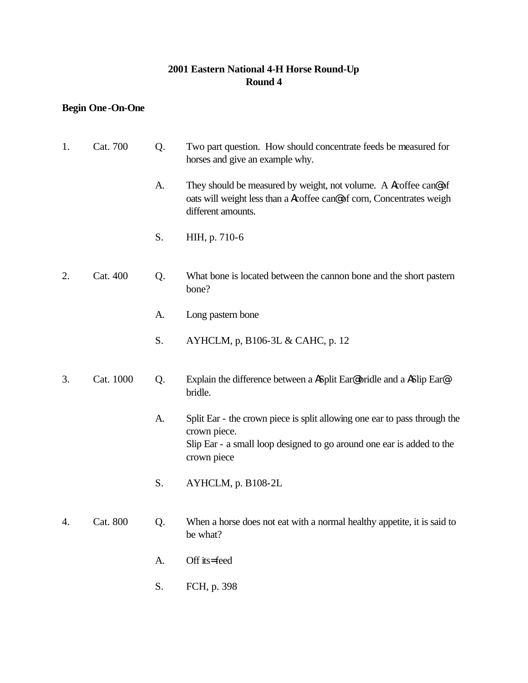### **2001 Eastern National 4-H Horse Round-Up Round 4**

## **Begin One-On-One**

| 1. | Cat. 700  | Q. | Two part question. How should concentrate feeds be measured for<br>horses and give an example why.                                                                                |
|----|-----------|----|-----------------------------------------------------------------------------------------------------------------------------------------------------------------------------------|
|    |           | A. | They should be measured by weight, not volume. A Acoffee can@of<br>oats will weight less than a <i>Acoffee can@of corn</i> , Concentrates weigh<br>different amounts.             |
|    |           | S. | HIH, p. 710-6                                                                                                                                                                     |
| 2. | Cat. 400  | Q. | What bone is located between the cannon bone and the short pastern<br>bone?                                                                                                       |
|    |           | A. | Long pastern bone                                                                                                                                                                 |
|    |           | S. | AYHCLM, p, B106-3L & CAHC, p. 12                                                                                                                                                  |
| 3. | Cat. 1000 | Q. | Explain the difference between a ASplit Ear® bridle and a ASlip Ear®<br>bridle.                                                                                                   |
|    |           | A. | Split Ear - the crown piece is split allowing one ear to pass through the<br>crown piece.<br>Slip Ear - a small loop designed to go around one ear is added to the<br>crown piece |
|    |           | S. | AYHCLM, p. B108-2L                                                                                                                                                                |
| 4. | Cat. 800  | Q. | When a horse does not eat with a normal healthy appetite, it is said to<br>be what?                                                                                               |
|    |           | A. | Off its=feed                                                                                                                                                                      |

S. FCH, p. 398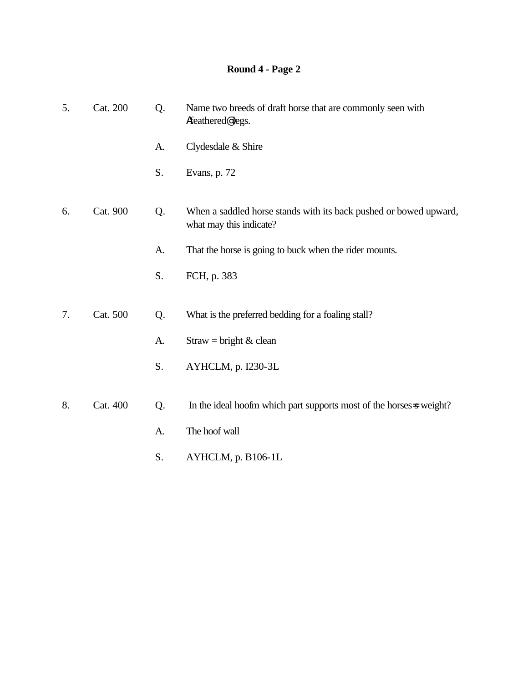| 5. | Cat. 200 | Q. | Name two breeds of draft horse that are commonly seen with<br>Afeathered@legs.               |
|----|----------|----|----------------------------------------------------------------------------------------------|
|    |          | A. | Clydesdale & Shire                                                                           |
|    |          | S. | Evans, p. 72                                                                                 |
| 6. | Cat. 900 | Q. | When a saddled horse stands with its back pushed or bowed upward,<br>what may this indicate? |
|    |          | A. | That the horse is going to buck when the rider mounts.                                       |
|    |          | S. | FCH, p. 383                                                                                  |
| 7. | Cat. 500 | Q. | What is the preferred bedding for a foaling stall?                                           |
|    |          | A. | Straw = bright $&$ clean                                                                     |
|    |          | S. | AYHCLM, p. I230-3L                                                                           |
| 8. | Cat. 400 | Q. | In the ideal hoofm which part supports most of the horses-s weight?                          |
|    |          | A. | The hoof wall                                                                                |
|    |          | S. | AYHCLM, p. B106-1L                                                                           |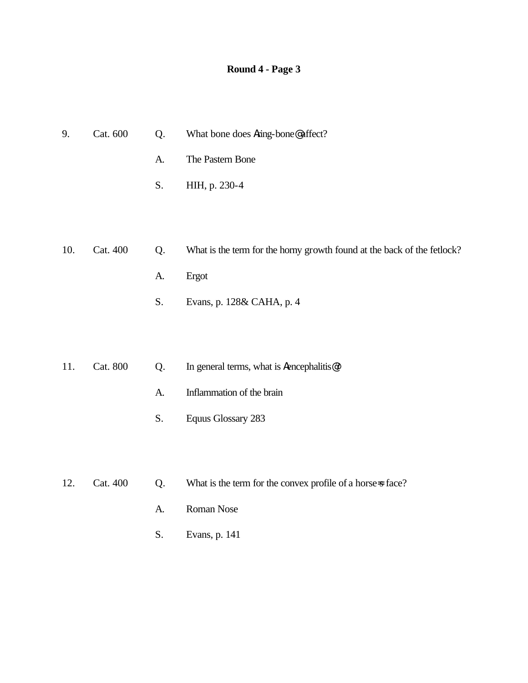| 9.  | Cat. 600 | Q. | What bone does Aring-bone@affect?                                       |  |
|-----|----------|----|-------------------------------------------------------------------------|--|
|     |          | A. | The Pastern Bone                                                        |  |
|     |          | S. | HIH, p. 230-4                                                           |  |
|     |          |    |                                                                         |  |
|     |          |    |                                                                         |  |
| 10. | Cat. 400 | Q. | What is the term for the horny growth found at the back of the fetlock? |  |
|     |          | A. | Ergot                                                                   |  |
|     |          | S. | Evans, p. 128& CAHA, p. 4                                               |  |
|     |          |    |                                                                         |  |
| 11. | Cat. 800 | Q. | In general terms, what is Aencephalitis@?                               |  |
|     |          |    |                                                                         |  |
|     |          | A. | Inflammation of the brain                                               |  |
|     |          | S. | <b>Equus Glossary 283</b>                                               |  |
|     |          |    |                                                                         |  |
| 12. | Cat. 400 | Q. | What is the term for the convex profile of a horse-s face?              |  |

- A. Roman Nose
- S. Evans, p. 141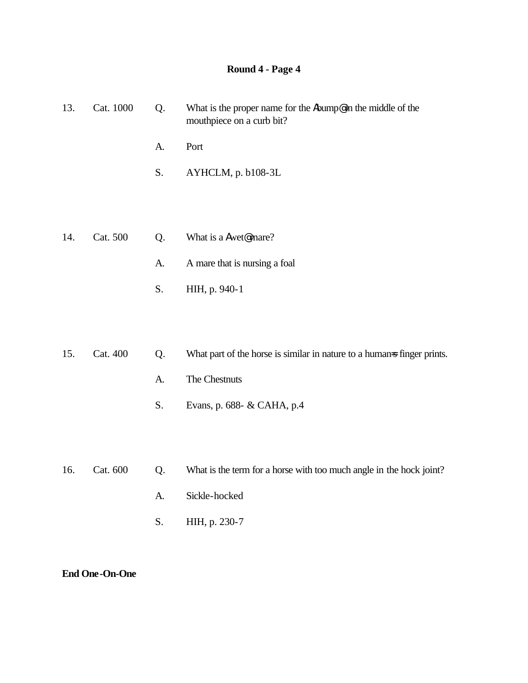| 13. | Cat. 1000 | Q. | What is the proper name for the Abump@ in the middle of the<br>mouthpiece on a curb bit? |
|-----|-----------|----|------------------------------------------------------------------------------------------|
|     |           | A. | Port                                                                                     |
|     |           | S. | AYHCLM, p. b108-3L                                                                       |
|     |           |    |                                                                                          |
| 14. | Cat. 500  | Q. | What is a Awet@mare?                                                                     |
|     |           | A. | A mare that is nursing a foal                                                            |
|     |           | S. | HIH, p. 940-1                                                                            |
|     |           |    |                                                                                          |
| 15. | Cat. 400  | Q. | What part of the horse is similar in nature to a humans finger prints.                   |
|     |           | A. | The Chestnuts                                                                            |
|     |           | S. | Evans, p. 688- & CAHA, p.4                                                               |
|     |           |    |                                                                                          |
| 16. | Cat. 600  | Q. | What is the term for a horse with too much angle in the hock joint?                      |
|     |           | A. | Sickle-hocked                                                                            |
|     |           | S. | HIH, p. 230-7                                                                            |
|     |           |    |                                                                                          |

#### **End One-On-One**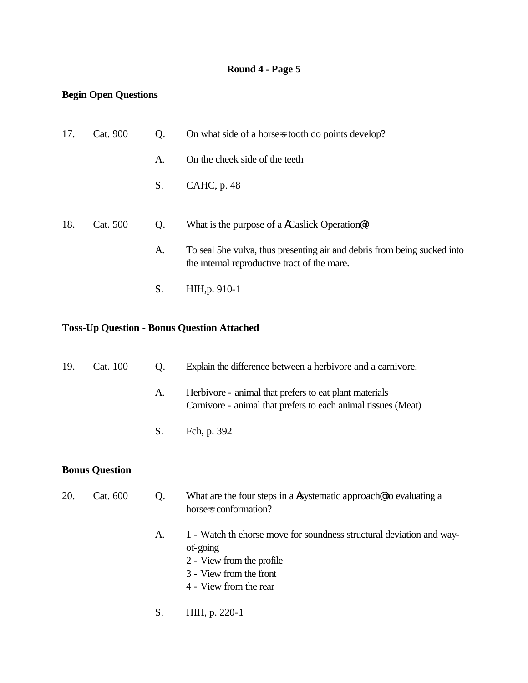### **Begin Open Questions**

| 17. | Cat. 900 | Q. | On what side of a horse is tooth do points develop?                                                                      |
|-----|----------|----|--------------------------------------------------------------------------------------------------------------------------|
|     |          | А. | On the cheek side of the teeth                                                                                           |
|     |          | S. | CAHC, p. 48                                                                                                              |
| 18. | Cat. 500 | Q. | What is the purpose of a ACaslick Operation <sup>®</sup> ?                                                               |
|     |          | A. | To seal 5he vulva, thus presenting air and debris from being sucked into<br>the internal reproductive tract of the mare. |
|     |          | S. | HIH, p. 910-1                                                                                                            |

### **Toss-Up Question - Bonus Question Attached**

| 19. | Cat. 100              | Q. | Explain the difference between a herbivore and a carnivore.<br>Herbivore - animal that prefers to eat plant materials<br>Carnivore - animal that prefers to each animal tissues (Meat) |  |
|-----|-----------------------|----|----------------------------------------------------------------------------------------------------------------------------------------------------------------------------------------|--|
|     |                       | A. |                                                                                                                                                                                        |  |
|     |                       | S. | Fch, p. 392                                                                                                                                                                            |  |
|     | <b>Bonus Question</b> |    |                                                                                                                                                                                        |  |
| 20. | Cat. 600              | Q. | What are the four steps in a Asystematic approach to evaluating a<br>horse=s conformation?                                                                                             |  |
|     |                       | A. | 1 - Watch th ehorse move for soundness structural deviation and way-<br>of-going<br>2 - View from the profile<br>3 - View from the front<br>4 - View from the rear                     |  |
|     |                       | S. | HIH, p. 220-1                                                                                                                                                                          |  |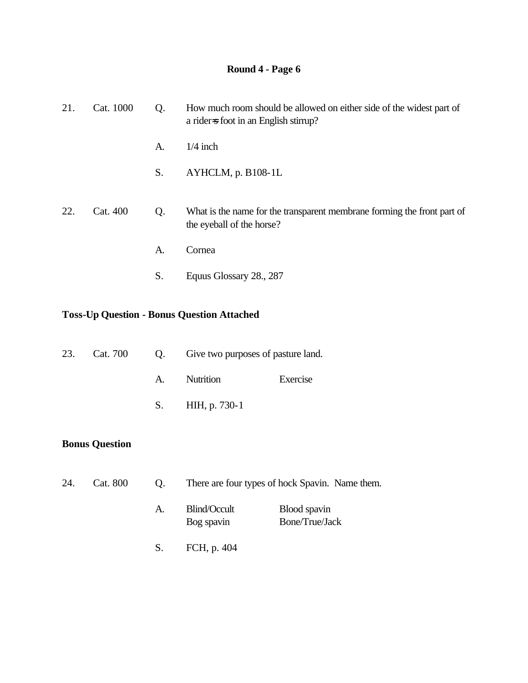| 21. | Cat. 1000 | Q. | How much room should be allowed on either side of the widest part of<br>a rider-s foot in an English stirrup? |  |
|-----|-----------|----|---------------------------------------------------------------------------------------------------------------|--|
|     |           | A. | $1/4$ inch                                                                                                    |  |
|     |           | S. | $AYHCLM$ , p. B $108-1L$                                                                                      |  |
| 22. | Cat. 400  | Q. | What is the name for the transparent membrane forming the front part of<br>the eyeball of the horse?          |  |
|     |           | A. | Cornea                                                                                                        |  |
|     |           | S. | Equus Glossary 28., 287                                                                                       |  |

# **Toss-Up Question - Bonus Question Attached**

|  |    |                  | 23. Cat. 700 Q. Give two purposes of pasture land. |  |
|--|----|------------------|----------------------------------------------------|--|
|  | A. | Nutrition        | Exercise                                           |  |
|  |    | S. HIH, p. 730-1 |                                                    |  |

## **Bonus Question**

| 24. | Cat. 800 | $\mathbf{O}$ . | There are four types of hock Spavin. Name them. |                                |  |
|-----|----------|----------------|-------------------------------------------------|--------------------------------|--|
|     |          | A.             | Blind/Occult<br>Bog spavin                      | Blood spavin<br>Bone/True/Jack |  |
|     |          | S.             | FCH, p. 404                                     |                                |  |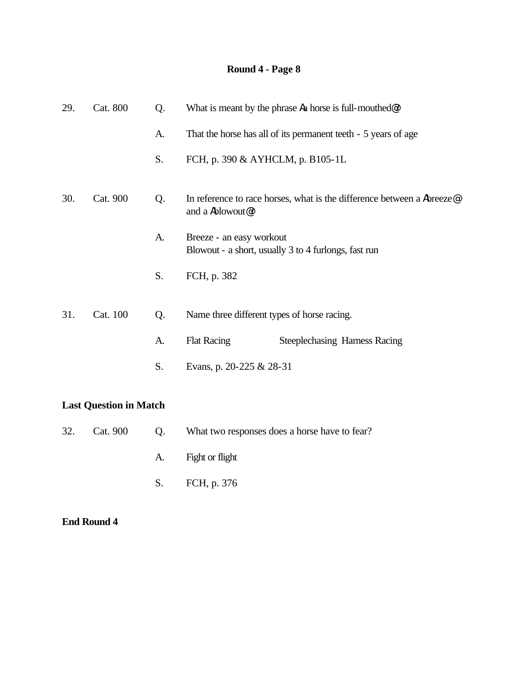| 29. | Cat. 800 | Q. | What is meant by the phrase A a horse is full-mouthed. |                                                                                    |  |
|-----|----------|----|--------------------------------------------------------|------------------------------------------------------------------------------------|--|
|     |          | A. |                                                        | That the horse has all of its permanent teeth - 5 years of age                     |  |
|     |          | S. | FCH, p. 390 & AYHCLM, p. B105-1L                       |                                                                                    |  |
| 30. | Cat. 900 | Q. | and a Ablowout <sup>@</sup> ?                          | In reference to race horses, what is the difference between a Abreeze <sup>®</sup> |  |
|     |          | A. | Breeze - an easy workout                               | Blowout - a short, usually 3 to 4 furlongs, fast run                               |  |
|     |          | S. | FCH, p. 382                                            |                                                                                    |  |
| 31. | Cat. 100 | Q. | Name three different types of horse racing.            |                                                                                    |  |
|     |          | A. | <b>Flat Racing</b>                                     | <b>Steeplechasing Harness Racing</b>                                               |  |
|     |          | S. | Evans, p. 20-225 & 28-31                               |                                                                                    |  |
|     |          |    |                                                        |                                                                                    |  |

## **Last Question in Match**

|  | 32. Cat. 900 | $\bullet$ O. | What two responses does a horse have to fear? |
|--|--------------|--------------|-----------------------------------------------|
|  |              |              | A. Fight or flight                            |
|  |              |              | S. FCH, p. 376                                |

### **End Round 4**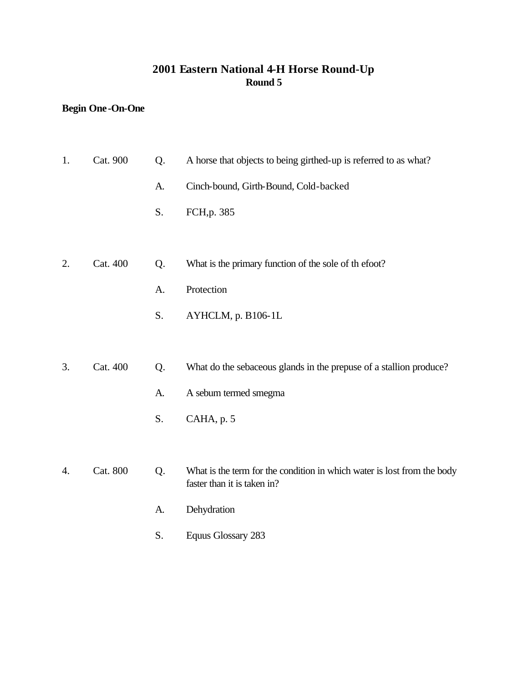## **2001 Eastern National 4-H Horse Round-Up Round 5**

## **Begin One-On-One**

| 1. | Cat. 900 | Q. | A horse that objects to being girthed-up is referred to as what?                                       |
|----|----------|----|--------------------------------------------------------------------------------------------------------|
|    |          | A. | Cinch-bound, Girth-Bound, Cold-backed                                                                  |
|    |          | S. | FCH, p. 385                                                                                            |
|    |          |    |                                                                                                        |
| 2. | Cat. 400 | Q. | What is the primary function of the sole of the foot?                                                  |
|    |          | A. | Protection                                                                                             |
|    |          | S. | AYHCLM, p. B106-1L                                                                                     |
|    |          |    |                                                                                                        |
| 3. | Cat. 400 | Q. | What do the sebaceous glands in the prepuse of a stallion produce?                                     |
|    |          | A. | A sebum termed smegma                                                                                  |
|    |          | S. | CAHA, p. 5                                                                                             |
|    |          |    |                                                                                                        |
| 4. | Cat. 800 | Q. | What is the term for the condition in which water is lost from the body<br>faster than it is taken in? |
|    |          | A. | Dehydration                                                                                            |
|    |          | S. | <b>Equus Glossary 283</b>                                                                              |
|    |          |    |                                                                                                        |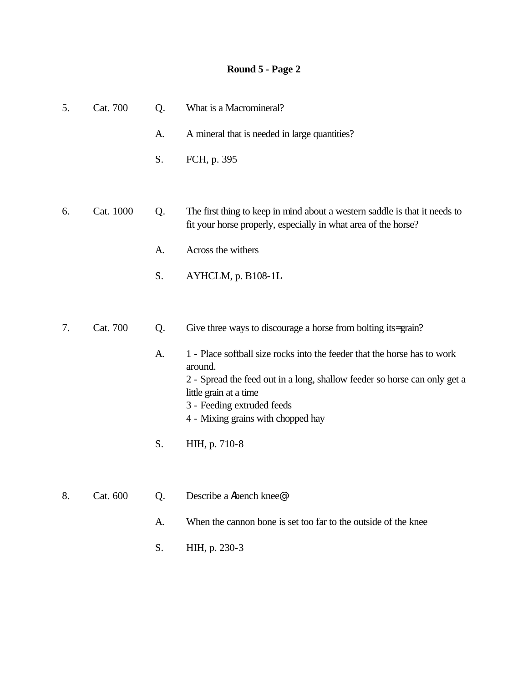| 5. | Cat. 700  | Q. | What is a Macromineral?                                                                                                                      |
|----|-----------|----|----------------------------------------------------------------------------------------------------------------------------------------------|
|    |           | A. | A mineral that is needed in large quantities?                                                                                                |
|    |           | S. | FCH, p. 395                                                                                                                                  |
|    |           |    |                                                                                                                                              |
| 6. | Cat. 1000 | Q. | The first thing to keep in mind about a western saddle is that it needs to<br>fit your horse properly, especially in what area of the horse? |
|    |           | A. | Across the withers                                                                                                                           |
|    |           | S. | AYHCLM, p. B108-1L                                                                                                                           |
|    |           |    |                                                                                                                                              |
| 7. | Cat. 700  | Q. | Give three ways to discourage a horse from bolting its=grain?                                                                                |
|    |           | A. | 1 - Place softball size rocks into the feeder that the horse has to work<br>around.                                                          |
|    |           |    | 2 - Spread the feed out in a long, shallow feeder so horse can only get a<br>little grain at a time                                          |
|    |           |    | 3 - Feeding extruded feeds                                                                                                                   |
|    |           |    | 4 - Mixing grains with chopped hay                                                                                                           |
|    |           | S. | HIH, p. 710-8                                                                                                                                |
|    |           |    |                                                                                                                                              |
| 8. | Cat. 600  | Q. | Describe a Abench knee <sup>®</sup> .                                                                                                        |

- A. When the cannon bone is set too far to the outside of the knee
- S. HIH, p. 230-3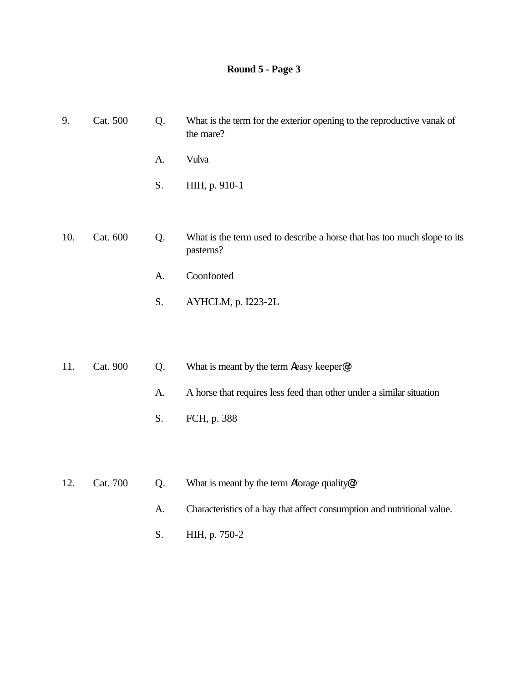| 9.  | Cat. 500 | Q. | What is the term for the exterior opening to the reproductive vanak of<br>the mare?   |
|-----|----------|----|---------------------------------------------------------------------------------------|
|     |          | A. | Vulva                                                                                 |
|     |          | S. | HIH, p. 910-1                                                                         |
|     |          |    |                                                                                       |
| 10. | Cat. 600 | Q. | What is the term used to describe a horse that has too much slope to its<br>pasterns? |
|     |          | A. | Coonfooted                                                                            |
|     |          | S. | AYHCLM, p. I223-2L                                                                    |
|     |          |    |                                                                                       |

- 11. Cat. 900 Q. What is meant by the term **A**easy keeper<sup>®</sup>?
	- A. A horse that requires less feed than other under a similar situation
	- S. FCH, p. 388
- 12. Cat. 700 Q. What is meant by the term Aforage quality<sup>*o*?</sup>
	- A. Characteristics of a hay that affect consumption and nutritional value.
	- S. HIH, p. 750-2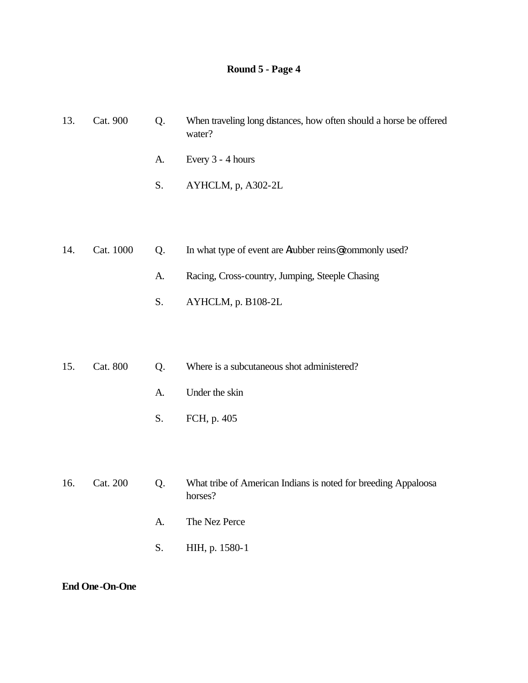| 13. | Cat. 900  | Q. | When traveling long distances, how often should a horse be offered<br>water? |
|-----|-----------|----|------------------------------------------------------------------------------|
|     |           | A. | Every 3 - 4 hours                                                            |
|     |           | S. | AYHCLM, p, A302-2L                                                           |
|     |           |    |                                                                              |
|     |           |    |                                                                              |
| 14. | Cat. 1000 | Q. | In what type of event are Arubber reins@commonly used?                       |
|     |           | A. | Racing, Cross-country, Jumping, Steeple Chasing                              |
|     |           | S. | AYHCLM, p. B108-2L                                                           |
|     |           |    |                                                                              |
|     |           |    |                                                                              |
| 15. | Cat. 800  | Q. | Where is a subcutaneous shot administered?                                   |

- A. Under the skin
	-
	- S. FCH, p. 405
- 16. Cat. 200 Q. What tribe of American Indians is noted for breeding Appaloosa horses? A. The Nez Perce
	- S. HIH, p. 1580-1

**End One-On-One**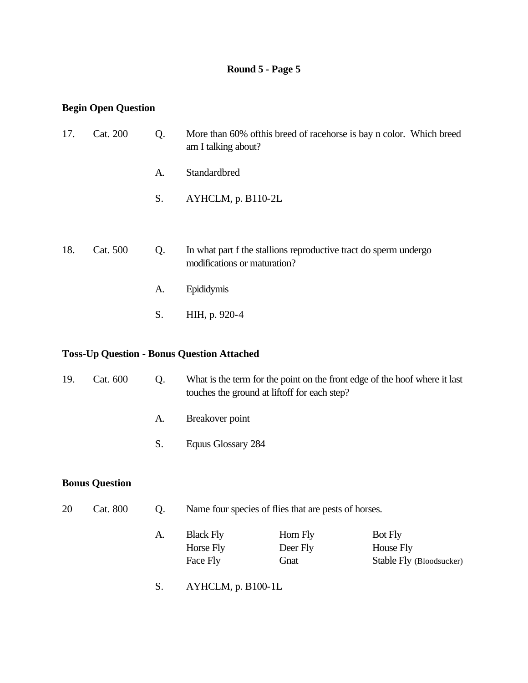### **Begin Open Question**

| 17. | Cat. 200 | Q. | More than 60% of this breed of racehorse is bay n color. Which breed<br>am I talking about?      |
|-----|----------|----|--------------------------------------------------------------------------------------------------|
|     |          | A. | Standardbred                                                                                     |
|     |          | S. | AYHCLM, p. B110-2L                                                                               |
|     |          |    |                                                                                                  |
| 18. | Cat. 500 | Q. | In what part f the stallions reproductive tract do sperm undergo<br>modifications or maturation? |
|     |          | A. | Epididymis                                                                                       |
|     |          | S. | HIH, p. 920-4                                                                                    |
|     |          |    |                                                                                                  |

### **Toss-Up Question - Bonus Question Attached**

| 19. | Cat. 600              | Q. | What is the term for the point on the front edge of the hoof where it last<br>touches the ground at lift of for each step? |
|-----|-----------------------|----|----------------------------------------------------------------------------------------------------------------------------|
|     |                       | A. | Breakover point                                                                                                            |
|     |                       | S. | Equus Glossary 284                                                                                                         |
|     | <b>Bonus Question</b> |    |                                                                                                                            |
| 20  | Cat. 800              | Q. | Name four species of flies that are pests of horses.                                                                       |
|     |                       |    |                                                                                                                            |

| A. | <b>Black Fly</b> | Horn Fly | <b>Bot Fly</b>           |
|----|------------------|----------|--------------------------|
|    | Horse Fly        | Deer Fly | House Fly                |
|    | Face Fly         | Gnat     | Stable Fly (Bloodsucker) |

S. AYHCLM, p. B100-1L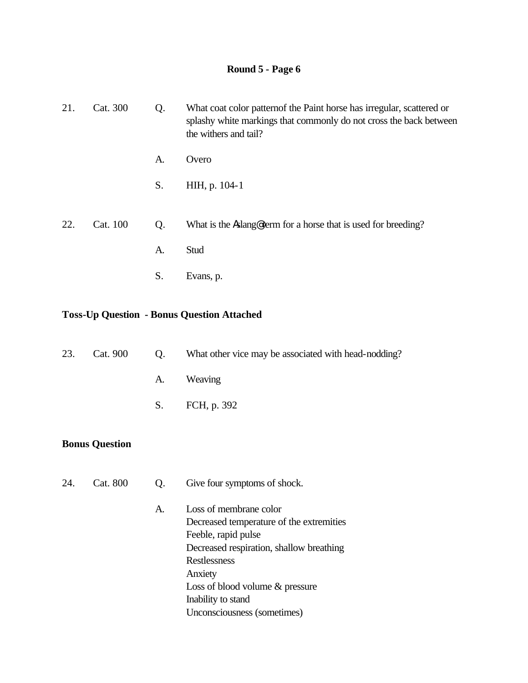| 21. | Cat. 300 | Q. | What coat color pattern of the Paint horse has irregular, scattered or<br>splashy white markings that commonly do not cross the back between<br>the withers and tail? |
|-----|----------|----|-----------------------------------------------------------------------------------------------------------------------------------------------------------------------|
|     |          | A. | Overo                                                                                                                                                                 |
|     |          | S. | HIH, p. 104-1                                                                                                                                                         |
|     |          |    |                                                                                                                                                                       |
| 22. | Cat. 100 | Q. | What is the Aslang eterm for a horse that is used for breeding?                                                                                                       |
|     |          | A. | Stud                                                                                                                                                                  |
|     |          | S. | Evans, p.                                                                                                                                                             |

#### **Toss-Up Question - Bonus Question Attached**

| O.       | What other vice may be associated with head-nodding? |
|----------|------------------------------------------------------|
|          | A. Weaving                                           |
|          | S. FCH, p. 392                                       |
| Cat. 900 |                                                      |

#### **Bonus Question**

- 24. Cat. 800 Q. Give four symptoms of shock.
	- A. Loss of membrane color Decreased temperature of the extremities Feeble, rapid pulse Decreased respiration, shallow breathing Restlessness Anxiety Loss of blood volume & pressure Inability to stand Unconsciousness (sometimes)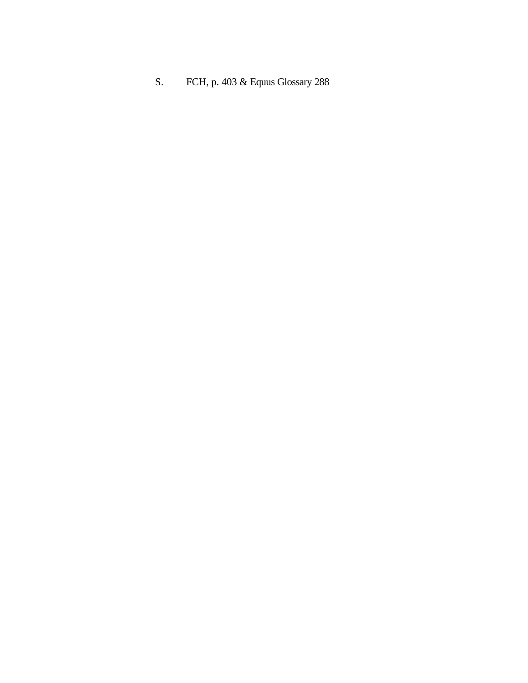S. FCH, p. 403 & Equus Glossary 288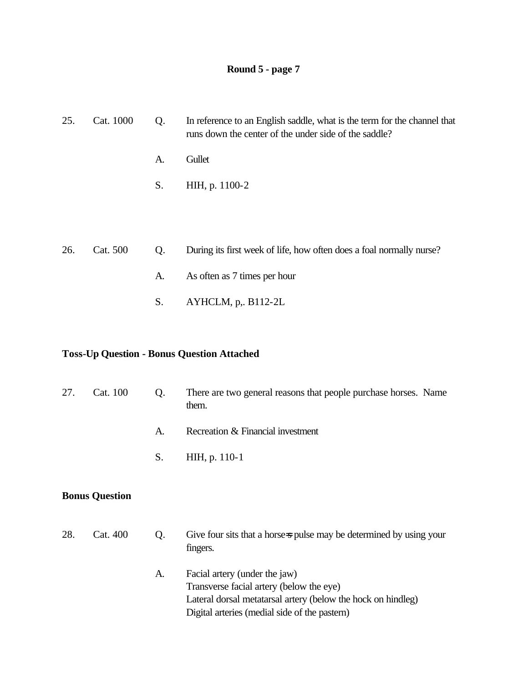| 25. | Cat. 1000 | Q. | In reference to an English saddle, what is the term for the channel that<br>runs down the center of the under side of the saddle? |
|-----|-----------|----|-----------------------------------------------------------------------------------------------------------------------------------|
|     |           | A. | Gullet                                                                                                                            |
|     |           | S. | HIH, p. 1100-2                                                                                                                    |
|     |           |    |                                                                                                                                   |
|     |           |    |                                                                                                                                   |
| 26. | Cat. 500  | Q. | During its first week of life, how often does a foal normally nurse?                                                              |
|     |           | A. | As often as 7 times per hour                                                                                                      |
|     |           | S. | $AYHCLM$ , p,. B112-2L                                                                                                            |

#### **Toss-Up Question - Bonus Question Attached**

| 27. | Cat. 100<br>Q.<br>them. |                         | There are two general reasons that people purchase horses. Name                 |
|-----|-------------------------|-------------------------|---------------------------------------------------------------------------------|
|     |                         | A.                      | Recreation & Financial investment                                               |
|     |                         | S.                      | HIH, p. 110-1                                                                   |
|     | <b>Bonus Question</b>   |                         |                                                                                 |
| 28. | Cat. 400                | Q.                      | Give four sits that a horse-s pulse may be determined by using your<br>fingers. |
|     |                         | $\lambda$ and $\lambda$ | $\Gamma_{\alpha\alpha\alpha}$ of $\sim$ (under the inv)                         |

A. Facial artery (under the jaw) Transverse facial artery (below the eye) Lateral dorsal metatarsal artery (below the hock on hindleg) Digital arteries (medial side of the pastern)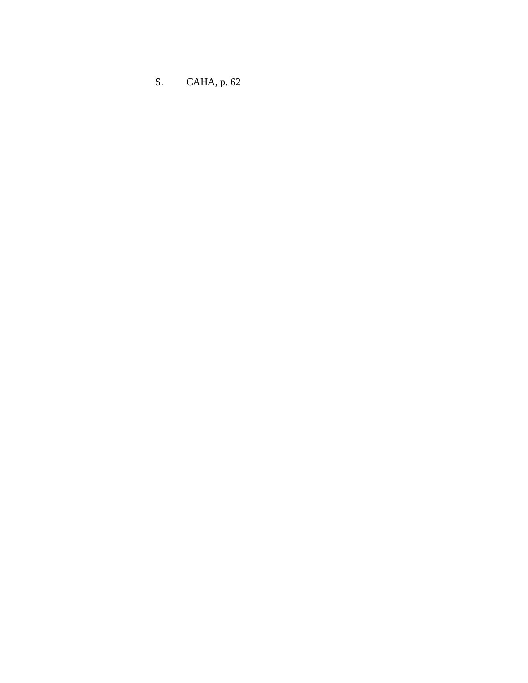S. CAHA, p. 62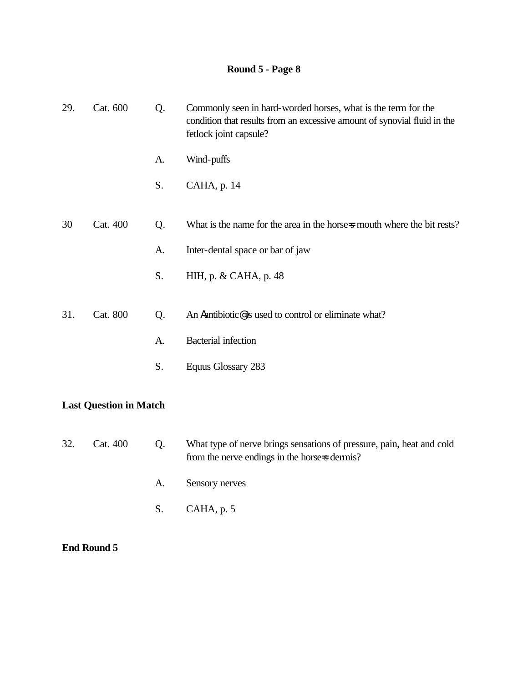| 29. | Cat. 600                      | Q. | Commonly seen in hard-worded horses, what is the term for the<br>condition that results from an excessive amount of synovial fluid in the<br>fetlock joint capsule? |  |  |  |
|-----|-------------------------------|----|---------------------------------------------------------------------------------------------------------------------------------------------------------------------|--|--|--|
|     |                               | A. | Wind-puffs                                                                                                                                                          |  |  |  |
|     |                               | S. | CAHA, p. 14                                                                                                                                                         |  |  |  |
| 30  | Cat. 400                      | Q. | What is the name for the area in the horse mouth where the bit rests?                                                                                               |  |  |  |
|     |                               | A. | Inter-dental space or bar of jaw                                                                                                                                    |  |  |  |
|     |                               | S. | HIH, p. & CAHA, p. 48                                                                                                                                               |  |  |  |
| 31. | Cat. 800                      | Q. | An Aantibiotic@is used to control or eliminate what?                                                                                                                |  |  |  |
|     |                               | A. | <b>Bacterial</b> infection                                                                                                                                          |  |  |  |
|     |                               | S. | Equus Glossary 283                                                                                                                                                  |  |  |  |
|     | <b>Last Question in Match</b> |    |                                                                                                                                                                     |  |  |  |

# 32. Cat. 400 Q. What type of nerve brings sensations of pressure, pain, heat and cold from the nerve endings in the horse-s dermis? A. Sensory nerves S. CAHA, p. 5

### **End Round 5**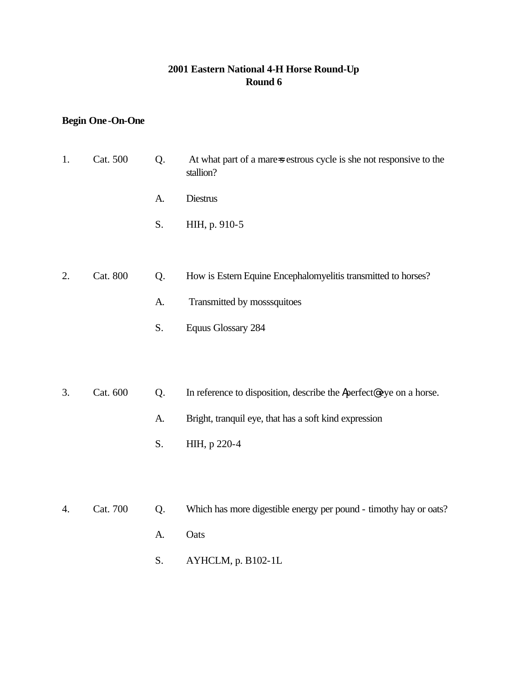#### **2001 Eastern National 4-H Horse Round-Up Round 6**

## **Begin One-On-One**

| 1. | Cat. 500 | Q. | At what part of a mare-s estrous cycle is she not responsive to the<br>stallion? |
|----|----------|----|----------------------------------------------------------------------------------|
|    |          | A. | Diestrus                                                                         |
|    |          | S. | HIH, p. 910-5                                                                    |
|    |          |    |                                                                                  |
| 2. | Cat. 800 | Q. | How is Estern Equine Encephalomyelitis transmitted to horses?                    |
|    |          | A. | Transmitted by mosssquitoes                                                      |
|    |          | S. | <b>Equus Glossary 284</b>                                                        |
|    |          |    |                                                                                  |
| 3. | Cat. 600 | Q. | In reference to disposition, describe the Aperfect@eye on a horse.               |
|    |          | A. | Bright, tranquil eye, that has a soft kind expression                            |
|    |          | S. | HIH, p 220-4                                                                     |
|    |          |    |                                                                                  |
|    |          |    |                                                                                  |
| 4. | Cat. 700 | Q. | Which has more digestible energy per pound - timothy hay or oats?                |
|    |          | A. | Oats                                                                             |

- 
- S. AYHCLM, p. B102-1L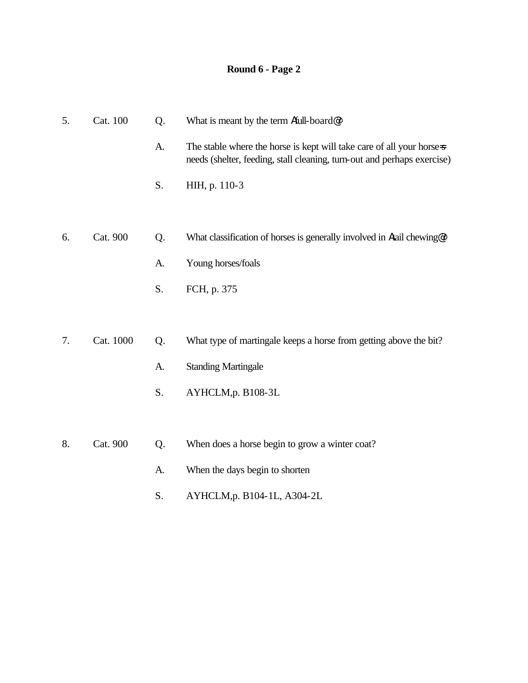| 5. | Cat. 100  | Q. | What is meant by the term Afull-board@?                                                                                                          |
|----|-----------|----|--------------------------------------------------------------------------------------------------------------------------------------------------|
|    |           | A. | The stable where the horse is kept will take care of all your horse-s<br>needs (shelter, feeding, stall cleaning, turn-out and perhaps exercise) |
|    |           | S. | HIH, p. 110-3                                                                                                                                    |
|    |           |    |                                                                                                                                                  |
| 6. | Cat. 900  | Q. | What classification of horses is generally involved in Atail chewing@?                                                                           |
|    |           | A. | Young horses/foals                                                                                                                               |
|    |           | S. | FCH, p. 375                                                                                                                                      |
|    |           |    |                                                                                                                                                  |
| 7. | Cat. 1000 | Q. | What type of martingale keeps a horse from getting above the bit?                                                                                |
|    |           | A. | <b>Standing Martingale</b>                                                                                                                       |
|    |           | S. | AYHCLM,p. B108-3L                                                                                                                                |
|    |           |    |                                                                                                                                                  |
| 8. | Cat. 900  | Q. | When does a horse begin to grow a winter coat?                                                                                                   |
|    |           | A. | When the days begin to shorten                                                                                                                   |
|    |           | S. | AYHCLM, p. B104-1L, A304-2L                                                                                                                      |
|    |           |    |                                                                                                                                                  |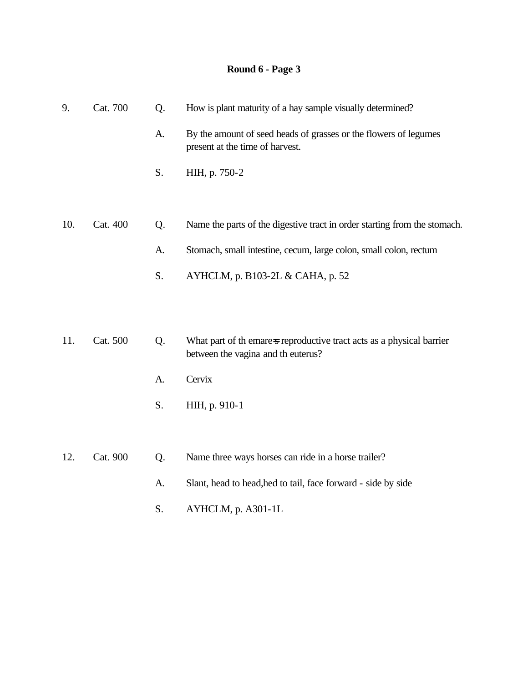| 9.  | Cat. 700 | Q. | How is plant maturity of a hay sample visually determined?                                                  |
|-----|----------|----|-------------------------------------------------------------------------------------------------------------|
|     |          | A. | By the amount of seed heads of grasses or the flowers of legumes<br>present at the time of harvest.         |
|     |          | S. | HIH, p. 750-2                                                                                               |
|     |          |    |                                                                                                             |
| 10. | Cat. 400 | Q. | Name the parts of the digestive tract in order starting from the stomach.                                   |
|     |          | A. | Stomach, small intestine, cecum, large colon, small colon, rectum                                           |
|     |          | S. | AYHCLM, p. B103-2L & CAHA, p. 52                                                                            |
|     |          |    |                                                                                                             |
|     |          |    |                                                                                                             |
| 11. | Cat. 500 | Q. | What part of the mare s reproductive tract acts as a physical barrier<br>between the vagina and th euterus? |
|     |          | A. | Cervix                                                                                                      |
|     |          | S. | HIH, p. 910-1                                                                                               |
|     |          |    |                                                                                                             |
| 12. | Cat. 900 | Q. | Name three ways horses can ride in a horse trailer?                                                         |
|     |          | A. | Slant, head to head, hed to tail, face forward - side by side                                               |

S. AYHCLM, p. A301-1L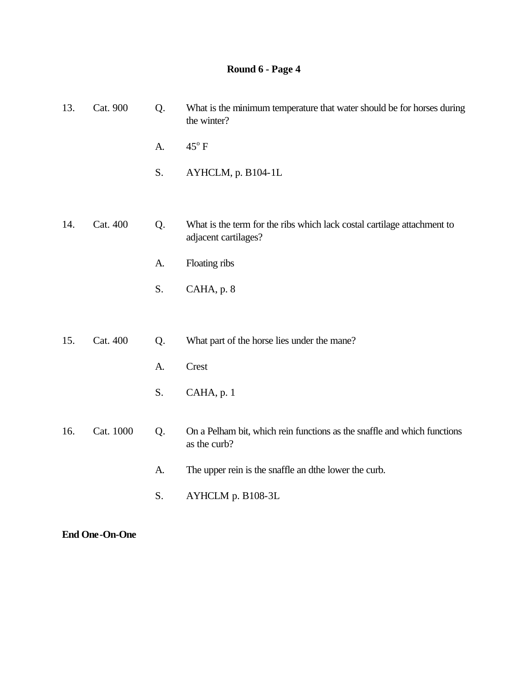| 13. | Cat. 900  | Q. | What is the minimum temperature that water should be for horses during<br>the winter?           |
|-----|-----------|----|-------------------------------------------------------------------------------------------------|
|     |           | A. | $45^{\circ}$ F                                                                                  |
|     |           | S. | AYHCLM, p. B104-1L                                                                              |
|     |           |    |                                                                                                 |
| 14. | Cat. 400  | Q. | What is the term for the ribs which lack costal cartilage attachment to<br>adjacent cartilages? |
|     |           | A. | Floating ribs                                                                                   |
|     |           | S. | CAHA, p. 8                                                                                      |
|     |           |    |                                                                                                 |
| 15. | Cat. 400  | Q. | What part of the horse lies under the mane?                                                     |
|     |           | A. | Crest                                                                                           |
|     |           | S. | CAHA, p. 1                                                                                      |
| 16. | Cat. 1000 | Q. | On a Pelham bit, which rein functions as the snaffle and which functions<br>as the curb?        |
|     |           | A. | The upper rein is the snaffle an dthe lower the curb.                                           |
|     |           | S. | AYHCLM p. B108-3L                                                                               |

**End One-On-One**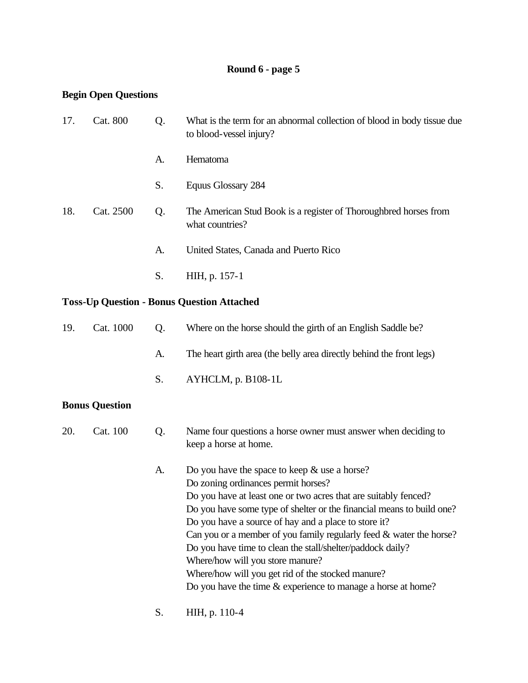#### **Begin Open Questions**

| 17. | Cat. 800  | Q. | What is the term for an abnormal collection of blood in body tissue due<br>to blood-vessel injury? |
|-----|-----------|----|----------------------------------------------------------------------------------------------------|
|     |           | A. | <b>Hematoma</b>                                                                                    |
|     |           | S. | Equus Glossary 284                                                                                 |
| 18. | Cat. 2500 | Q. | The American Stud Book is a register of Thoroughbred horses from<br>what countries?                |
|     |           | A. | United States, Canada and Puerto Rico                                                              |
|     |           | S. | HIH, p. 157-1                                                                                      |

### **Toss-Up Question - Bonus Question Attached**

| 19. | Cat. 1000 | $\Omega$ . | Where on the horse should the girth of an English Saddle be?         |
|-----|-----------|------------|----------------------------------------------------------------------|
|     |           | A.         | The heart girth area (the belly area directly behind the front legs) |
|     |           |            | S. $AYHCLM$ , p. B108-1L                                             |

### **Bonus Question**

| 20. | Cat. 100 | Name four questions a horse owner must answer when deciding to |
|-----|----------|----------------------------------------------------------------|
|     |          | keep a horse at home.                                          |

| А. | Do you have the space to keep $&$ use a horse?                        |
|----|-----------------------------------------------------------------------|
|    | Do zoning ordinances permit horses?                                   |
|    | Do you have at least one or two acres that are suitably fenced?       |
|    | Do you have some type of shelter or the financial means to build one? |
|    | Do you have a source of hay and a place to store it?                  |
|    | Can you or a member of you family regularly feed $&$ water the horse? |
|    | Do you have time to clean the stall/shelter/paddock daily?            |
|    | Where/how will you store manure?                                      |
|    | Where/how will you get rid of the stocked manure?                     |
|    | Do you have the time $&$ experience to manage a horse at home?        |
|    |                                                                       |

S. HIH, p. 110-4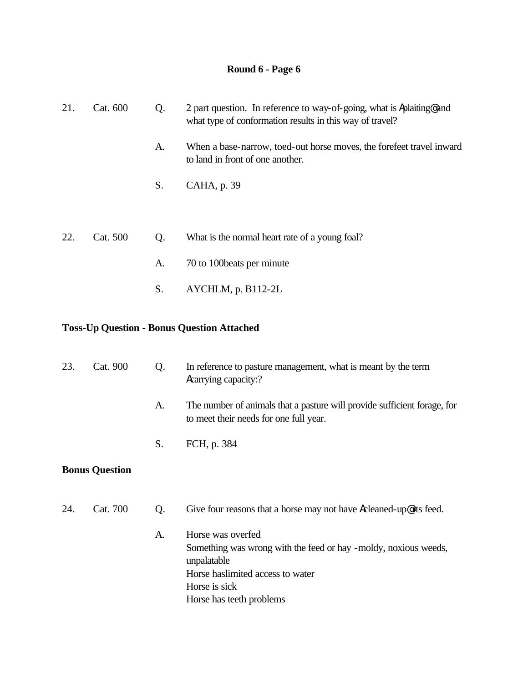| 21. | Cat. 600 | Q. | 2 part question. In reference to way-of-going, what is Aplaiting and<br>what type of conformation results in this way of travel? |  |
|-----|----------|----|----------------------------------------------------------------------------------------------------------------------------------|--|
|     |          | A. | When a base-narrow, toed-out horse moves, the forefeet travel inward<br>to land in front of one another.                         |  |
|     |          | S. | CAHA, p. 39                                                                                                                      |  |
| 22. | Cat. 500 | Q. | What is the normal heart rate of a young foal?                                                                                   |  |
|     |          | A. | 70 to 100 beats per minute                                                                                                       |  |
|     |          | S. | AYCHLM, p. B112-2L                                                                                                               |  |

#### **Toss-Up Question - Bonus Question Attached**

| 23.                   | Cat. 900 | Q. | In reference to pasture management, what is meant by the term<br>Acarrying capacity:?                                                                                                 |
|-----------------------|----------|----|---------------------------------------------------------------------------------------------------------------------------------------------------------------------------------------|
| A.                    |          |    | The number of animals that a pasture will provide sufficient forage, for<br>to meet their needs for one full year.                                                                    |
|                       |          | S. | FCH, p. 384                                                                                                                                                                           |
| <b>Bonus Question</b> |          |    |                                                                                                                                                                                       |
| 24.                   | Cat. 700 | Q. | Give four reasons that a horse may not have Acleaned-up@ its feed.                                                                                                                    |
|                       |          | A. | Horse was overfed<br>Something was wrong with the feed or hay -moldy, noxious weeds,<br>unpalatable<br>Horse has limited access to water<br>Horse is sick<br>Horse has teeth problems |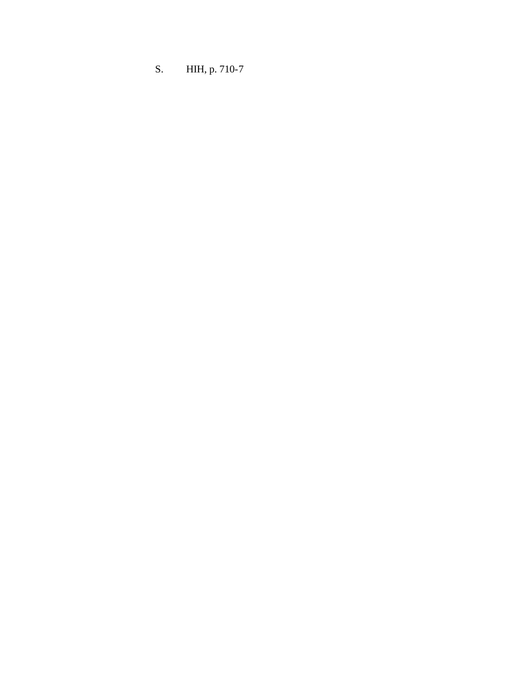S. HIH, p. 710-7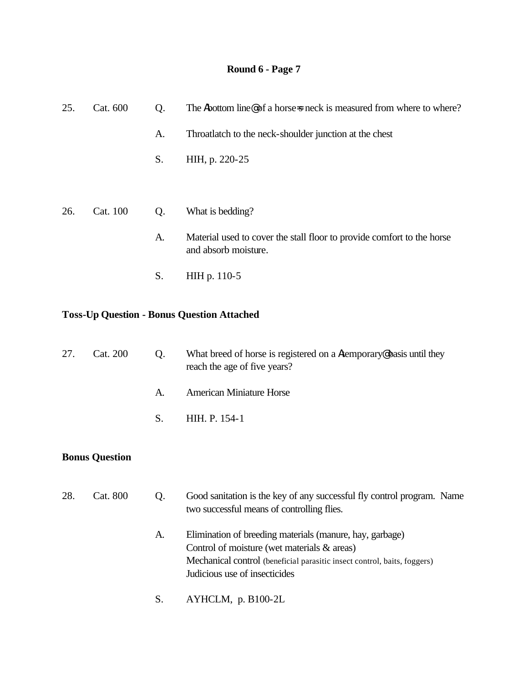| 25. | Cat. 600 | Q. | The Abottom line@ of a horse=s neck is measured from where to where?                           |  |  |
|-----|----------|----|------------------------------------------------------------------------------------------------|--|--|
|     |          | A. | Throatlatch to the neck-shoulder junction at the chest                                         |  |  |
|     |          | S. | HIH, p. 220-25                                                                                 |  |  |
|     |          |    |                                                                                                |  |  |
| 26. | Cat. 100 | Q. | What is bedding?                                                                               |  |  |
|     |          | A. | Material used to cover the stall floor to provide comfort to the horse<br>and absorb moisture. |  |  |
|     |          | S. | HIH p. 110-5                                                                                   |  |  |
|     |          |    |                                                                                                |  |  |

#### **Toss-Up Question - Bonus Question Attached**

| 27. | Cat. 200              | Q. | What breed of horse is registered on a Atemporary Chassis until they<br>reach the age of five years?                 |
|-----|-----------------------|----|----------------------------------------------------------------------------------------------------------------------|
|     |                       | A. | <b>American Miniature Horse</b>                                                                                      |
|     |                       | S. | HIH. P. 154-1                                                                                                        |
|     | <b>Bonus Question</b> |    |                                                                                                                      |
| 28. | Cat. 800              | Q. | Good sanitation is the key of any successful fly control program. Name<br>two successful means of controlling flies. |

- A. Elimination of breeding materials (manure, hay, garbage) Control of moisture (wet materials & areas) Mechanical control (beneficial parasitic insect control, baits, foggers) Judicious use of insecticides
- S. AYHCLM, p. B100-2L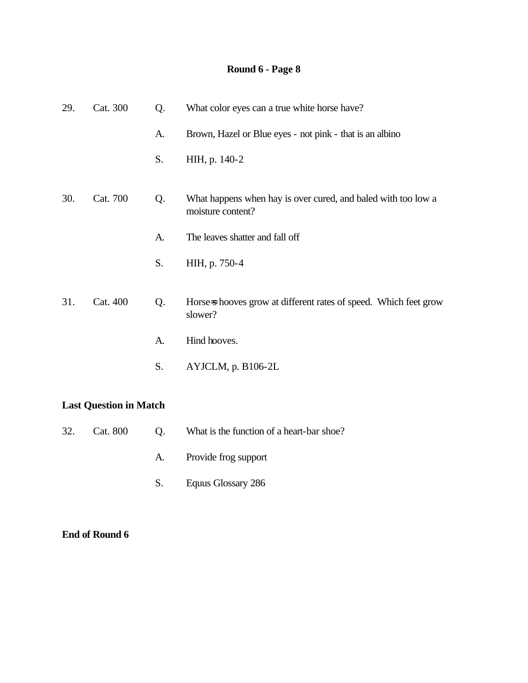| 29. | Cat. 300 | Q. | What color eyes can a true white horse have?                                       |
|-----|----------|----|------------------------------------------------------------------------------------|
|     |          | A. | Brown, Hazel or Blue eyes - not pink - that is an albino                           |
|     |          | S. | HIH, p. 140-2                                                                      |
| 30. | Cat. 700 | Q. | What happens when hay is over cured, and baled with too low a<br>moisture content? |
|     |          | A. | The leaves shatter and fall off                                                    |
|     |          | S. | HIH, p. 750-4                                                                      |
| 31. | Cat. 400 | Q. | Horse-s hooves grow at different rates of speed. Which feet grow<br>slower?        |
|     |          | A. | Hind hooves.                                                                       |
|     |          | S. | AYJCLM, p. B106-2L                                                                 |
|     |          |    |                                                                                    |

## **Last Question in Match**

| 32. Cat. 800 Q. | What is the function of a heart-bar shoe? |
|-----------------|-------------------------------------------|
|                 | A. Provide frog support                   |

S. Equus Glossary 286

#### **End of Round 6**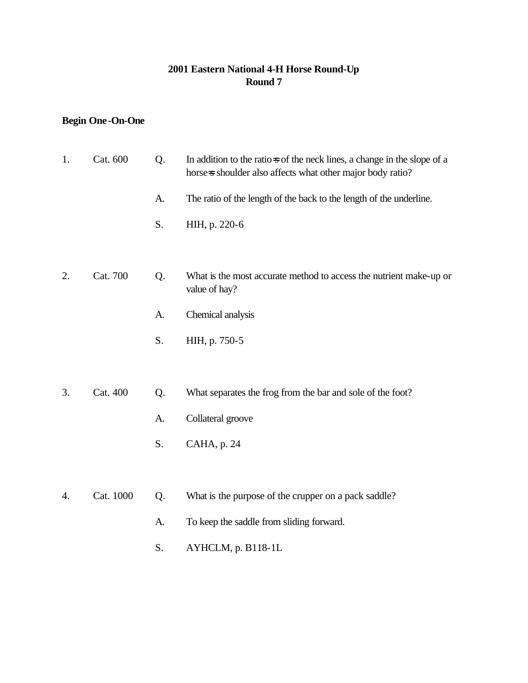#### **2001 Eastern National 4-H Horse Round-Up Round 7**

## **Begin One-On-One**

| 1. | Cat. 600  | Q. | In addition to the ratios of the neck lines, a change in the slope of a<br>horse-s shoulder also affects what other major body ratio? |
|----|-----------|----|---------------------------------------------------------------------------------------------------------------------------------------|
|    |           | A. | The ratio of the length of the back to the length of the underline.                                                                   |
|    |           | S. | HIH, p. 220-6                                                                                                                         |
|    |           |    |                                                                                                                                       |
| 2. | Cat. 700  | Q. | What is the most accurate method to access the nutrient make-up or<br>value of hay?                                                   |
|    |           | A. | Chemical analysis                                                                                                                     |
|    |           | S. | HIH, p. 750-5                                                                                                                         |
|    |           |    |                                                                                                                                       |
| 3. | Cat. 400  | Q. | What separates the frog from the bar and sole of the foot?                                                                            |
|    |           | A. | Collateral groove                                                                                                                     |
|    |           | S. | CAHA, p. 24                                                                                                                           |
|    |           |    |                                                                                                                                       |
| 4. | Cat. 1000 | Q. | What is the purpose of the crupper on a pack saddle?                                                                                  |
|    |           | A. | To keep the saddle from sliding forward.                                                                                              |

S. AYHCLM, p. B118-1L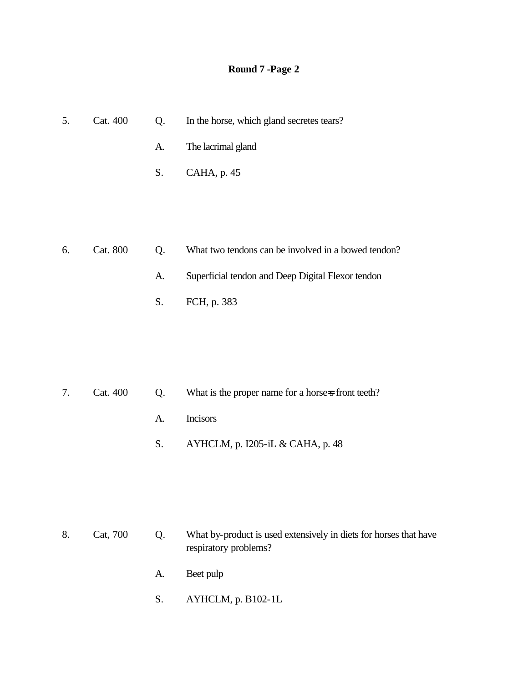| 5. | Cat. 400 | Q. | In the horse, which gland secretes tears? |
|----|----------|----|-------------------------------------------|
|    |          |    | A. The lacrimal gland                     |
|    |          |    | $S.$ CAHA, p. 45                          |
|    |          |    |                                           |

| 6. | Cat. 800 | $($ ) | What two tendons can be involved in a bowed tendon? |
|----|----------|-------|-----------------------------------------------------|
|    |          | A.    | Superficial tendon and Deep Digital Flexor tendon   |
|    |          |       | S. FCH, p. 383                                      |

|  | 7. Cat. 400 Q. What is the proper name for a horse-s front teeth? |
|--|-------------------------------------------------------------------|
|  | A. Incisors                                                       |
|  | S. AYHCLM, p. I205-iL & CAHA, p. 48                               |

8. Cat, 700 Q. What by-product is used extensively in diets for horses that have respiratory problems?

- A. Beet pulp
- S. AYHCLM, p. B102-1L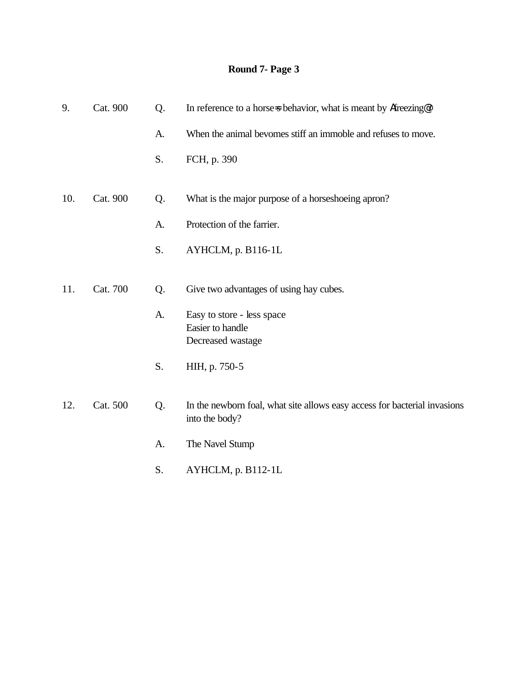| 9.  | Cat. 900 | Q. | In reference to a horse-s behavior, what is meant by Afreezing@?                            |
|-----|----------|----|---------------------------------------------------------------------------------------------|
|     |          | A. | When the animal bevomes stiff an immoble and refuses to move.                               |
|     |          | S. | FCH, p. 390                                                                                 |
| 10. | Cat. 900 | Q. | What is the major purpose of a horseshoeing apron?                                          |
|     |          | A. | Protection of the farrier.                                                                  |
|     |          | S. | AYHCLM, p. B116-1L                                                                          |
| 11. | Cat. 700 | Q. | Give two advantages of using hay cubes.                                                     |
|     |          | A. | Easy to store - less space<br>Easier to handle<br>Decreased wastage                         |
|     |          | S. | HIH, p. 750-5                                                                               |
| 12. | Cat. 500 | Q. | In the newborn foal, what site allows easy access for bacterial invasions<br>into the body? |
|     |          | A. | The Navel Stump                                                                             |
|     |          | S. | AYHCLM, p. B112-1L                                                                          |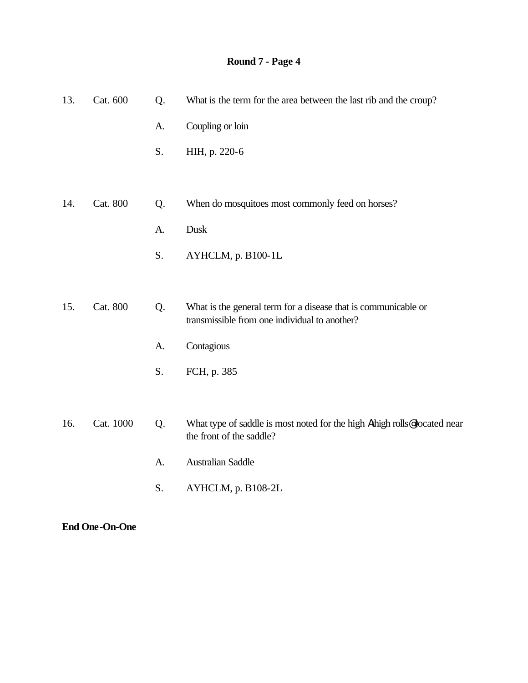| 13. | Cat. 600        | Q. | What is the term for the area between the last rib and the croup?                                               |
|-----|-----------------|----|-----------------------------------------------------------------------------------------------------------------|
|     |                 | A. | Coupling or loin                                                                                                |
|     |                 | S. | HIH, p. 220-6                                                                                                   |
|     |                 |    |                                                                                                                 |
| 14. | <b>Cat. 800</b> | Q. | When do mosquitoes most commonly feed on horses?                                                                |
|     |                 | A. | Dusk                                                                                                            |
|     |                 | S. | AYHCLM, p. B100-1L                                                                                              |
|     |                 |    |                                                                                                                 |
| 15. | <b>Cat. 800</b> | Q. | What is the general term for a disease that is communicable or<br>transmissible from one individual to another? |
|     |                 | A. | Contagious                                                                                                      |
|     |                 | S. | FCH, p. 385                                                                                                     |
|     |                 |    |                                                                                                                 |
| 16. | Cat. 1000       | Q. | What type of saddle is most noted for the high Athigh rolls@located near<br>the front of the saddle?            |
|     |                 | A. | <b>Australian Saddle</b>                                                                                        |
|     |                 | S. | AYHCLM, p. B108-2L                                                                                              |
|     |                 |    |                                                                                                                 |

**End One-On-One**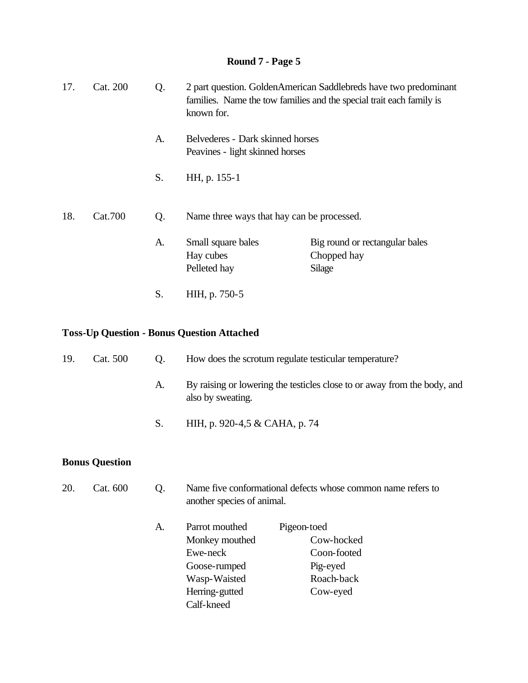| 17. | Cat. 200 | Q. | known for.                                                          | 2 part question. GoldenAmerican Saddlebreds have two predominant<br>families. Name the tow families and the special trait each family is |
|-----|----------|----|---------------------------------------------------------------------|------------------------------------------------------------------------------------------------------------------------------------------|
|     |          | A. | Belvederes - Dark skinned horses<br>Peavines - light skinned horses |                                                                                                                                          |
|     |          | S. | HH, p. 155-1                                                        |                                                                                                                                          |
| 18. | Cat.700  | Q. | Name three ways that hay can be processed.                          |                                                                                                                                          |
|     |          | A. | Small square bales<br>Hay cubes<br>Pelleted hay                     | Big round or rectangular bales<br>Chopped hay<br>Silage                                                                                  |
|     |          | S. | HIH, p. 750-5                                                       |                                                                                                                                          |

### **Toss-Up Question - Bonus Question Attached**

| 19. | Cat. 500              | Q. | How does the scrotum regulate testicular temperature?                                          |                                                                                |
|-----|-----------------------|----|------------------------------------------------------------------------------------------------|--------------------------------------------------------------------------------|
|     |                       | A. | also by sweating.                                                                              | By raising or lowering the testicles close to or away from the body, and       |
|     |                       | S. | HIH, p. 920-4,5 & CAHA, p. 74                                                                  |                                                                                |
|     | <b>Bonus Question</b> |    |                                                                                                |                                                                                |
| 20. | Cat. 600              | Q. | another species of animal.                                                                     | Name five conformational defects whose common name refers to                   |
|     |                       | A. | Parrot mouthed<br>Monkey mouthed<br>Ewe-neck<br>Goose-rumped<br>Wasp-Waisted<br>Herring-gutted | Pigeon-toed<br>Cow-hocked<br>Coon-footed<br>Pig-eyed<br>Roach-back<br>Cow-eyed |

Calf-kneed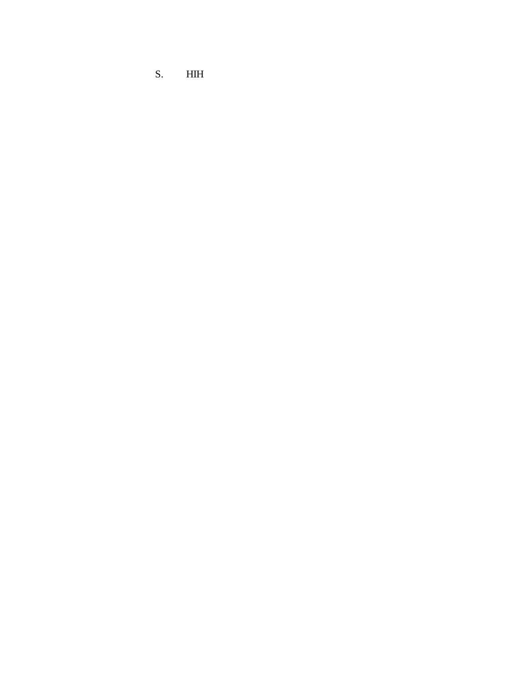S. HIH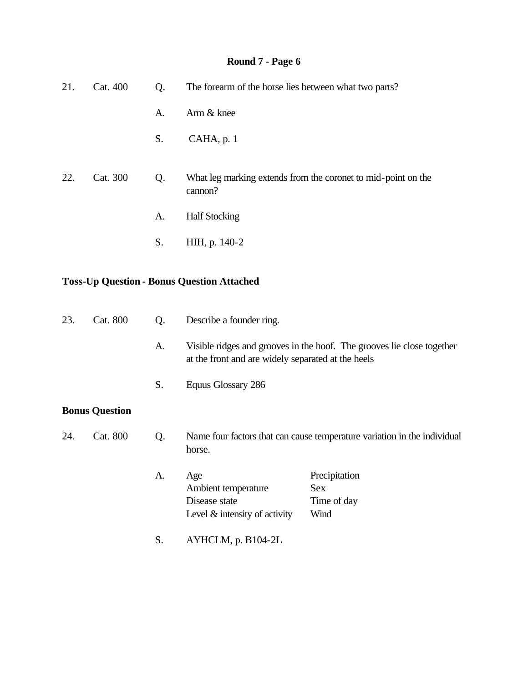| 21. | Cat. 400              | Q. | The forearm of the horse lies between what two parts?                           |                                                                          |
|-----|-----------------------|----|---------------------------------------------------------------------------------|--------------------------------------------------------------------------|
|     |                       | A. | Arm & knee                                                                      |                                                                          |
|     |                       | S. | CAHA, p. 1                                                                      |                                                                          |
| 22. | Cat. 300              | Q. | cannon?                                                                         | What leg marking extends from the coronet to mid-point on the            |
|     |                       | A. | <b>Half Stocking</b>                                                            |                                                                          |
|     |                       | S. | HIH, p. 140-2                                                                   |                                                                          |
|     |                       |    | <b>Toss-Up Question - Bonus Question Attached</b>                               |                                                                          |
| 23. | Cat. 800              | Q. | Describe a founder ring.                                                        |                                                                          |
|     |                       | A. | at the front and are widely separated at the heels                              | Visible ridges and grooves in the hoof. The grooves lie close together   |
|     |                       | S. | Equus Glossary 286                                                              |                                                                          |
|     | <b>Bonus Question</b> |    |                                                                                 |                                                                          |
| 24. | Cat. 800              | Q. | horse.                                                                          | Name four factors that can cause temperature variation in the individual |
|     |                       | A. | Age<br>Ambient temperature<br>Disease state<br>Level $\&$ intensity of activity | Precipitation<br><b>Sex</b><br>Time of day<br>Wind                       |
|     |                       | S. | AYHCLM, p. B104-2L                                                              |                                                                          |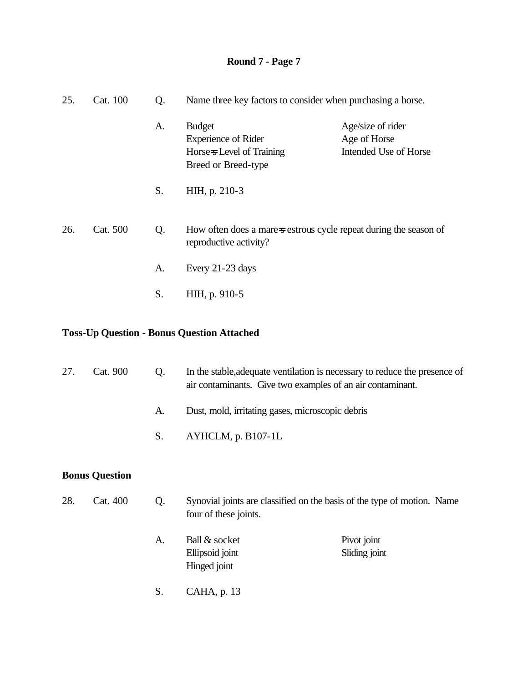| 25. | Cat. 100 | Q. | Name three key factors to consider when purchasing a horse.                                     |                                                            |
|-----|----------|----|-------------------------------------------------------------------------------------------------|------------------------------------------------------------|
|     |          | A. | <b>Budget</b><br><b>Experience of Rider</b><br>Horse-s Level of Training<br>Breed or Breed-type | Age/size of rider<br>Age of Horse<br>Intended Use of Horse |
|     |          | S. | HIH, p. 210-3                                                                                   |                                                            |
| 26. | Cat. 500 | Q. | How often does a mare-sestrous cycle repeat during the season of<br>reproductive activity?      |                                                            |
|     |          | A. | Every 21-23 days                                                                                |                                                            |
|     |          | S. | HIH, p. 910-5                                                                                   |                                                            |
|     |          |    |                                                                                                 |                                                            |

### **Toss-Up Question - Bonus Question Attached**

| 27. | Cat. 900              | Q. | In the stable, adequate ventilation is necessary to reduce the presence of<br>air contaminants. Give two examples of an air contaminant. |                              |
|-----|-----------------------|----|------------------------------------------------------------------------------------------------------------------------------------------|------------------------------|
|     |                       | A. | Dust, mold, irritating gases, microscopic debris                                                                                         |                              |
|     |                       | S. | AYHCLM, p. B107-1L                                                                                                                       |                              |
|     | <b>Bonus Question</b> |    |                                                                                                                                          |                              |
| 28. | Cat. 400              | Q. | Synovial joints are classified on the basis of the type of motion. Name<br>four of these joints.                                         |                              |
|     |                       | A. | Ball & socket<br>Ellipsoid joint<br>Hinged joint                                                                                         | Pivot joint<br>Sliding joint |

S. CAHA, p. 13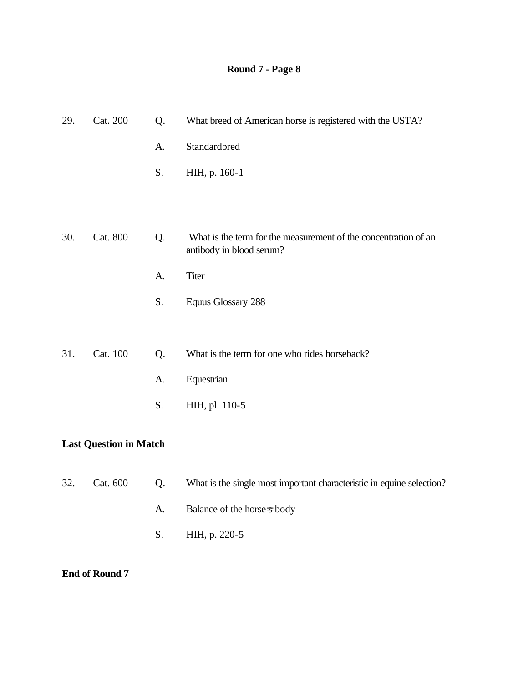| 29. | Cat. 200 | Q. | What breed of American horse is registered with the USTA?                                   |
|-----|----------|----|---------------------------------------------------------------------------------------------|
|     |          | A. | Standardbred                                                                                |
|     |          | S. | HIH, p. 160-1                                                                               |
|     |          |    |                                                                                             |
|     |          |    |                                                                                             |
| 30. | Cat. 800 | Q. | What is the term for the measurement of the concentration of an<br>antibody in blood serum? |
|     |          | A. | Titer                                                                                       |
|     |          | S. | <b>Equus Glossary 288</b>                                                                   |
|     |          |    |                                                                                             |
| 31. | Cat. 100 | Q. | What is the term for one who rides horseback?                                               |
|     |          | A. | Equestrian                                                                                  |
|     |          | S. | HIH, pl. 110-5                                                                              |
|     |          |    |                                                                                             |

### **Last Question in Match**

| 32. | Cat. 600 | $($ ). | What is the single most important characteristic in equine selection? |
|-----|----------|--------|-----------------------------------------------------------------------|
|     |          | A.     | Balance of the horses body                                            |
|     |          |        | S. HIH, p. 220-5                                                      |

#### **End of Round 7**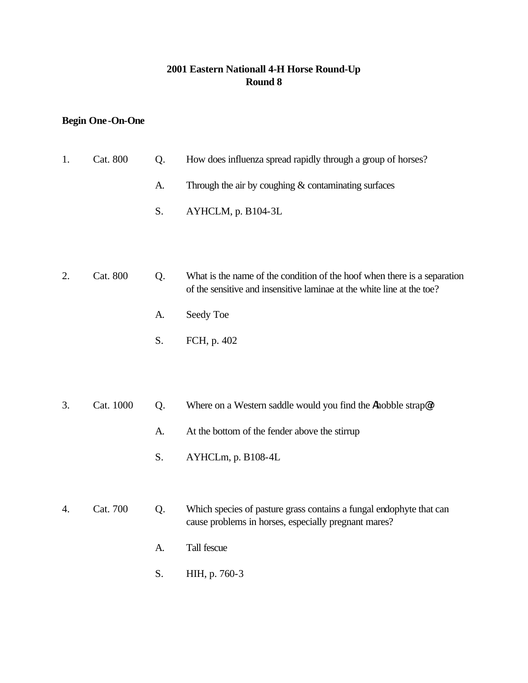### **2001 Eastern Nationall 4-H Horse Round-Up Round 8**

### **Begin One-On-One**

| 1. | Cat. 800  | Q. | How does influenza spread rapidly through a group of horses?                                                                                       |
|----|-----------|----|----------------------------------------------------------------------------------------------------------------------------------------------------|
|    |           | A. | Through the air by coughing $&$ contaminating surfaces                                                                                             |
|    |           | S. | AYHCLM, p. B104-3L                                                                                                                                 |
|    |           |    |                                                                                                                                                    |
| 2. | Cat. 800  | Q. | What is the name of the condition of the hoof when there is a separation<br>of the sensitive and insensitive laminae at the white line at the toe? |
|    |           | A. | Seedy Toe                                                                                                                                          |
|    |           | S. | FCH, p. 402                                                                                                                                        |
|    |           |    |                                                                                                                                                    |
| 3. | Cat. 1000 | Q. | Where on a Western saddle would you find the Ahobble strap@?                                                                                       |
|    |           |    |                                                                                                                                                    |
|    |           | A. | At the bottom of the fender above the stirrup                                                                                                      |
|    |           | S. | AYHCLm, p. B108-4L                                                                                                                                 |
|    |           |    |                                                                                                                                                    |
| 4. | Cat. 700  | Q. | Which species of pasture grass contains a fungal endophyte that can<br>cause problems in horses, especially pregnant mares?                        |
|    |           | A. | Tall fescue                                                                                                                                        |
|    |           | S. | HIH, p. 760-3                                                                                                                                      |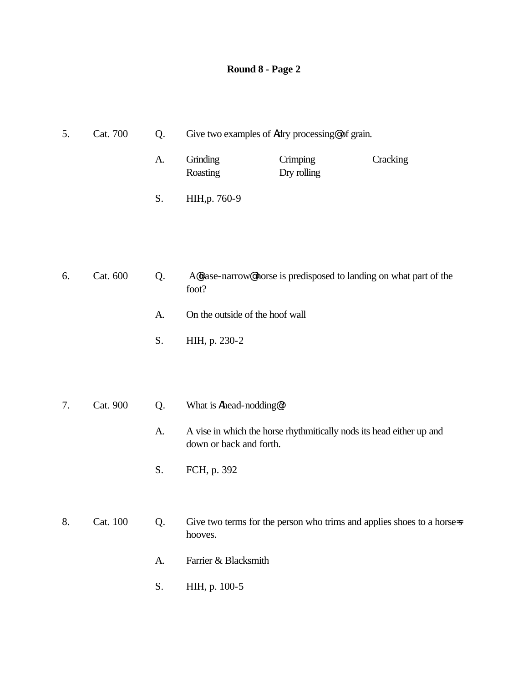| 5. | Cat. 700 | Q. |                                 | Give two examples of Adry processing@ of grain. |                                                                        |
|----|----------|----|---------------------------------|-------------------------------------------------|------------------------------------------------------------------------|
|    |          | A. | Grinding<br>Roasting            | Crimping<br>Dry rolling                         | Cracking                                                               |
|    |          | S. | HIH, p. 760-9                   |                                                 |                                                                        |
|    |          |    |                                 |                                                 |                                                                        |
| 6. | Cat. 600 | Q. | foot?                           |                                                 | A@base-narrow@horse is predisposed to landing on what part of the      |
|    |          | A. | On the outside of the hoof wall |                                                 |                                                                        |
|    |          | S. | HIH, p. 230-2                   |                                                 |                                                                        |
|    |          |    |                                 |                                                 |                                                                        |
| 7. | Cat. 900 | Q. | What is Ahead-nodding@?         |                                                 |                                                                        |
|    |          | A. | down or back and forth.         |                                                 | A vise in which the horse rhythmitically nods its head either up and   |
|    |          | S. | FCH, p. 392                     |                                                 |                                                                        |
|    |          |    |                                 |                                                 |                                                                        |
| 8. | Cat. 100 | Q. | hooves.                         |                                                 | Give two terms for the person who trims and applies shoes to a horse-s |
|    |          | A. | Farrier & Blacksmith            |                                                 |                                                                        |
|    |          | S. | HIH, p. 100-5                   |                                                 |                                                                        |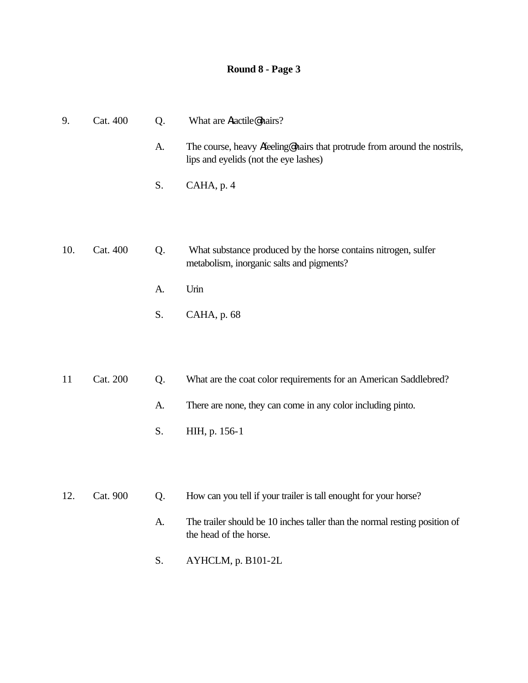| 9.  | Cat. 400 | Q. | What are Atactile@hairs?                                                                                          |
|-----|----------|----|-------------------------------------------------------------------------------------------------------------------|
|     |          | A. | The course, heavy Afeeling@hairs that protrude from around the nostrils,<br>lips and eyelids (not the eye lashes) |
|     |          | S. | CAHA, p. 4                                                                                                        |
|     |          |    |                                                                                                                   |
| 10. | Cat. 400 | Q. | What substance produced by the horse contains nitrogen, sulfer<br>metabolism, inorganic salts and pigments?       |
|     |          | A. | Urin                                                                                                              |
|     |          | S. | CAHA, p. 68                                                                                                       |
|     |          |    |                                                                                                                   |
| 11  | Cat. 200 | Q. | What are the coat color requirements for an American Saddlebred?                                                  |
|     |          | A. | There are none, they can come in any color including pinto.                                                       |
|     |          | S. | HIH, p. 156-1                                                                                                     |
|     |          |    |                                                                                                                   |

- 12. Cat. 900 Q. How can you tell if your trailer is tall enought for your horse?
	- A. The trailer should be 10 inches taller than the normal resting position of the head of the horse.
	- S. AYHCLM, p. B101-2L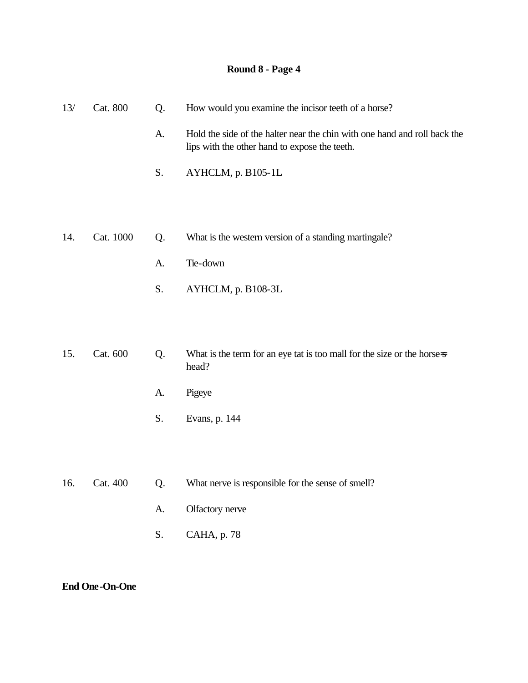| 13/ | Cat. 800  | Q. | How would you examine the incisor teeth of a horse?                                                                        |
|-----|-----------|----|----------------------------------------------------------------------------------------------------------------------------|
|     |           | A. | Hold the side of the halter near the chin with one hand and roll back the<br>lips with the other hand to expose the teeth. |
|     |           | S. | AYHCLM, p. B105-1L                                                                                                         |
|     |           |    |                                                                                                                            |
| 14. | Cat. 1000 | Q. | What is the western version of a standing martingale?                                                                      |
|     |           |    |                                                                                                                            |
|     |           | A. | Tie-down                                                                                                                   |
|     |           | S. | AYHCLM, p. B108-3L                                                                                                         |
|     |           |    |                                                                                                                            |
| 15. | Cat. 600  | Q. | What is the term for an eye tat is too mall for the size or the horse-s<br>head?                                           |
|     |           | A. | Pigeye                                                                                                                     |
|     |           | S. | Evans, p. 144                                                                                                              |
|     |           |    |                                                                                                                            |
|     |           |    |                                                                                                                            |
| 16. | Cat. 400  | Q. | What nerve is responsible for the sense of smell?                                                                          |
|     |           | A. | Olfactory nerve                                                                                                            |
|     |           | S. | CAHA, p. 78                                                                                                                |

**End One-On-One**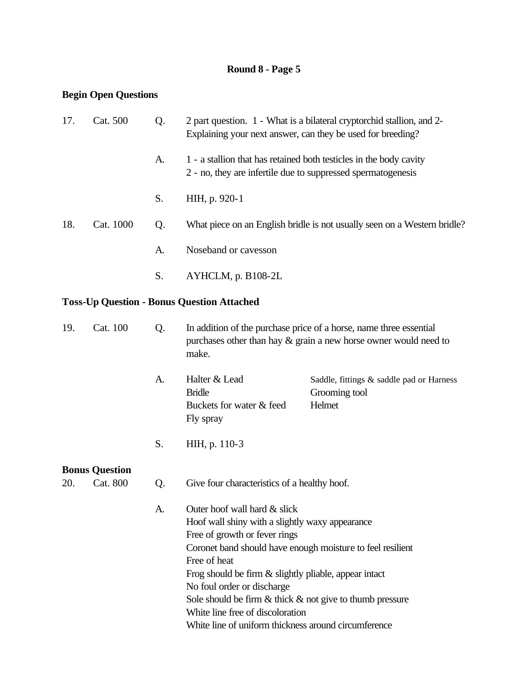#### **Begin Open Questions**

| 17. | Cat. 500              | Q. | Explaining your next answer, can they be used for breeding?                                                                                                                                                                                                                                                                                           | 2 part question. 1 - What is a bilateral cryptorchid stallion, and 2-                                                                     |
|-----|-----------------------|----|-------------------------------------------------------------------------------------------------------------------------------------------------------------------------------------------------------------------------------------------------------------------------------------------------------------------------------------------------------|-------------------------------------------------------------------------------------------------------------------------------------------|
|     |                       | A. | 2 - no, they are infertile due to suppressed spermatogenesis                                                                                                                                                                                                                                                                                          | 1 - a stallion that has retained both testicles in the body cavity                                                                        |
|     |                       | S. | HIH, p. 920-1                                                                                                                                                                                                                                                                                                                                         |                                                                                                                                           |
| 18. | Cat. 1000             | Q. |                                                                                                                                                                                                                                                                                                                                                       | What piece on an English bridle is not usually seen on a Western bridle?                                                                  |
|     |                       | A. | Noseband or cavesson                                                                                                                                                                                                                                                                                                                                  |                                                                                                                                           |
|     |                       | S. | AYHCLM, p. B108-2L                                                                                                                                                                                                                                                                                                                                    |                                                                                                                                           |
|     |                       |    | <b>Toss-Up Question - Bonus Question Attached</b>                                                                                                                                                                                                                                                                                                     |                                                                                                                                           |
| 19. | Cat. 100              | Q. | make.                                                                                                                                                                                                                                                                                                                                                 | In addition of the purchase price of a horse, name three essential<br>purchases other than hay $\&$ grain a new horse owner would need to |
|     |                       | A. | Halter & Lead<br><b>Bridle</b><br>Buckets for water & feed<br>Fly spray                                                                                                                                                                                                                                                                               | Saddle, fittings & saddle pad or Harness<br>Grooming tool<br>Helmet                                                                       |
|     |                       | S. | HIH, p. 110-3                                                                                                                                                                                                                                                                                                                                         |                                                                                                                                           |
|     | <b>Bonus Question</b> |    |                                                                                                                                                                                                                                                                                                                                                       |                                                                                                                                           |
| 20. | Cat. 800              | Q. | Give four characteristics of a healthy hoof.                                                                                                                                                                                                                                                                                                          |                                                                                                                                           |
|     |                       | A. | Outer hoof wall hard & slick<br>Hoof wall shiny with a slightly waxy appearance<br>Free of growth or fever rings<br>Coronet band should have enough moisture to feel resilient<br>Free of heat<br>Frog should be firm & slightly pliable, appear intact<br>No foul order or discharge<br>Sole should be firm $&$ thick $&$ not give to thumb pressure |                                                                                                                                           |

White line free of discoloration White line of uniform thickness around circumference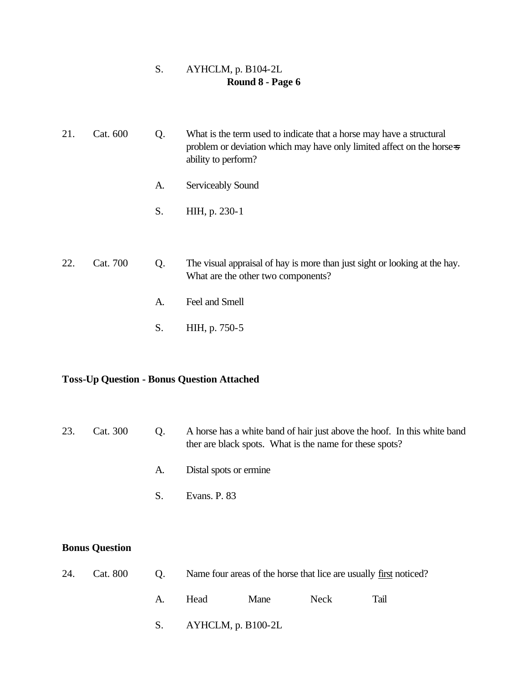#### S. AYHCLM, p. B104-2L **Round 8 - Page 6**

| 21. | Cat. 600 | Q. | What is the term used to indicate that a horse may have a structural<br>problem or deviation which may have only limited affect on the horse-s<br>ability to perform? |
|-----|----------|----|-----------------------------------------------------------------------------------------------------------------------------------------------------------------------|
|     |          | A. | Serviceably Sound                                                                                                                                                     |
|     |          | S. | HIH, p. 230-1                                                                                                                                                         |
|     |          |    |                                                                                                                                                                       |
| 22. | Cat. 700 | Q. | The visual appraisal of hay is more than just sight or looking at the hay.<br>What are the other two components?                                                      |
|     |          | A. | Feel and Smell                                                                                                                                                        |
|     |          | S. | HIH, p. 750-5                                                                                                                                                         |

#### **Toss-Up Question - Bonus Question Attached**

#### 23. Cat. 300 Q. A horse has a white band of hair just above the hoof. In this white band ther are black spots. What is the name for these spots?

- A. Distal spots or ermine
- S. Evans. P. 83

#### **Bonus Question**

|  |    |                          | 24. Cat. 800 Q. Name four areas of the horse that lice are usually first noticed? |      |             |  |
|--|----|--------------------------|-----------------------------------------------------------------------------------|------|-------------|--|
|  | A. | <b>Head</b>              | Mane                                                                              | Neck | <b>Tail</b> |  |
|  |    | S. $AYHCLM$ , p. B100-2L |                                                                                   |      |             |  |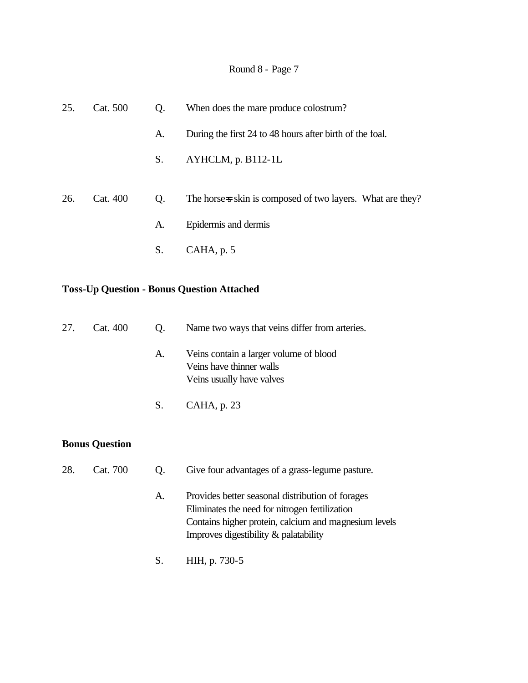| 25. | Cat. 500 | Q.             | When does the mare produce colostrum?                      |
|-----|----------|----------------|------------------------------------------------------------|
|     |          | A.             | During the first 24 to 48 hours after birth of the foal.   |
|     |          | S.             | AYHCLM, p. B112-1L                                         |
| 26. | Cat. 400 | Q <sub>1</sub> | The horse-s skin is composed of two layers. What are they? |
|     |          | A.             | Epidermis and dermis                                       |
|     |          | S.             | CAHA, p. 5                                                 |

#### **Toss-Up Question - Bonus Question Attached**

| 27. | Cat. 400 | O. | Name two ways that veins differ from arteries.                                                  |
|-----|----------|----|-------------------------------------------------------------------------------------------------|
|     |          | A. | Veins contain a larger volume of blood<br>Veins have thinner walls<br>Veins usually have valves |
|     |          | S. | CAHA, p. 23                                                                                     |

#### **Bonus Question**

| 28. | Cat. 700 | $O_{\rm g}$ | Give four advantages of a grass-legume pasture.       |
|-----|----------|-------------|-------------------------------------------------------|
|     |          | A.          | Provides better seasonal distribution of forages      |
|     |          |             | Eliminates the need for nitrogen fertilization        |
|     |          |             | Contains higher protein, calcium and magnesium levels |

Improves digestibility & palatability

S. HIH, p. 730-5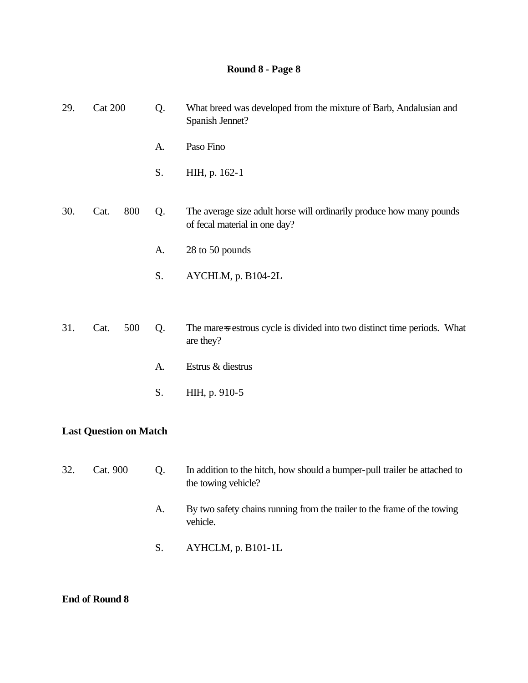| 29. | <b>Cat 200</b>                |     | Q. | What breed was developed from the mixture of Barb, Andalusian and<br>Spanish Jennet?                  |
|-----|-------------------------------|-----|----|-------------------------------------------------------------------------------------------------------|
|     |                               |     | A. | Paso Fino                                                                                             |
|     |                               |     | S. | HIH, p. 162-1                                                                                         |
| 30. | Cat.                          | 800 | Q. | The average size adult horse will ordinarily produce how many pounds<br>of fecal material in one day? |
|     |                               |     | A. | 28 to 50 pounds                                                                                       |
|     |                               |     | S. | AYCHLM, p. B104-2L                                                                                    |
| 31. | Cat.                          | 500 | Q. | The mare-s estrous cycle is divided into two distinct time periods. What<br>are they?                 |
|     |                               |     | A. | Estrus & diestrus                                                                                     |
|     |                               |     | S. | HIH, p. 910-5                                                                                         |
|     | <b>Last Question on Match</b> |     |    |                                                                                                       |
| 32. | Cat. 900                      |     | Q. | In addition to the hitch, how should a bumper-pull trailer be attached to<br>the towing vehicle?      |
|     |                               |     | A. | By two safety chains running from the trailer to the frame of the towing<br>vehicle.                  |
|     |                               |     | S. | AYHCLM, p. B101-1L                                                                                    |

#### **End of Round 8**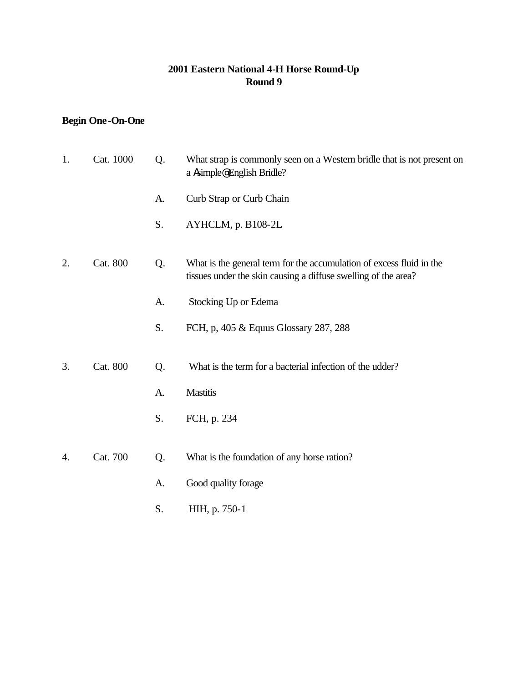#### **2001 Eastern National 4-H Horse Round-Up Round 9**

### **Begin One-On-One**

| 1. | Cat. 1000 | Q. | What strap is commonly seen on a Western bridle that is not present on<br>a Asimple@English Bridle?                                    |
|----|-----------|----|----------------------------------------------------------------------------------------------------------------------------------------|
|    |           | A. | Curb Strap or Curb Chain                                                                                                               |
|    |           | S. | AYHCLM, p. B108-2L                                                                                                                     |
| 2. | Cat. 800  | Q. | What is the general term for the accumulation of excess fluid in the<br>tissues under the skin causing a diffuse swelling of the area? |
|    |           | A. | Stocking Up or Edema                                                                                                                   |
|    |           | S. | FCH, p, 405 & Equus Glossary 287, 288                                                                                                  |
| 3. | Cat. 800  | Q. | What is the term for a bacterial infection of the udder?                                                                               |
|    |           | A. | Mastitis                                                                                                                               |
|    |           | S. | FCH, p. 234                                                                                                                            |
| 4. | Cat. 700  | Q. | What is the foundation of any horse ration?                                                                                            |
|    |           | A. | Good quality forage                                                                                                                    |
|    |           | S. | HIH, p. 750-1                                                                                                                          |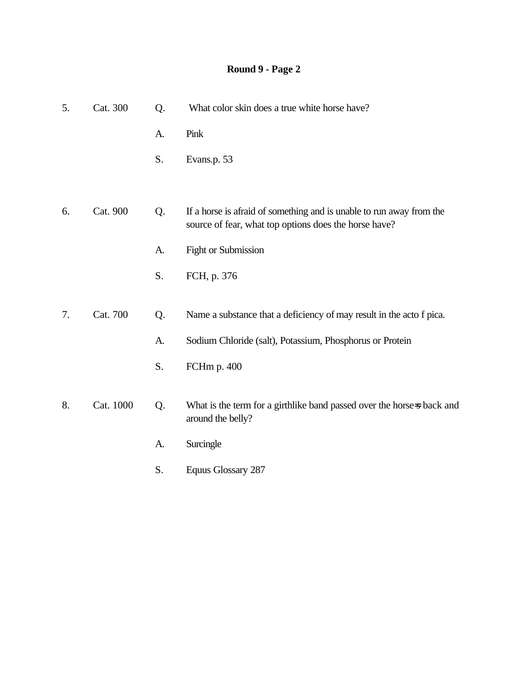| Cat. 300  | Q. | What color skin does a true white horse have?                                                                                 |
|-----------|----|-------------------------------------------------------------------------------------------------------------------------------|
|           | A. | Pink                                                                                                                          |
|           | S. | Evans.p. 53                                                                                                                   |
|           |    |                                                                                                                               |
| Cat. 900  | Q. | If a horse is afraid of something and is unable to run away from the<br>source of fear, what top options does the horse have? |
|           | A. | Fight or Submission                                                                                                           |
|           | S. | FCH, p. 376                                                                                                                   |
|           |    |                                                                                                                               |
| Cat. 700  | Q. | Name a substance that a deficiency of may result in the acto f pica.                                                          |
|           | A. | Sodium Chloride (salt), Potassium, Phosphorus or Protein                                                                      |
|           | S. | FCHm p. 400                                                                                                                   |
|           |    |                                                                                                                               |
| Cat. 1000 | Q. | What is the term for a girthlike band passed over the horse-s back and<br>around the belly?                                   |
|           | A. | Surcingle                                                                                                                     |
|           |    | Equus Glossary 287                                                                                                            |
|           |    | S.                                                                                                                            |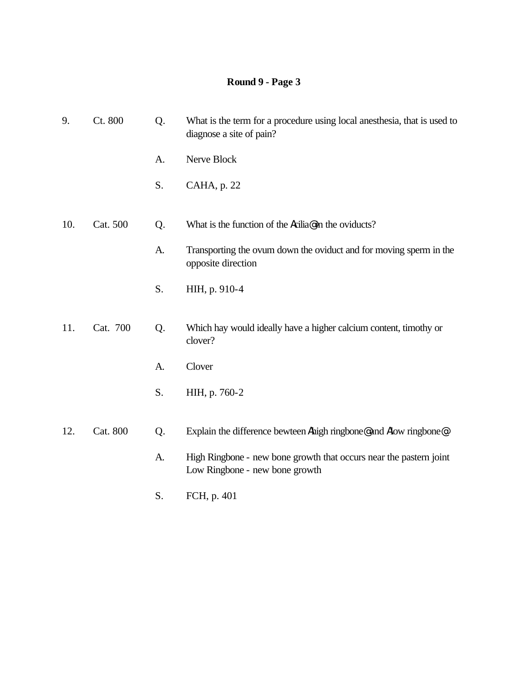| 9.  | Ct. 800  | Q. | What is the term for a procedure using local anesthesia, that is used to<br>diagnose a site of pain? |
|-----|----------|----|------------------------------------------------------------------------------------------------------|
|     |          | A. | Nerve Block                                                                                          |
|     |          | S. | CAHA, p. 22                                                                                          |
| 10. | Cat. 500 | Q. | What is the function of the Acilia@ in the oviducts?                                                 |
|     |          | A. | Transporting the ovum down the oviduct and for moving sperm in the<br>opposite direction             |
|     |          | S. | HIH, p. 910-4                                                                                        |
| 11. | Cat. 700 | Q. | Which hay would ideally have a higher calcium content, timothy or<br>clover?                         |
|     |          | A. | Clover                                                                                               |
|     |          | S. | HIH, p. 760-2                                                                                        |
| 12. | Cat. 800 | Q. | Explain the difference bewteen Ahigh ringbone@ and Alow ringbone@.                                   |
|     |          | A. | High Ringbone - new bone growth that occurs near the pastern joint<br>Low Ringbone - new bone growth |
|     |          | S. | FCH, p. 401                                                                                          |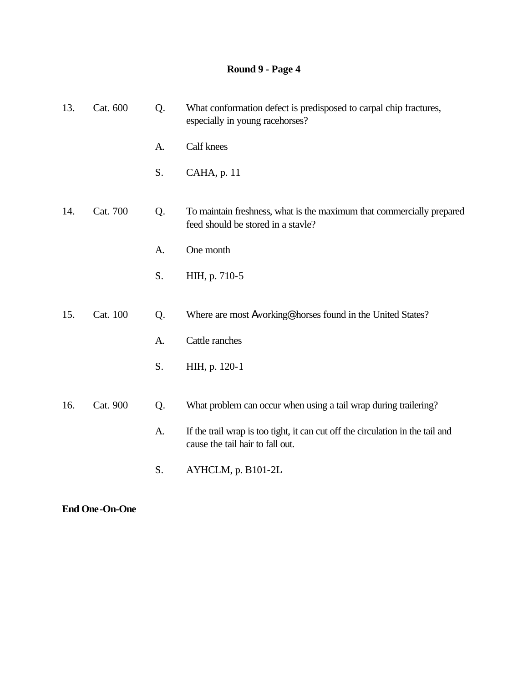| 13. | Cat. 600 | Q. | What conformation defect is predisposed to carpal chip fractures,<br>especially in young racehorses?               |
|-----|----------|----|--------------------------------------------------------------------------------------------------------------------|
|     |          | A. | Calf knees                                                                                                         |
|     |          | S. | CAHA, p. 11                                                                                                        |
| 14. | Cat. 700 | Q. | To maintain freshness, what is the maximum that commercially prepared<br>feed should be stored in a stavle?        |
|     |          | A. | One month                                                                                                          |
|     |          | S. | HIH, p. 710-5                                                                                                      |
|     |          |    |                                                                                                                    |
| 15. | Cat. 100 | Q. | Where are most Aworking@ horses found in the United States?                                                        |
|     |          | A. | Cattle ranches                                                                                                     |
|     |          | S. | HIH, p. 120-1                                                                                                      |
|     |          |    |                                                                                                                    |
| 16. | Cat. 900 | Q. | What problem can occur when using a tail wrap during trailering?                                                   |
|     |          | A. | If the trail wrap is too tight, it can cut off the circulation in the tail and<br>cause the tail hair to fall out. |
|     |          | S. | AYHCLM, p. B101-2L                                                                                                 |

**End One-On-One**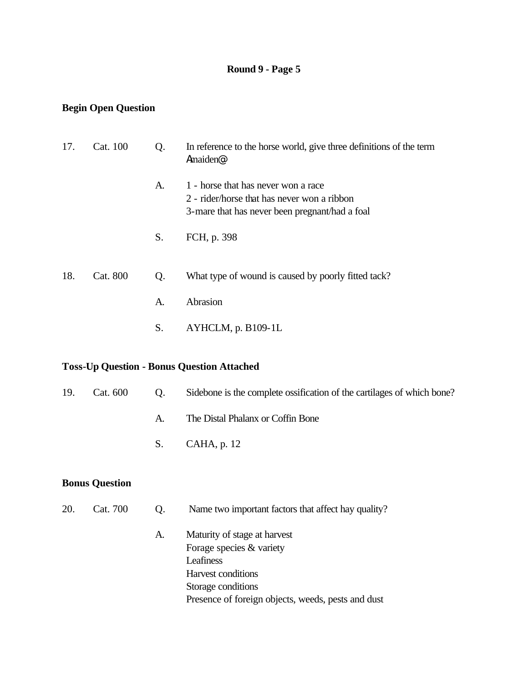### **Begin Open Question**

| 17. | Cat. 100 | Q. | In reference to the horse world, give three definitions of the term<br>Amaiden <sup>®</sup> .                                        |
|-----|----------|----|--------------------------------------------------------------------------------------------------------------------------------------|
|     |          | A. | 1 - horse that has never won a race<br>2 - rider/horse that has never won a ribbon<br>3-mare that has never been pregnant/had a foal |
|     |          | S. | FCH, p. 398                                                                                                                          |
| 18. | Cat. 800 | Q. | What type of wound is caused by poorly fitted tack?                                                                                  |
|     |          | A. | Abrasion                                                                                                                             |
|     |          | S. | AYHCLM, p. B109-1L                                                                                                                   |

### **Toss-Up Question - Bonus Question Attached**

| 19. | Cat. 600 |    | Q. Sidebone is the complete ossification of the cartilages of which bone? |
|-----|----------|----|---------------------------------------------------------------------------|
|     |          | A. | The Distal Phalanx or Coffin Bone                                         |
|     |          |    | $S.$ CAHA, p. 12                                                          |
|     |          |    |                                                                           |

| 20. | Cat. 700 | O. | Name two important factors that affect hay quality? |
|-----|----------|----|-----------------------------------------------------|
|     |          | A. | Maturity of stage at harvest                        |
|     |          |    | Forage species & variety                            |
|     |          |    | Leafiness                                           |
|     |          |    | Harvest conditions                                  |
|     |          |    | Storage conditions                                  |
|     |          |    | Presence of foreign objects, weeds, pests and dust  |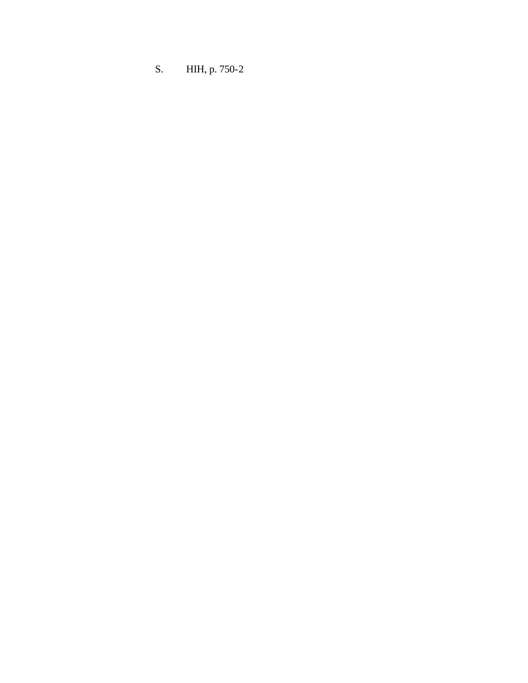S. HIH, p. 750-2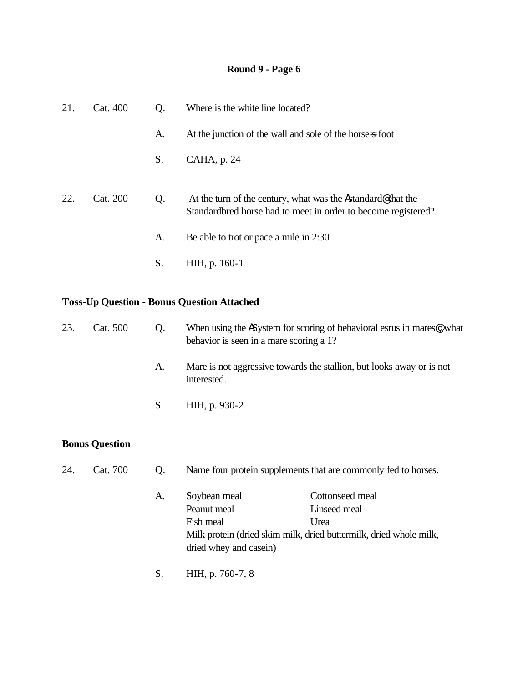| 21. | Cat. 400 | Q. | Where is the white line located?                                                                                             |
|-----|----------|----|------------------------------------------------------------------------------------------------------------------------------|
|     |          | A. | At the junction of the wall and sole of the horse-s foot                                                                     |
|     |          | S. | CAHA, p. 24                                                                                                                  |
| 22. | Cat. 200 | Q. | At the turn of the century, what was the Astandard@that the<br>Standardbred horse had to meet in order to become registered? |
|     |          | A. | Be able to trot or pace a mile in 2:30                                                                                       |
|     |          | S. | HIH, p. 160-1                                                                                                                |

# **Toss-Up Question - Bonus Question Attached**

| 23. | Cat. 500 | Q. | When using the ASystem for scoring of behavioral esrus in mares@, what<br>behavior is seen in a mare scoring a 1? |
|-----|----------|----|-------------------------------------------------------------------------------------------------------------------|
|     |          | A. | Mare is not aggressive towards the stallion, but looks away or is not<br>interested.                              |
|     |          | S. | HIH, p. 930-2                                                                                                     |

| 24. | Cat. 700 | O. |                        | Name four protein supplements that are commonly fed to horses.     |
|-----|----------|----|------------------------|--------------------------------------------------------------------|
|     |          | A. | Soybean meal           | Cottonseed meal                                                    |
|     |          |    | Peanut meal            | Linseed meal                                                       |
|     |          |    | Fish meal              | Urea                                                               |
|     |          |    |                        | Milk protein (dried skim milk, dried buttermilk, dried whole milk, |
|     |          |    | dried whey and casein) |                                                                    |
|     |          |    | HIH, p. 760-7, 8       |                                                                    |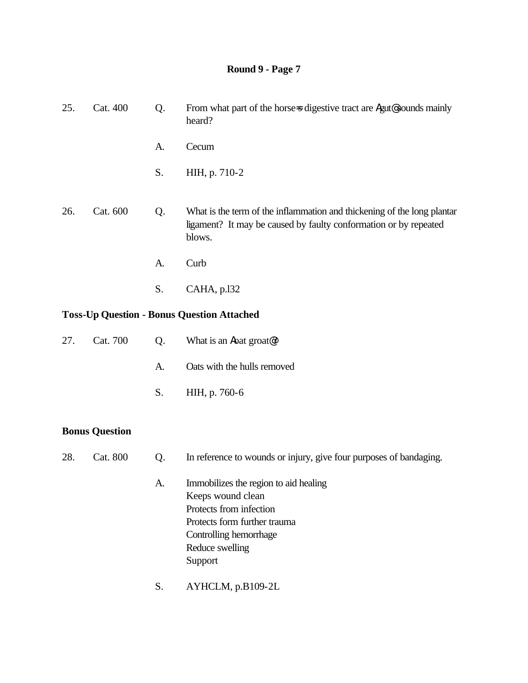| 25.                                               | Cat. 400 | Q. | From what part of the horse is digestive tract are Agut@sounds mainly<br>heard?                                                                       |  |
|---------------------------------------------------|----------|----|-------------------------------------------------------------------------------------------------------------------------------------------------------|--|
|                                                   |          | A. | Cecum                                                                                                                                                 |  |
|                                                   |          | S. | HIH, p. 710-2                                                                                                                                         |  |
| 26.                                               | Cat. 600 | Q. | What is the term of the inflammation and thickening of the long plantar<br>ligament? It may be caused by faulty conformation or by repeated<br>blows. |  |
|                                                   |          | A. | Curb                                                                                                                                                  |  |
|                                                   |          | S. | CAHA, p.132                                                                                                                                           |  |
| <b>Toss-Up Question - Bonus Question Attached</b> |          |    |                                                                                                                                                       |  |
| 27.                                               | Cat. 700 | Q. | What is an <b>A</b> oat groat <sup>@</sup> ?                                                                                                          |  |

- A. Oats with the hulls removed
- S. HIH, p. 760-6

- 28. Cat. 800 Q. In reference to wounds or injury, give four purposes of bandaging.
	- A. Immobilizes the region to aid healing Keeps wound clean Protects from infection Protects form further trauma Controlling hemorrhage Reduce swelling Support
	- S. AYHCLM, p.B109-2L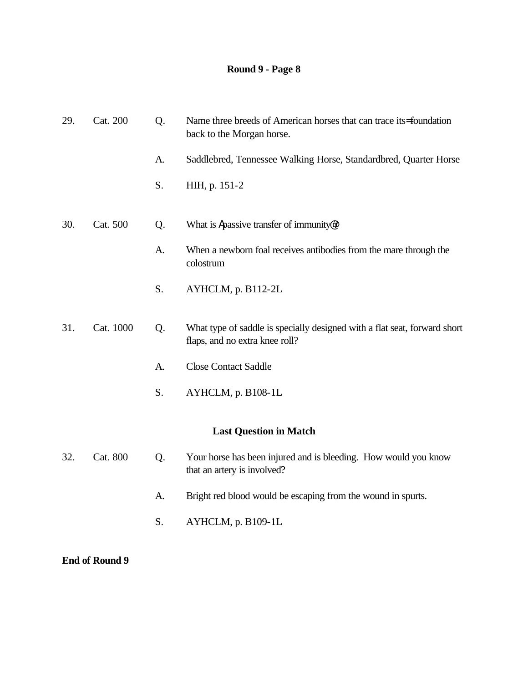| 29. | Cat. 200  | Q. | Name three breeds of American horses that can trace its=foundation<br>back to the Morgan horse.             |
|-----|-----------|----|-------------------------------------------------------------------------------------------------------------|
|     |           | A. | Saddlebred, Tennessee Walking Horse, Standardbred, Quarter Horse                                            |
|     |           | S. | HIH, p. 151-2                                                                                               |
| 30. | Cat. 500  | Q. | What is Apassive transfer of immunity?                                                                      |
|     |           | A. | When a newborn foal receives antibodies from the mare through the<br>colostrum                              |
|     |           | S. | AYHCLM, p. B112-2L                                                                                          |
| 31. | Cat. 1000 | Q. | What type of saddle is specially designed with a flat seat, forward short<br>flaps, and no extra knee roll? |
|     |           | A. | <b>Close Contact Saddle</b>                                                                                 |
|     |           | S. | AYHCLM, p. B108-1L                                                                                          |
|     |           |    | <b>Last Question in Match</b>                                                                               |
| 32. | Cat. 800  | Q. | Your horse has been injured and is bleeding. How would you know<br>that an artery is involved?              |
|     |           | A. | Bright red blood would be escaping from the wound in spurts.                                                |
|     |           | S. | AYHCLM, p. B109-1L                                                                                          |
|     |           |    |                                                                                                             |

**End of Round 9**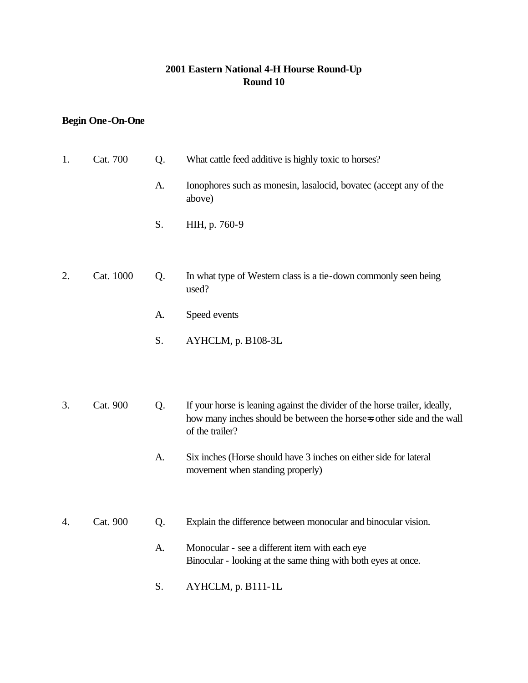### **2001 Eastern National 4-H Hourse Round-Up Round 10**

### **Begin One-On-One**

| 1. | Cat. 700  | Q. | What cattle feed additive is highly toxic to horses?                                                                                                                    |
|----|-----------|----|-------------------------------------------------------------------------------------------------------------------------------------------------------------------------|
|    |           | A. | Ionophores such as monesin, lasalocid, bovatec (accept any of the<br>above)                                                                                             |
|    |           | S. | HIH, p. 760-9                                                                                                                                                           |
|    |           |    |                                                                                                                                                                         |
| 2. | Cat. 1000 | Q. | In what type of Western class is a tie-down commonly seen being<br>used?                                                                                                |
|    |           | A. | Speed events                                                                                                                                                            |
|    |           | S. | AYHCLM, p. B108-3L                                                                                                                                                      |
|    |           |    |                                                                                                                                                                         |
| 3. | Cat. 900  | Q. | If your horse is leaning against the divider of the horse trailer, ideally,<br>how many inches should be between the horse-s other side and the wall<br>of the trailer? |
|    |           | A. | Six inches (Horse should have 3 inches on either side for lateral<br>movement when standing properly)                                                                   |
|    |           |    |                                                                                                                                                                         |
| 4. | Cat. 900  | Q. | Explain the difference between monocular and binocular vision.                                                                                                          |
|    |           | A. | Monocular - see a different item with each eye<br>Binocular - looking at the same thing with both eyes at once.                                                         |
|    |           | S. | AYHCLM, p. B111-1L                                                                                                                                                      |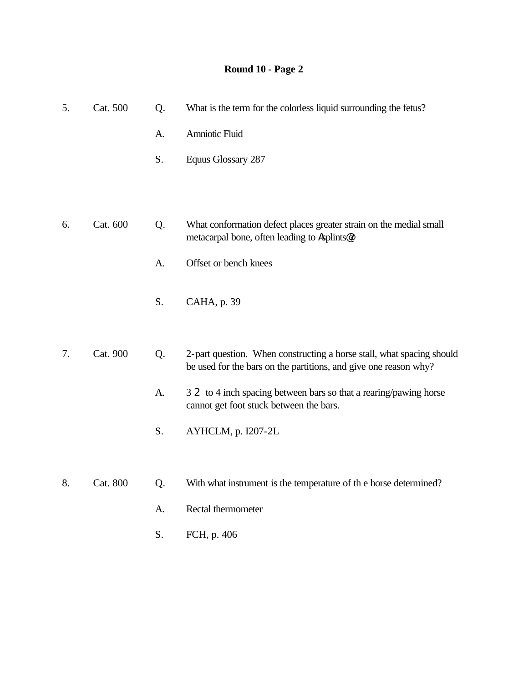| 5. | Cat. 500 | Q. | What is the term for the colorless liquid surrounding the fetus?                                                                          |
|----|----------|----|-------------------------------------------------------------------------------------------------------------------------------------------|
|    |          | A. | Amniotic Fluid                                                                                                                            |
|    |          | S. | Equus Glossary 287                                                                                                                        |
|    |          |    |                                                                                                                                           |
|    |          |    |                                                                                                                                           |
| 6. | Cat. 600 | Q. | What conformation defect places greater strain on the medial small<br>metacarpal bone, often leading to Asplints@?                        |
|    |          | A. | Offset or bench knees                                                                                                                     |
|    |          | S. | CAHA, p. 39                                                                                                                               |
|    |          |    |                                                                                                                                           |
| 7. | Cat. 900 | Q. | 2-part question. When constructing a horse stall, what spacing should<br>be used for the bars on the partitions, and give one reason why? |
|    |          | A. | 3 2 to 4 inch spacing between bars so that a rearing/pawing horse<br>cannot get foot stuck between the bars.                              |
|    |          | S. | AYHCLM, p. I207-2L                                                                                                                        |
|    |          |    |                                                                                                                                           |
| 8. | Cat. 800 | Q. | With what instrument is the temperature of the horse determined?                                                                          |
|    |          | A. | Rectal thermometer                                                                                                                        |

- 
- S. FCH, p. 406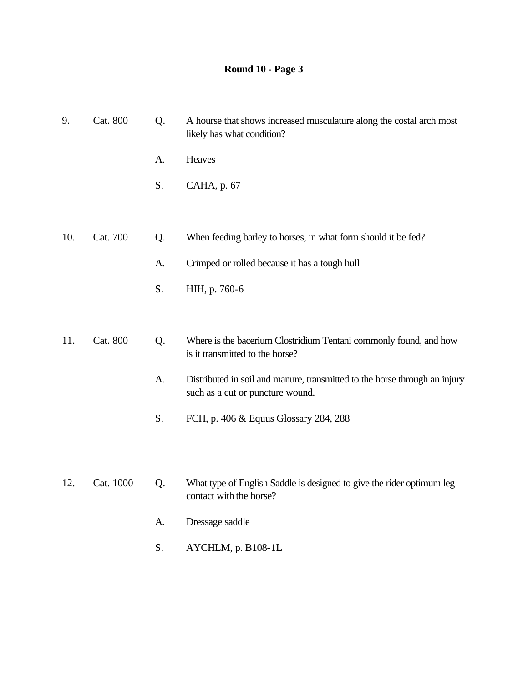| 9.  | Cat. 800  | Q. | A hourse that shows increased musculature along the costal arch most<br>likely has what condition?             |
|-----|-----------|----|----------------------------------------------------------------------------------------------------------------|
|     |           | A. | Heaves                                                                                                         |
|     |           | S. | CAHA, p. 67                                                                                                    |
|     |           |    |                                                                                                                |
| 10. | Cat. 700  | Q. | When feeding barley to horses, in what form should it be fed?                                                  |
|     |           | A. | Crimped or rolled because it has a tough hull                                                                  |
|     |           | S. | HIH, p. 760-6                                                                                                  |
|     |           |    |                                                                                                                |
| 11. | Cat. 800  | Q. | Where is the bacerium Clostridium Tentani commonly found, and how<br>is it transmitted to the horse?           |
|     |           | A. | Distributed in soil and manure, transmitted to the horse through an injury<br>such as a cut or puncture wound. |
|     |           | S. | FCH, p. 406 & Equus Glossary 284, 288                                                                          |
|     |           |    |                                                                                                                |
| 12. | Cat. 1000 | Q. | What type of English Saddle is designed to give the rider optimum leg<br>contact with the horse?               |
|     |           | A. | Dressage saddle                                                                                                |

S. AYCHLM, p. B108-1L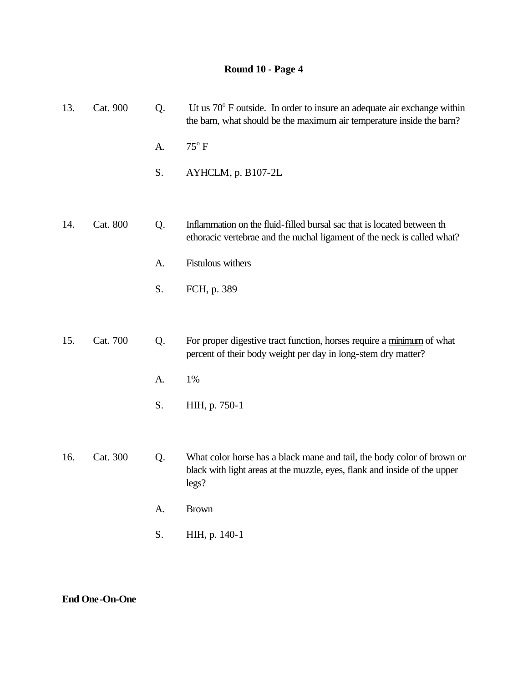| 13. | Cat. 900 | Q. | Ut us $70^{\circ}$ F outside. In order to insure an adequate air exchange within<br>the barn, what should be the maximum air temperature inside the barn?    |
|-----|----------|----|--------------------------------------------------------------------------------------------------------------------------------------------------------------|
|     |          | A. | $75^{\circ}$ F                                                                                                                                               |
|     |          | S. | AYHCLM, p. B107-2L                                                                                                                                           |
|     |          |    |                                                                                                                                                              |
| 14. | Cat. 800 | Q. | Inflammation on the fluid-filled bursal sac that is located between th<br>ethoracic vertebrae and the nuchal ligament of the neck is called what?            |
|     |          | A. | Fistulous withers                                                                                                                                            |
|     |          | S. | FCH, p. 389                                                                                                                                                  |
|     |          |    |                                                                                                                                                              |
| 15. | Cat. 700 | Q. | For proper digestive tract function, horses require a minimum of what<br>percent of their body weight per day in long-stem dry matter?                       |
|     |          | A. | 1%                                                                                                                                                           |
|     |          | S. | HIH, p. 750-1                                                                                                                                                |
|     |          |    |                                                                                                                                                              |
| 16. | Cat. 300 | Q. | What color horse has a black mane and tail, the body color of brown or<br>black with light areas at the muzzle, eyes, flank and inside of the upper<br>legs? |
|     |          | A. | <b>Brown</b>                                                                                                                                                 |
|     |          | S. | HIH, p. 140-1                                                                                                                                                |
|     |          |    |                                                                                                                                                              |

**End One-On-One**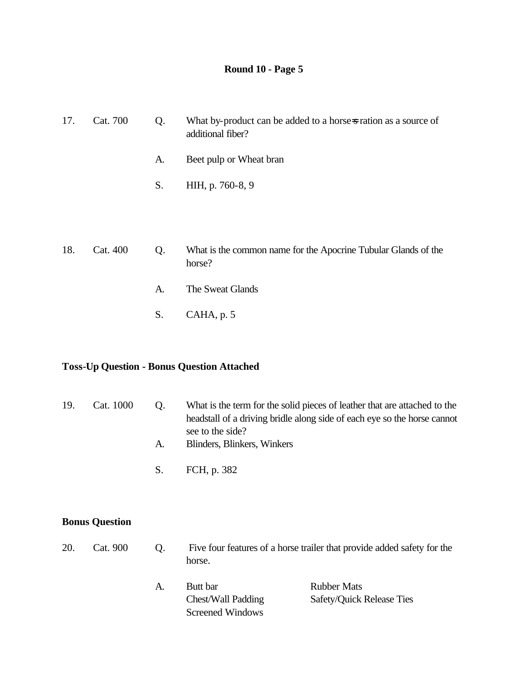| 17. | Cat. 700 | Q. | What by-product can be added to a horse-s ration as a source of<br>additional fiber? |
|-----|----------|----|--------------------------------------------------------------------------------------|
|     |          | A. | Beet pulp or Wheat bran                                                              |
|     |          | S. | HIH, p. 760-8, 9                                                                     |
|     |          |    |                                                                                      |
|     |          |    |                                                                                      |
| 18. | Cat. 400 | Q. | What is the common name for the Apocrine Tubular Glands of the<br>horse?             |
|     |          | A. | The Sweat Glands                                                                     |
|     |          | S. | CAHA, p. 5                                                                           |
|     |          |    |                                                                                      |

### **Toss-Up Question - Bonus Question Attached**

| 19. | Cat. 1000 | $\Omega$ | What is the term for the solid pieces of leather that are attached to the |
|-----|-----------|----------|---------------------------------------------------------------------------|
|     |           |          | headstall of a driving bridle along side of each eye so the horse cannot  |
|     |           |          | see to the side?                                                          |
|     |           |          | Blinders, Blinkers, Winkers                                               |

S. FCH, p. 382

|  | 20. Cat. 900 Q. Five four features of a horse trailer that provide added safety for the |
|--|-----------------------------------------------------------------------------------------|
|  | horse.                                                                                  |
|  |                                                                                         |

| А. | Butt bar           | <b>Rubber Mats</b>               |
|----|--------------------|----------------------------------|
|    | Chest/Wall Padding | <b>Safety/Quick Release Ties</b> |
|    | Screened Windows   |                                  |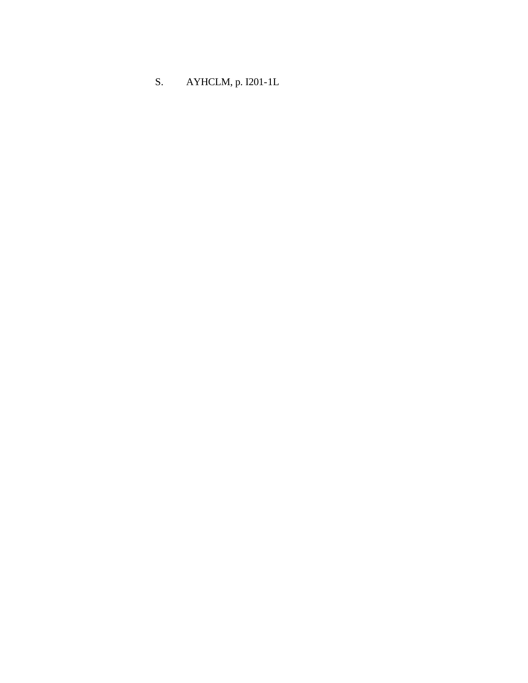S. AYHCLM, p. I201-1L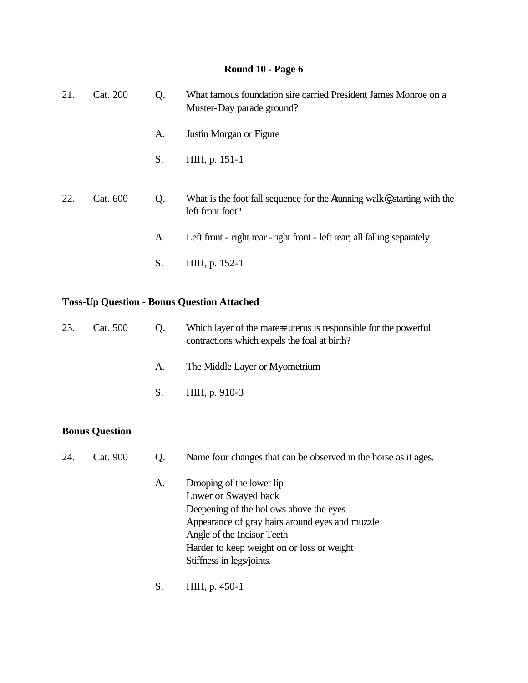| 21. | Cat. 200 | Q. | What famous foundation sire carried President James Monroe on a<br>Muster-Day parade ground? |
|-----|----------|----|----------------------------------------------------------------------------------------------|
|     |          | A. | Justin Morgan or Figure                                                                      |
|     |          | S. | HIH, p. 151-1                                                                                |
| 22. | Cat. 600 | Q. | What is the foot fall sequence for the Arunning walk , starting with the<br>left front foot? |
|     |          | A. | Left front - right rear - right front - left rear; all falling separately                    |
|     |          | S. | HIH, p. 152-1                                                                                |

#### **Toss-Up Question - Bonus Question Attached**

| 23. | Cat. 500 | $\Omega$ . | Which layer of the mare-suterus is responsible for the powerful<br>contractions which expels the foal at birth? |
|-----|----------|------------|-----------------------------------------------------------------------------------------------------------------|
|     |          | A.         | The Middle Layer or Myometrium                                                                                  |
|     |          | S.         | HIH, p. 910-3                                                                                                   |

| 24.<br>Cat. 900<br>Name four changes that can be observed in the horse as it ages. |  |
|------------------------------------------------------------------------------------|--|
|------------------------------------------------------------------------------------|--|

- A. Drooping of the lower lip Lower or Swayed back Deepening of the hollows above the eyes Appearance of gray hairs around eyes and muzzle Angle of the Incisor Teeth Harder to keep weight on or loss or weight Stiffness in legs/joints.
- S. HIH, p. 450-1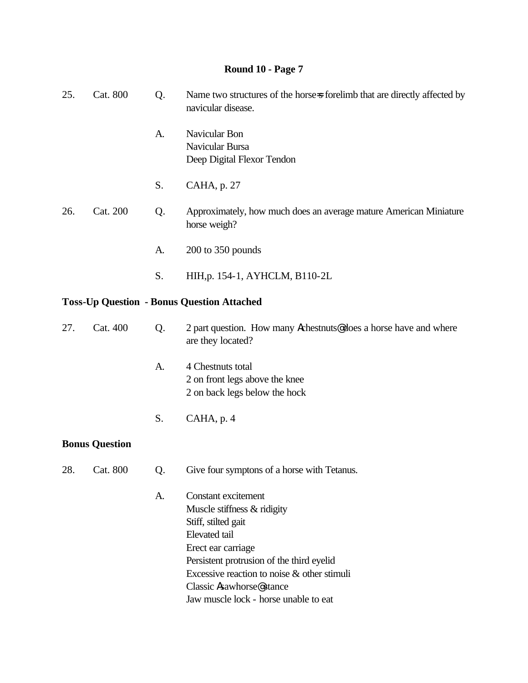| 25. | Cat. 800              | Q. | Name two structures of the horse-s forelimb that are directly affected by<br>navicular disease.                                                                                                                                                                                                       |
|-----|-----------------------|----|-------------------------------------------------------------------------------------------------------------------------------------------------------------------------------------------------------------------------------------------------------------------------------------------------------|
|     |                       | A. | Navicular Bon<br>Navicular Bursa<br>Deep Digital Flexor Tendon                                                                                                                                                                                                                                        |
|     |                       | S. | CAHA, p. 27                                                                                                                                                                                                                                                                                           |
| 26. | Cat. 200              | Q. | Approximately, how much does an average mature American Miniature<br>horse weigh?                                                                                                                                                                                                                     |
|     |                       | A. | $200$ to $350$ pounds                                                                                                                                                                                                                                                                                 |
|     |                       | S. | HIH, p. 154-1, AYHCLM, B110-2L                                                                                                                                                                                                                                                                        |
|     |                       |    | <b>Toss-Up Question - Bonus Question Attached</b>                                                                                                                                                                                                                                                     |
| 27. | Cat. 400              | Q. | 2 part question. How many Achestnuts@does a horse have and where<br>are they located?                                                                                                                                                                                                                 |
|     |                       | A. | 4 Chestnuts total<br>2 on front legs above the knee<br>2 on back legs below the hock                                                                                                                                                                                                                  |
|     |                       | S. | CAHA, p. 4                                                                                                                                                                                                                                                                                            |
|     | <b>Bonus Question</b> |    |                                                                                                                                                                                                                                                                                                       |
| 28. | Cat. 800              | Q. | Give four symptons of a horse with Tetanus.                                                                                                                                                                                                                                                           |
|     |                       | A. | <b>Constant excitement</b><br>Muscle stiffness & ridigity<br>Stiff, stilted gait<br>Elevated tail<br>Erect ear carriage<br>Persistent protrusion of the third eyelid<br>Excessive reaction to noise & other stimuli<br>Classic Asawhorse <sup>®</sup> stance<br>Jaw muscle lock - horse unable to eat |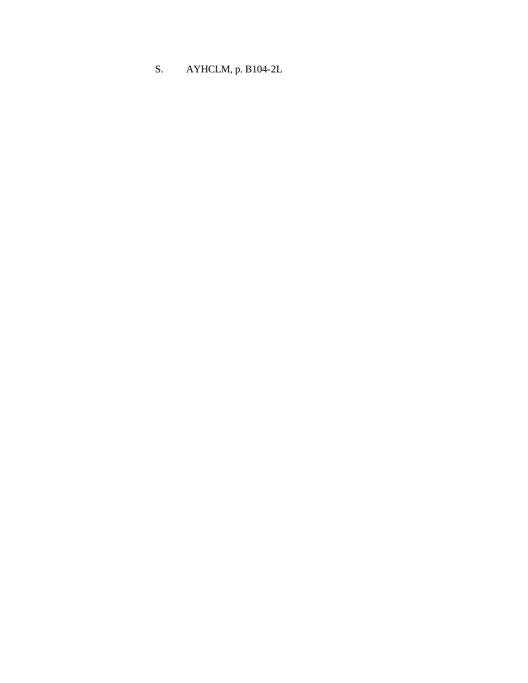S. AYHCLM, p. B104-2L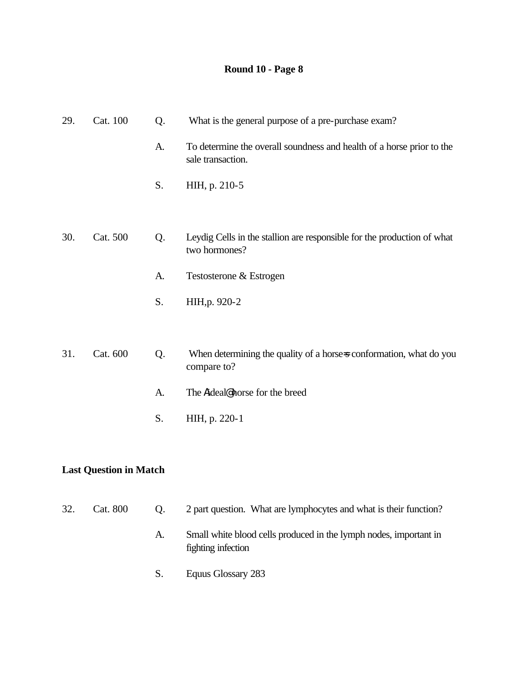| 29. | Cat. 100 | Q. | What is the general purpose of a pre-purchase exam?                                        |
|-----|----------|----|--------------------------------------------------------------------------------------------|
|     |          | A. | To determine the overall soundness and health of a horse prior to the<br>sale transaction. |
|     |          | S. | HIH, p. 210-5                                                                              |
| 30. | Cat. 500 | Q. | Leydig Cells in the stallion are responsible for the production of what<br>two hormones?   |
|     |          | A. | Testosterone & Estrogen                                                                    |
|     |          | S. | HIH, p. 920-2                                                                              |
| 31. | Cat. 600 | Q. | When determining the quality of a horse-s conformation, what do you<br>compare to?         |
|     |          | A. | The Aideal <sup>@</sup> horse for the breed                                                |
|     |          | S. | HIH, p. 220-1                                                                              |
|     |          |    |                                                                                            |

### **Last Question in Match**

| 32. | Cat. 800 | Q. | 2 part question. What are lymphocytes and what is their function?                       |
|-----|----------|----|-----------------------------------------------------------------------------------------|
|     |          | A. | Small white blood cells produced in the lymph nodes, important in<br>fighting infection |
|     |          | S. | Equus Glossary 283                                                                      |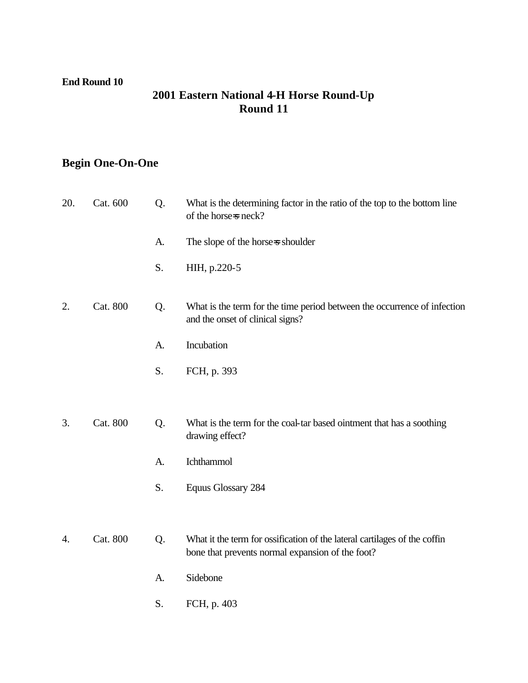#### **End Round 10**

### **2001 Eastern National 4-H Horse Round-Up Round 11**

# **Begin One-On-One**

| 20. | Cat. 600 | Q. | What is the determining factor in the ratio of the top to the bottom line<br>of the horse-s neck?                             |
|-----|----------|----|-------------------------------------------------------------------------------------------------------------------------------|
|     |          | A. | The slope of the horse-s shoulder                                                                                             |
|     |          | S. | HIH, p.220-5                                                                                                                  |
| 2.  | Cat. 800 | Q. | What is the term for the time period between the occurrence of infection<br>and the onset of clinical signs?                  |
|     |          | A. | Incubation                                                                                                                    |
|     |          | S. | FCH, p. 393                                                                                                                   |
|     |          |    |                                                                                                                               |
| 3.  | Cat. 800 | Q. | What is the term for the coal-tar based ointment that has a soothing<br>drawing effect?                                       |
|     |          | A. | Ichthammol                                                                                                                    |
|     |          | S. | <b>Equus Glossary 284</b>                                                                                                     |
|     |          |    |                                                                                                                               |
| 4.  | Cat. 800 | Q. | What it the term for ossification of the lateral cartilages of the coffin<br>bone that prevents normal expansion of the foot? |
|     |          | A. | Sidebone                                                                                                                      |
|     |          | S. | FCH, p. 403                                                                                                                   |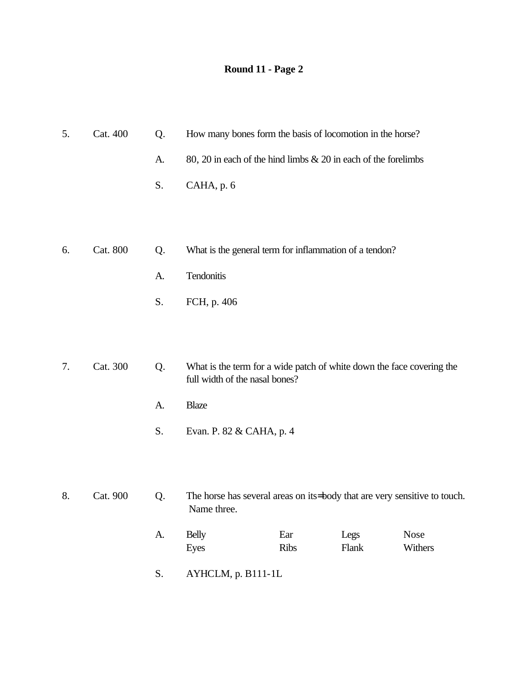| 5. | Cat. 400        | Q. | How many bones form the basis of locomotion in the horse?                                               |             |               |                        |
|----|-----------------|----|---------------------------------------------------------------------------------------------------------|-------------|---------------|------------------------|
|    |                 | A. | 80, 20 in each of the hind limbs & 20 in each of the forelimbs                                          |             |               |                        |
|    |                 | S. | CAHA, p. 6                                                                                              |             |               |                        |
|    |                 |    |                                                                                                         |             |               |                        |
| 6. | <b>Cat. 800</b> | Q. | What is the general term for inflammation of a tendon?                                                  |             |               |                        |
|    |                 |    |                                                                                                         |             |               |                        |
|    |                 | A. | Tendonitis                                                                                              |             |               |                        |
|    |                 | S. | FCH, p. 406                                                                                             |             |               |                        |
|    |                 |    |                                                                                                         |             |               |                        |
|    |                 |    |                                                                                                         |             |               |                        |
| 7. | Cat. 300        | Q. | What is the term for a wide patch of white down the face covering the<br>full width of the nasal bones? |             |               |                        |
|    |                 | A. | <b>Blaze</b>                                                                                            |             |               |                        |
|    |                 | S. | Evan. P. 82 & CAHA, p. 4                                                                                |             |               |                        |
|    |                 |    |                                                                                                         |             |               |                        |
|    |                 |    |                                                                                                         |             |               |                        |
| 8. | Cat. 900        | Q. | The horse has several areas on its-body that are very sensitive to touch.<br>Name three.                |             |               |                        |
|    |                 | A. | <b>Belly</b><br>Eyes                                                                                    | Ear<br>Ribs | Legs<br>Flank | <b>Nose</b><br>Withers |
|    |                 |    |                                                                                                         |             |               |                        |

S. AYHCLM, p. B111-1L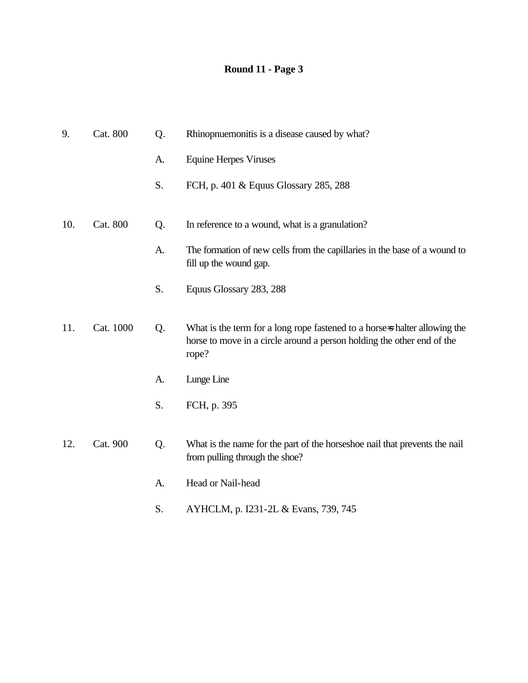| 9.  | Cat. 800  | Q. | Rhinopnuemonitis is a disease caused by what?                                                                                                                 |
|-----|-----------|----|---------------------------------------------------------------------------------------------------------------------------------------------------------------|
|     |           | A. | <b>Equine Herpes Viruses</b>                                                                                                                                  |
|     |           | S. | FCH, p. 401 & Equus Glossary 285, 288                                                                                                                         |
| 10. | Cat. 800  | Q. | In reference to a wound, what is a granulation?                                                                                                               |
|     |           | A. | The formation of new cells from the capillaries in the base of a wound to<br>fill up the wound gap.                                                           |
|     |           | S. | Equus Glossary 283, 288                                                                                                                                       |
| 11. | Cat. 1000 | Q. | What is the term for a long rope fastened to a horse-s halter allowing the<br>horse to move in a circle around a person holding the other end of the<br>rope? |
|     |           | A. | Lunge Line                                                                                                                                                    |
|     |           | S. | FCH, p. 395                                                                                                                                                   |
| 12. | Cat. 900  | Q. | What is the name for the part of the horseshoe nail that prevents the nail<br>from pulling through the shoe?                                                  |
|     |           | A. | Head or Nail-head                                                                                                                                             |
|     |           | S. | AYHCLM, p. I231-2L & Evans, 739, 745                                                                                                                          |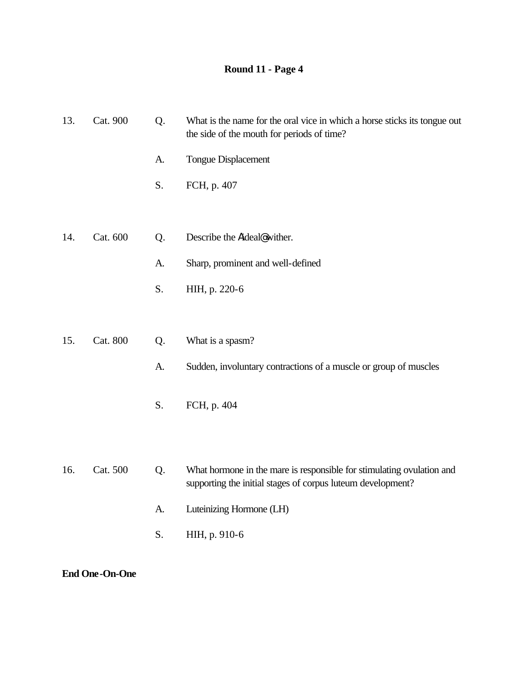| 13. | Cat. 900 | Q. | What is the name for the oral vice in which a horse sticks its tongue out<br>the side of the mouth for periods of time?              |
|-----|----------|----|--------------------------------------------------------------------------------------------------------------------------------------|
|     |          | A. | <b>Tongue Displacement</b>                                                                                                           |
|     |          | S. | FCH, p. 407                                                                                                                          |
|     |          |    |                                                                                                                                      |
| 14. | Cat. 600 | Q. | Describe the Aideal@wither.                                                                                                          |
|     |          | A. | Sharp, prominent and well-defined                                                                                                    |
|     |          | S. | HIH, p. 220-6                                                                                                                        |
|     |          |    |                                                                                                                                      |
| 15. | Cat. 800 | Q. | What is a spasm?                                                                                                                     |
|     |          | A. | Sudden, involuntary contractions of a muscle or group of muscles                                                                     |
|     |          | S. | FCH, p. 404                                                                                                                          |
|     |          |    |                                                                                                                                      |
| 16. | Cat. 500 | Q. | What hormone in the mare is responsible for stimulating ovulation and<br>supporting the initial stages of corpus luteum development? |
|     |          | A. | Luteinizing Hormone (LH)                                                                                                             |
|     |          | S. | HIH, p. 910-6                                                                                                                        |
|     |          |    |                                                                                                                                      |

**End One-On-One**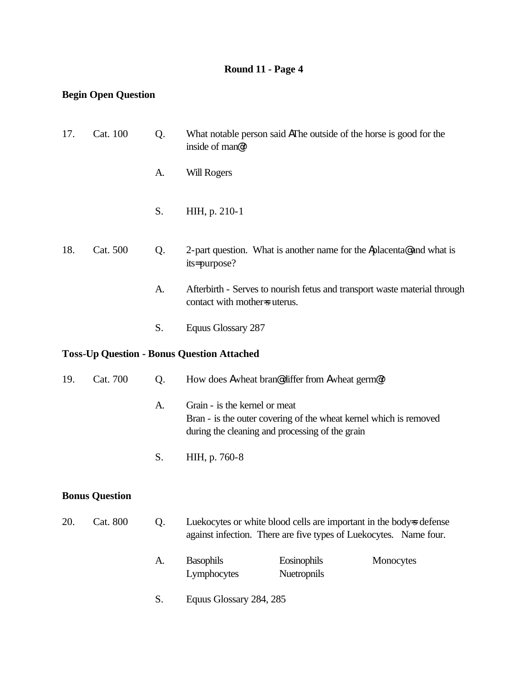### **Begin Open Question**

| 17. | Cat. 100                                          | Q. | What notable person said AThe outside of the horse is good for the<br>inside of man@?                                                                 |  |  |  |
|-----|---------------------------------------------------|----|-------------------------------------------------------------------------------------------------------------------------------------------------------|--|--|--|
|     |                                                   | A. | <b>Will Rogers</b>                                                                                                                                    |  |  |  |
|     |                                                   | S. | HIH, p. 210-1                                                                                                                                         |  |  |  |
| 18. | Cat. 500                                          | Q. | 2-part question. What is another name for the Aplacenta@ and what is<br>its=purpose?                                                                  |  |  |  |
|     |                                                   | A. | Afterbirth - Serves to nourish fetus and transport waste material through<br>contact with mother=s uterus.                                            |  |  |  |
|     |                                                   | S. | Equus Glossary 287                                                                                                                                    |  |  |  |
|     | <b>Toss-Up Question - Bonus Question Attached</b> |    |                                                                                                                                                       |  |  |  |
| 19. | Cat. 700                                          | Q. | How does Awheat bran@differ from Awheat germ <sup>@?</sup>                                                                                            |  |  |  |
|     |                                                   | A. | Grain - is the kernel or meat<br>Bran - is the outer covering of the wheat kernel which is removed<br>during the cleaning and processing of the grain |  |  |  |
|     |                                                   | S. | HIH, p. 760-8                                                                                                                                         |  |  |  |
|     | <b>Bonus Question</b>                             |    |                                                                                                                                                       |  |  |  |
| 20. | Cat. 800                                          | Q. | Luekocytes or white blood cells are important in the body-s defense<br>against infection. There are five types of Luekocytes. Name four.              |  |  |  |
|     |                                                   | A. | Eosinophils<br><b>Basophils</b><br>Monocytes<br>Nuetropnils<br>Lymphocytes                                                                            |  |  |  |
|     |                                                   | S. | Equus Glossary 284, 285                                                                                                                               |  |  |  |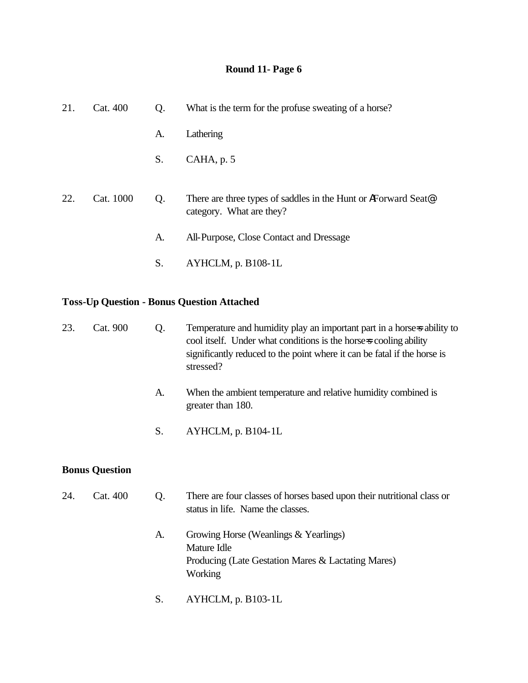| 21. | Cat. 400  | Q. | What is the term for the profuse sweating of a horse?                                                   |
|-----|-----------|----|---------------------------------------------------------------------------------------------------------|
|     |           | A. | Lathering                                                                                               |
|     |           | S. | $CAHA$ , p. 5                                                                                           |
| 22. | Cat. 1000 | Q. | There are three types of saddles in the Hunt or AF orward Seat <sup>®</sup><br>category. What are they? |
|     |           | A. | All-Purpose, Close Contact and Dressage                                                                 |
|     |           | S. | $AYHCLM$ , p. B $108-1L$                                                                                |

# **Toss-Up Question - Bonus Question Attached**

| 23. | Cat. 900              | Q. | Temperature and humidity play an important part in a horse-s ability to<br>cool itself. Under what conditions is the horse-s cooling ability<br>significantly reduced to the point where it can be fatal if the horse is<br>stressed? |
|-----|-----------------------|----|---------------------------------------------------------------------------------------------------------------------------------------------------------------------------------------------------------------------------------------|
|     |                       | A. | When the ambient temperature and relative humidity combined is<br>greater than 180.                                                                                                                                                   |
|     |                       | S. | AYHCLM, p. B104-1L                                                                                                                                                                                                                    |
|     | <b>Bonus Question</b> |    |                                                                                                                                                                                                                                       |
| 24. | Cat. 400              | Q. | There are four classes of horses based upon their nutritional class or<br>status in life. Name the classes.                                                                                                                           |
|     |                       | A. | Growing Horse (Weanlings & Yearlings)<br>Mature Idle<br>Producing (Late Gestation Mares & Lactating Mares)<br>Working                                                                                                                 |

S. AYHCLM, p. B103-1L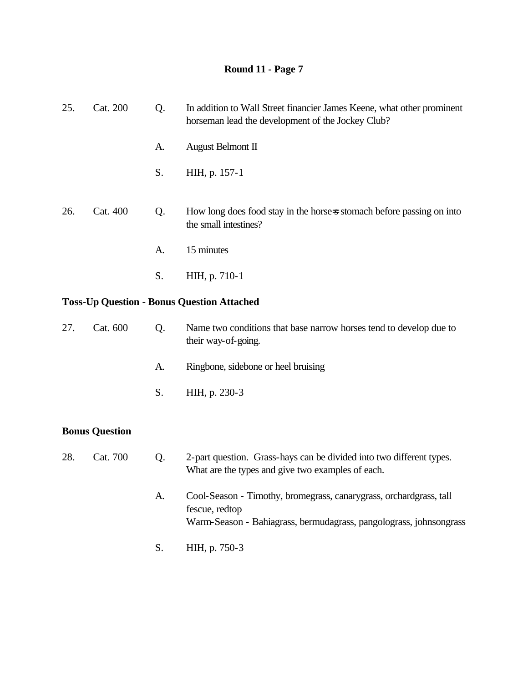| 25.                   | Cat. 200                                          | Q. | In addition to Wall Street financier James Keene, what other prominent<br>horseman lead the development of the Jockey Club? |  |  |
|-----------------------|---------------------------------------------------|----|-----------------------------------------------------------------------------------------------------------------------------|--|--|
|                       |                                                   | A. | August Belmont II                                                                                                           |  |  |
|                       |                                                   | S. | HIH, p. 157-1                                                                                                               |  |  |
| 26.                   | Cat. 400                                          | Q. | How long does food stay in the horse-s stomach before passing on into<br>the small intestines?                              |  |  |
|                       |                                                   | A. | 15 minutes                                                                                                                  |  |  |
|                       |                                                   | S. | HIH, p. 710-1                                                                                                               |  |  |
|                       | <b>Toss-Up Question - Bonus Question Attached</b> |    |                                                                                                                             |  |  |
| 27.                   | Cat. 600                                          | Q. | Name two conditions that base narrow horses tend to develop due to<br>their way-of-going.                                   |  |  |
|                       |                                                   | A. | Ringbone, sidebone or heel bruising                                                                                         |  |  |
|                       |                                                   | S. | HIH, p. 230-3                                                                                                               |  |  |
| <b>Bonus Question</b> |                                                   |    |                                                                                                                             |  |  |
| 28.                   | Cat. 700                                          | Q. | 2-part question. Grass-hays can be divided into two different types.<br>What are the types and give two examples of each.   |  |  |
|                       |                                                   | A. | Cool-Season - Timothy, bromegrass, canarygrass, orchardgrass, tall                                                          |  |  |

- hy, bromegrass, canarygrass, orchardgrass, tal fescue, redtop Warm-Season - Bahiagrass, bermudagrass, pangolograss, johnsongrass
- S. HIH, p. 750-3